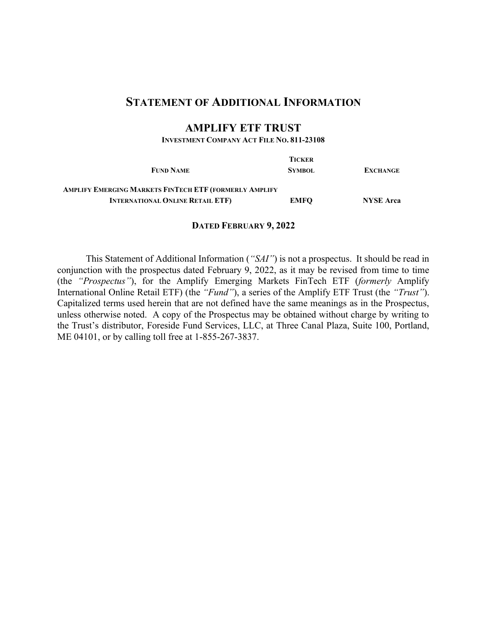# **STATEMENT OF ADDITIONAL INFORMATION**

# **AMPLIFY ETF TRUST**

**INVESTMENT COMPANY ACT FILE NO. 811-23108**

|                                                        | <b>TICKER</b> |                  |
|--------------------------------------------------------|---------------|------------------|
| <b>FUND NAME</b>                                       | <b>SYMBOL</b> | <b>EXCHANGE</b>  |
| AMPLIFY EMERGING MARKETS FINTECH ETF (FORMERLY AMPLIFY |               |                  |
| <b>INTERNATIONAL ONLINE RETAIL ETF)</b>                | <b>EMFO</b>   | <b>NYSE Arca</b> |

#### **DATED FEBRUARY 9, 2022**

This Statement of Additional Information (*"SAI"*) is not a prospectus. It should be read in conjunction with the prospectus dated February 9, 2022, as it may be revised from time to time (the *"Prospectus"*), for the Amplify Emerging Markets FinTech ETF (*formerly* Amplify International Online Retail ETF) (the *"Fund"*), a series of the Amplify ETF Trust (the *"Trust"*). Capitalized terms used herein that are not defined have the same meanings as in the Prospectus, unless otherwise noted. A copy of the Prospectus may be obtained without charge by writing to the Trust's distributor, Foreside Fund Services, LLC, at Three Canal Plaza, Suite 100, Portland, ME 04101, or by calling toll free at 1-855-267-3837.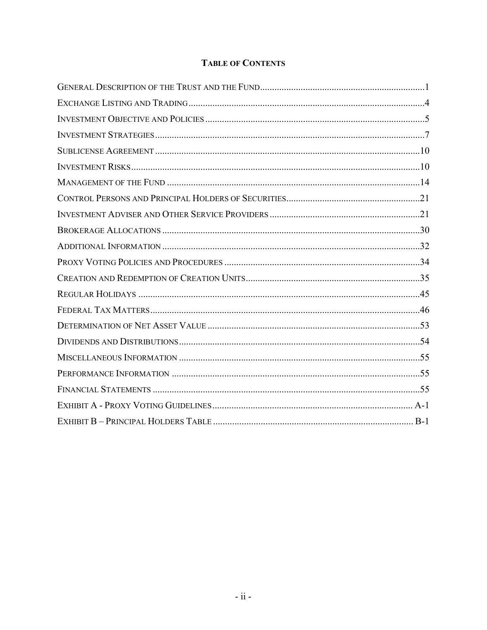# **TABLE OF CONTENTS**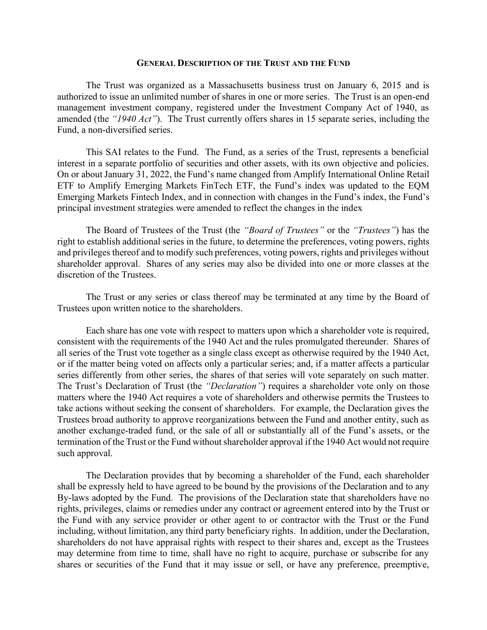#### **GENERAL DESCRIPTION OF THE TRUST AND THE FUND**

The Trust was organized as a Massachusetts business trust on January 6, 2015 and is authorized to issue an unlimited number of shares in one or more series. The Trust is an open-end management investment company, registered under the Investment Company Act of 1940, as amended (the *"1940 Act"*). The Trust currently offers shares in 15 separate series, including the Fund, a non-diversified series.

This SAI relates to the Fund. The Fund, as a series of the Trust, represents a beneficial interest in a separate portfolio of securities and other assets, with its own objective and policies. On or about January 31, 2022, the Fund's name changed from Amplify International Online Retail ETF to Amplify Emerging Markets FinTech ETF, the Fund's index was updated to the EQM Emerging Markets Fintech Index, and in connection with changes in the Fund's index, the Fund's principal investment strategies were amended to reflect the changes in the index

The Board of Trustees of the Trust (the *"Board of Trustees"* or the *"Trustees"*) has the right to establish additional series in the future, to determine the preferences, voting powers, rights and privileges thereof and to modify such preferences, voting powers, rights and privileges without shareholder approval. Shares of any series may also be divided into one or more classes at the discretion of the Trustees.

The Trust or any series or class thereof may be terminated at any time by the Board of Trustees upon written notice to the shareholders.

Each share has one vote with respect to matters upon which a shareholder vote is required, consistent with the requirements of the 1940 Act and the rules promulgated thereunder. Shares of all series of the Trust vote together as a single class except as otherwise required by the 1940 Act, or if the matter being voted on affects only a particular series; and, if a matter affects a particular series differently from other series, the shares of that series will vote separately on such matter. The Trust's Declaration of Trust (the *"Declaration"*) requires a shareholder vote only on those matters where the 1940 Act requires a vote of shareholders and otherwise permits the Trustees to take actions without seeking the consent of shareholders. For example, the Declaration gives the Trustees broad authority to approve reorganizations between the Fund and another entity, such as another exchange-traded fund, or the sale of all or substantially all of the Fund's assets, or the termination of the Trust or the Fund without shareholder approval if the 1940 Act would not require such approval.

The Declaration provides that by becoming a shareholder of the Fund, each shareholder shall be expressly held to have agreed to be bound by the provisions of the Declaration and to any By-laws adopted by the Fund. The provisions of the Declaration state that shareholders have no rights, privileges, claims or remedies under any contract or agreement entered into by the Trust or the Fund with any service provider or other agent to or contractor with the Trust or the Fund including, without limitation, any third party beneficiary rights. In addition, under the Declaration, shareholders do not have appraisal rights with respect to their shares and, except as the Trustees may determine from time to time, shall have no right to acquire, purchase or subscribe for any shares or securities of the Fund that it may issue or sell, or have any preference, preemptive,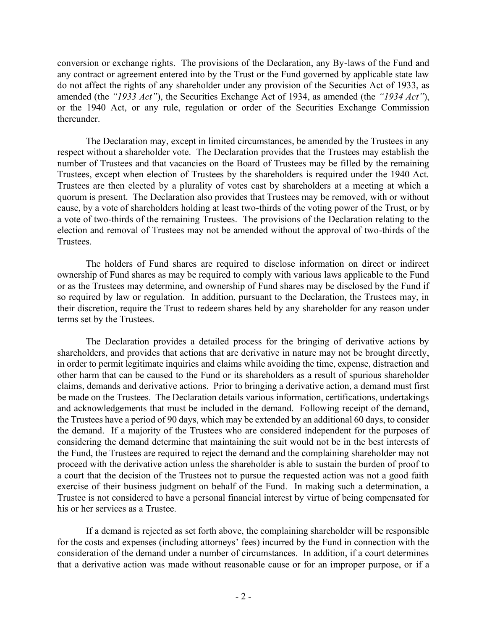conversion or exchange rights. The provisions of the Declaration, any By-laws of the Fund and any contract or agreement entered into by the Trust or the Fund governed by applicable state law do not affect the rights of any shareholder under any provision of the Securities Act of 1933, as amended (the *"1933 Act"*), the Securities Exchange Act of 1934, as amended (the *"1934 Act"*), or the 1940 Act, or any rule, regulation or order of the Securities Exchange Commission thereunder.

The Declaration may, except in limited circumstances, be amended by the Trustees in any respect without a shareholder vote. The Declaration provides that the Trustees may establish the number of Trustees and that vacancies on the Board of Trustees may be filled by the remaining Trustees, except when election of Trustees by the shareholders is required under the 1940 Act. Trustees are then elected by a plurality of votes cast by shareholders at a meeting at which a quorum is present. The Declaration also provides that Trustees may be removed, with or without cause, by a vote of shareholders holding at least two-thirds of the voting power of the Trust, or by a vote of two-thirds of the remaining Trustees. The provisions of the Declaration relating to the election and removal of Trustees may not be amended without the approval of two-thirds of the Trustees.

The holders of Fund shares are required to disclose information on direct or indirect ownership of Fund shares as may be required to comply with various laws applicable to the Fund or as the Trustees may determine, and ownership of Fund shares may be disclosed by the Fund if so required by law or regulation. In addition, pursuant to the Declaration, the Trustees may, in their discretion, require the Trust to redeem shares held by any shareholder for any reason under terms set by the Trustees.

The Declaration provides a detailed process for the bringing of derivative actions by shareholders, and provides that actions that are derivative in nature may not be brought directly, in order to permit legitimate inquiries and claims while avoiding the time, expense, distraction and other harm that can be caused to the Fund or its shareholders as a result of spurious shareholder claims, demands and derivative actions. Prior to bringing a derivative action, a demand must first be made on the Trustees. The Declaration details various information, certifications, undertakings and acknowledgements that must be included in the demand. Following receipt of the demand, the Trustees have a period of 90 days, which may be extended by an additional 60 days, to consider the demand. If a majority of the Trustees who are considered independent for the purposes of considering the demand determine that maintaining the suit would not be in the best interests of the Fund, the Trustees are required to reject the demand and the complaining shareholder may not proceed with the derivative action unless the shareholder is able to sustain the burden of proof to a court that the decision of the Trustees not to pursue the requested action was not a good faith exercise of their business judgment on behalf of the Fund. In making such a determination, a Trustee is not considered to have a personal financial interest by virtue of being compensated for his or her services as a Trustee.

If a demand is rejected as set forth above, the complaining shareholder will be responsible for the costs and expenses (including attorneys' fees) incurred by the Fund in connection with the consideration of the demand under a number of circumstances. In addition, if a court determines that a derivative action was made without reasonable cause or for an improper purpose, or if a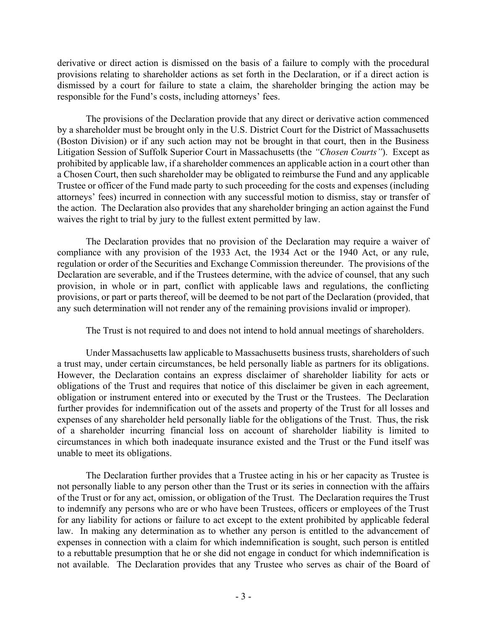derivative or direct action is dismissed on the basis of a failure to comply with the procedural provisions relating to shareholder actions as set forth in the Declaration, or if a direct action is dismissed by a court for failure to state a claim, the shareholder bringing the action may be responsible for the Fund's costs, including attorneys' fees.

The provisions of the Declaration provide that any direct or derivative action commenced by a shareholder must be brought only in the U.S. District Court for the District of Massachusetts (Boston Division) or if any such action may not be brought in that court, then in the Business Litigation Session of Suffolk Superior Court in Massachusetts (the *"Chosen Courts"*). Except as prohibited by applicable law, if a shareholder commences an applicable action in a court other than a Chosen Court, then such shareholder may be obligated to reimburse the Fund and any applicable Trustee or officer of the Fund made party to such proceeding for the costs and expenses (including attorneys' fees) incurred in connection with any successful motion to dismiss, stay or transfer of the action. The Declaration also provides that any shareholder bringing an action against the Fund waives the right to trial by jury to the fullest extent permitted by law.

The Declaration provides that no provision of the Declaration may require a waiver of compliance with any provision of the 1933 Act, the 1934 Act or the 1940 Act, or any rule, regulation or order of the Securities and Exchange Commission thereunder. The provisions of the Declaration are severable, and if the Trustees determine, with the advice of counsel, that any such provision, in whole or in part, conflict with applicable laws and regulations, the conflicting provisions, or part or parts thereof, will be deemed to be not part of the Declaration (provided, that any such determination will not render any of the remaining provisions invalid or improper).

The Trust is not required to and does not intend to hold annual meetings of shareholders.

Under Massachusetts law applicable to Massachusetts business trusts, shareholders of such a trust may, under certain circumstances, be held personally liable as partners for its obligations. However, the Declaration contains an express disclaimer of shareholder liability for acts or obligations of the Trust and requires that notice of this disclaimer be given in each agreement, obligation or instrument entered into or executed by the Trust or the Trustees. The Declaration further provides for indemnification out of the assets and property of the Trust for all losses and expenses of any shareholder held personally liable for the obligations of the Trust. Thus, the risk of a shareholder incurring financial loss on account of shareholder liability is limited to circumstances in which both inadequate insurance existed and the Trust or the Fund itself was unable to meet its obligations.

The Declaration further provides that a Trustee acting in his or her capacity as Trustee is not personally liable to any person other than the Trust or its series in connection with the affairs of the Trust or for any act, omission, or obligation of the Trust. The Declaration requires the Trust to indemnify any persons who are or who have been Trustees, officers or employees of the Trust for any liability for actions or failure to act except to the extent prohibited by applicable federal law. In making any determination as to whether any person is entitled to the advancement of expenses in connection with a claim for which indemnification is sought, such person is entitled to a rebuttable presumption that he or she did not engage in conduct for which indemnification is not available. The Declaration provides that any Trustee who serves as chair of the Board of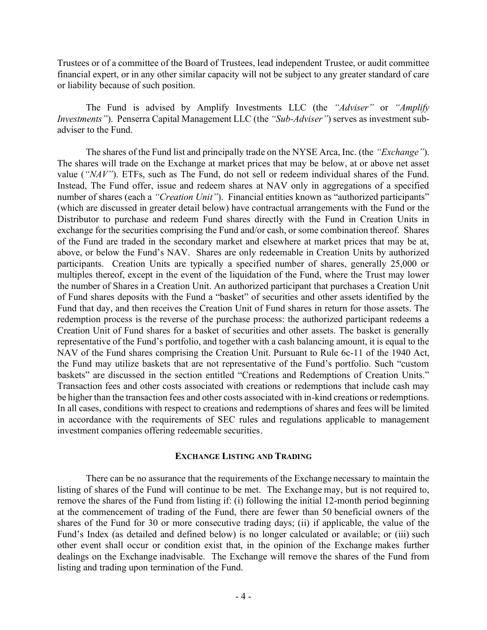Trustees or of a committee of the Board of Trustees, lead independent Trustee, or audit committee financial expert, or in any other similar capacity will not be subject to any greater standard of care or liability because of such position.

The Fund is advised by Amplify Investments LLC (the *"Adviser"* or *"Amplify Investments"*). Penserra Capital Management LLC (the *"Sub-Adviser"*) serves as investment subadviser to the Fund.

The shares of the Fund list and principally trade on the NYSE Arca, Inc. (the *"Exchange"*). The shares will trade on the Exchange at market prices that may be below, at or above net asset value (*"NAV"*). ETFs, such as The Fund, do not sell or redeem individual shares of the Fund. Instead, The Fund offer, issue and redeem shares at NAV only in aggregations of a specified number of shares (each a *"Creation Unit"*). Financial entities known as "authorized participants" (which are discussed in greater detail below) have contractual arrangements with the Fund or the Distributor to purchase and redeem Fund shares directly with the Fund in Creation Units in exchange for the securities comprising the Fund and/or cash, or some combination thereof. Shares of the Fund are traded in the secondary market and elsewhere at market prices that may be at, above, or below the Fund's NAV. Shares are only redeemable in Creation Units by authorized participants. Creation Units are typically a specified number of shares, generally 25,000 or multiples thereof, except in the event of the liquidation of the Fund, where the Trust may lower the number of Shares in a Creation Unit. An authorized participant that purchases a Creation Unit of Fund shares deposits with the Fund a "basket" of securities and other assets identified by the Fund that day, and then receives the Creation Unit of Fund shares in return for those assets. The redemption process is the reverse of the purchase process: the authorized participant redeems a Creation Unit of Fund shares for a basket of securities and other assets. The basket is generally representative of the Fund's portfolio, and together with a cash balancing amount, it is equal to the NAV of the Fund shares comprising the Creation Unit. Pursuant to Rule 6c-11 of the 1940 Act, the Fund may utilize baskets that are not representative of the Fund's portfolio. Such "custom baskets" are discussed in the section entitled "Creations and Redemptions of Creation Units." Transaction fees and other costs associated with creations or redemptions that include cash may be higher than the transaction fees and other costs associated with in-kind creations or redemptions. In all cases, conditions with respect to creations and redemptions of shares and fees will be limited in accordance with the requirements of SEC rules and regulations applicable to management investment companies offering redeemable securities.

#### **EXCHANGE LISTING AND TRADING**

There can be no assurance that the requirements of the Exchange necessary to maintain the listing of shares of the Fund will continue to be met. The Exchange may, but is not required to, remove the shares of the Fund from listing if: (i) following the initial 12-month period beginning at the commencement of trading of the Fund, there are fewer than 50 beneficial owners of the shares of the Fund for 30 or more consecutive trading days; (ii) if applicable, the value of the Fund's Index (as detailed and defined below) is no longer calculated or available; or (iii) such other event shall occur or condition exist that, in the opinion of the Exchange makes further dealings on the Exchange inadvisable. The Exchange will remove the shares of the Fund from listing and trading upon termination of the Fund.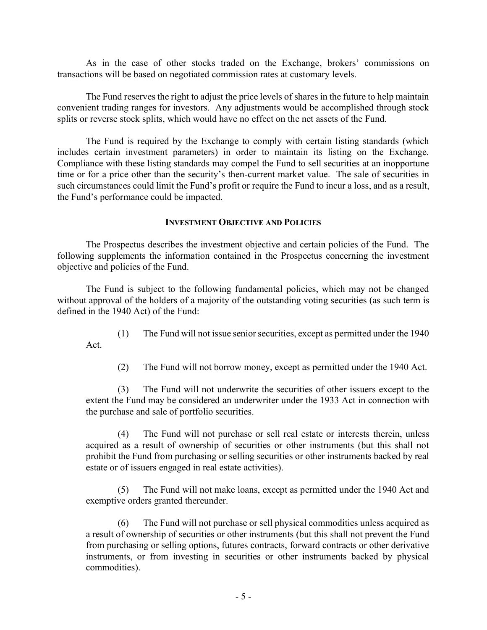As in the case of other stocks traded on the Exchange, brokers' commissions on transactions will be based on negotiated commission rates at customary levels.

The Fund reserves the right to adjust the price levels of shares in the future to help maintain convenient trading ranges for investors. Any adjustments would be accomplished through stock splits or reverse stock splits, which would have no effect on the net assets of the Fund.

The Fund is required by the Exchange to comply with certain listing standards (which includes certain investment parameters) in order to maintain its listing on the Exchange. Compliance with these listing standards may compel the Fund to sell securities at an inopportune time or for a price other than the security's then-current market value. The sale of securities in such circumstances could limit the Fund's profit or require the Fund to incur a loss, and as a result, the Fund's performance could be impacted.

### **INVESTMENT OBJECTIVE AND POLICIES**

The Prospectus describes the investment objective and certain policies of the Fund. The following supplements the information contained in the Prospectus concerning the investment objective and policies of the Fund.

The Fund is subject to the following fundamental policies, which may not be changed without approval of the holders of a majority of the outstanding voting securities (as such term is defined in the 1940 Act) of the Fund:

(1) The Fund will not issue senior securities, except as permitted under the 1940 Act.

(2) The Fund will not borrow money, except as permitted under the 1940 Act.

(3) The Fund will not underwrite the securities of other issuers except to the extent the Fund may be considered an underwriter under the 1933 Act in connection with the purchase and sale of portfolio securities.

(4) The Fund will not purchase or sell real estate or interests therein, unless acquired as a result of ownership of securities or other instruments (but this shall not prohibit the Fund from purchasing or selling securities or other instruments backed by real estate or of issuers engaged in real estate activities).

(5) The Fund will not make loans, except as permitted under the 1940 Act and exemptive orders granted thereunder.

(6) The Fund will not purchase or sell physical commodities unless acquired as a result of ownership of securities or other instruments (but this shall not prevent the Fund from purchasing or selling options, futures contracts, forward contracts or other derivative instruments, or from investing in securities or other instruments backed by physical commodities).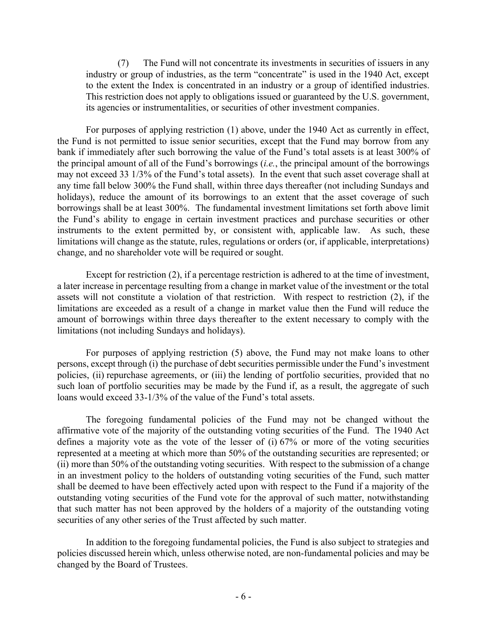(7) The Fund will not concentrate its investments in securities of issuers in any industry or group of industries, as the term "concentrate" is used in the 1940 Act, except to the extent the Index is concentrated in an industry or a group of identified industries. This restriction does not apply to obligations issued or guaranteed by the U.S. government, its agencies or instrumentalities, or securities of other investment companies.

For purposes of applying restriction (1) above, under the 1940 Act as currently in effect, the Fund is not permitted to issue senior securities, except that the Fund may borrow from any bank if immediately after such borrowing the value of the Fund's total assets is at least 300% of the principal amount of all of the Fund's borrowings (*i.e.*, the principal amount of the borrowings may not exceed 33 1/3% of the Fund's total assets). In the event that such asset coverage shall at any time fall below 300% the Fund shall, within three days thereafter (not including Sundays and holidays), reduce the amount of its borrowings to an extent that the asset coverage of such borrowings shall be at least 300%. The fundamental investment limitations set forth above limit the Fund's ability to engage in certain investment practices and purchase securities or other instruments to the extent permitted by, or consistent with, applicable law. As such, these limitations will change as the statute, rules, regulations or orders (or, if applicable, interpretations) change, and no shareholder vote will be required or sought.

Except for restriction (2), if a percentage restriction is adhered to at the time of investment, a later increase in percentage resulting from a change in market value of the investment or the total assets will not constitute a violation of that restriction. With respect to restriction (2), if the limitations are exceeded as a result of a change in market value then the Fund will reduce the amount of borrowings within three days thereafter to the extent necessary to comply with the limitations (not including Sundays and holidays).

For purposes of applying restriction (5) above, the Fund may not make loans to other persons, except through (i) the purchase of debt securities permissible under the Fund's investment policies, (ii) repurchase agreements, or (iii) the lending of portfolio securities, provided that no such loan of portfolio securities may be made by the Fund if, as a result, the aggregate of such loans would exceed 33-1/3% of the value of the Fund's total assets.

The foregoing fundamental policies of the Fund may not be changed without the affirmative vote of the majority of the outstanding voting securities of the Fund. The 1940 Act defines a majority vote as the vote of the lesser of (i) 67% or more of the voting securities represented at a meeting at which more than 50% of the outstanding securities are represented; or (ii) more than 50% of the outstanding voting securities. With respect to the submission of a change in an investment policy to the holders of outstanding voting securities of the Fund, such matter shall be deemed to have been effectively acted upon with respect to the Fund if a majority of the outstanding voting securities of the Fund vote for the approval of such matter, notwithstanding that such matter has not been approved by the holders of a majority of the outstanding voting securities of any other series of the Trust affected by such matter.

In addition to the foregoing fundamental policies, the Fund is also subject to strategies and policies discussed herein which, unless otherwise noted, are non-fundamental policies and may be changed by the Board of Trustees.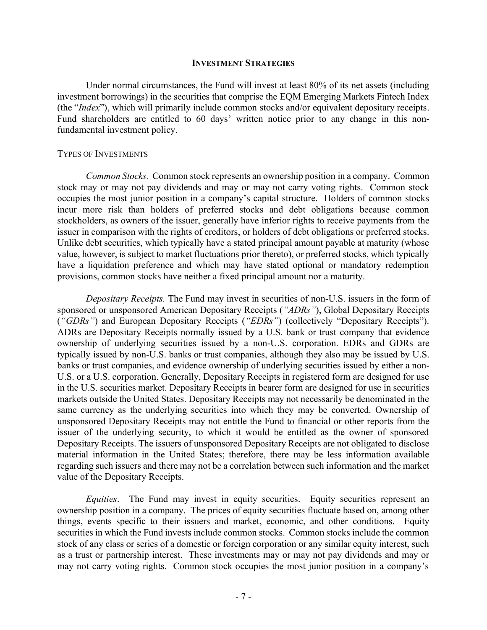#### **INVESTMENT STRATEGIES**

Under normal circumstances, the Fund will invest at least 80% of its net assets (including investment borrowings) in the securities that comprise the EQM Emerging Markets Fintech Index (the "*Index*"), which will primarily include common stocks and/or equivalent depositary receipts. Fund shareholders are entitled to 60 days' written notice prior to any change in this nonfundamental investment policy.

#### TYPES OF INVESTMENTS

*Common Stocks.* Common stock represents an ownership position in a company. Common stock may or may not pay dividends and may or may not carry voting rights. Common stock occupies the most junior position in a company's capital structure. Holders of common stocks incur more risk than holders of preferred stocks and debt obligations because common stockholders, as owners of the issuer, generally have inferior rights to receive payments from the issuer in comparison with the rights of creditors, or holders of debt obligations or preferred stocks. Unlike debt securities, which typically have a stated principal amount payable at maturity (whose value, however, is subject to market fluctuations prior thereto), or preferred stocks, which typically have a liquidation preference and which may have stated optional or mandatory redemption provisions, common stocks have neither a fixed principal amount nor a maturity.

*Depositary Receipts.* The Fund may invest in securities of non-U.S. issuers in the form of sponsored or unsponsored American Depositary Receipts (*"ADRs"*), Global Depositary Receipts (*"GDRs"*) and European Depositary Receipts (*"EDRs"*) (collectively "Depositary Receipts"). ADRs are Depositary Receipts normally issued by a U.S. bank or trust company that evidence ownership of underlying securities issued by a non-U.S. corporation. EDRs and GDRs are typically issued by non-U.S. banks or trust companies, although they also may be issued by U.S. banks or trust companies, and evidence ownership of underlying securities issued by either a non-U.S. or a U.S. corporation. Generally, Depositary Receipts in registered form are designed for use in the U.S. securities market. Depositary Receipts in bearer form are designed for use in securities markets outside the United States. Depositary Receipts may not necessarily be denominated in the same currency as the underlying securities into which they may be converted. Ownership of unsponsored Depositary Receipts may not entitle the Fund to financial or other reports from the issuer of the underlying security, to which it would be entitled as the owner of sponsored Depositary Receipts. The issuers of unsponsored Depositary Receipts are not obligated to disclose material information in the United States; therefore, there may be less information available regarding such issuers and there may not be a correlation between such information and the market value of the Depositary Receipts.

*Equities*. The Fund may invest in equity securities. Equity securities represent an ownership position in a company. The prices of equity securities fluctuate based on, among other things, events specific to their issuers and market, economic, and other conditions. Equity securities in which the Fund invests include common stocks. Common stocks include the common stock of any class or series of a domestic or foreign corporation or any similar equity interest, such as a trust or partnership interest. These investments may or may not pay dividends and may or may not carry voting rights. Common stock occupies the most junior position in a company's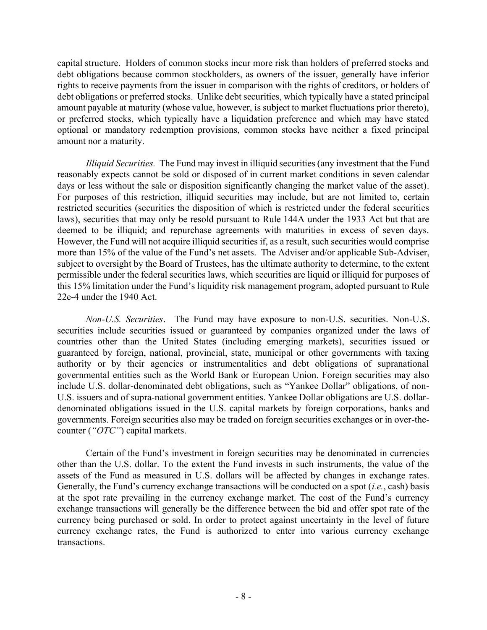capital structure. Holders of common stocks incur more risk than holders of preferred stocks and debt obligations because common stockholders, as owners of the issuer, generally have inferior rights to receive payments from the issuer in comparison with the rights of creditors, or holders of debt obligations or preferred stocks. Unlike debt securities, which typically have a stated principal amount payable at maturity (whose value, however, is subject to market fluctuations prior thereto), or preferred stocks, which typically have a liquidation preference and which may have stated optional or mandatory redemption provisions, common stocks have neither a fixed principal amount nor a maturity.

*Illiquid Securities.* The Fund may invest in illiquid securities (any investment that the Fund reasonably expects cannot be sold or disposed of in current market conditions in seven calendar days or less without the sale or disposition significantly changing the market value of the asset). For purposes of this restriction, illiquid securities may include, but are not limited to, certain restricted securities (securities the disposition of which is restricted under the federal securities laws), securities that may only be resold pursuant to Rule 144A under the 1933 Act but that are deemed to be illiquid; and repurchase agreements with maturities in excess of seven days. However, the Fund will not acquire illiquid securities if, as a result, such securities would comprise more than 15% of the value of the Fund's net assets. The Adviser and/or applicable Sub-Adviser, subject to oversight by the Board of Trustees, has the ultimate authority to determine, to the extent permissible under the federal securities laws, which securities are liquid or illiquid for purposes of this 15% limitation under the Fund's liquidity risk management program, adopted pursuant to Rule 22e-4 under the 1940 Act.

*Non-U.S. Securities*. The Fund may have exposure to non-U.S. securities. Non-U.S. securities include securities issued or guaranteed by companies organized under the laws of countries other than the United States (including emerging markets), securities issued or guaranteed by foreign, national, provincial, state, municipal or other governments with taxing authority or by their agencies or instrumentalities and debt obligations of supranational governmental entities such as the World Bank or European Union. Foreign securities may also include U.S. dollar-denominated debt obligations, such as "Yankee Dollar" obligations, of non-U.S. issuers and of supra-national government entities. Yankee Dollar obligations are U.S. dollardenominated obligations issued in the U.S. capital markets by foreign corporations, banks and governments. Foreign securities also may be traded on foreign securities exchanges or in over-thecounter (*"OTC"*) capital markets.

Certain of the Fund's investment in foreign securities may be denominated in currencies other than the U.S. dollar. To the extent the Fund invests in such instruments, the value of the assets of the Fund as measured in U.S. dollars will be affected by changes in exchange rates. Generally, the Fund's currency exchange transactions will be conducted on a spot (*i.e.*, cash) basis at the spot rate prevailing in the currency exchange market. The cost of the Fund's currency exchange transactions will generally be the difference between the bid and offer spot rate of the currency being purchased or sold. In order to protect against uncertainty in the level of future currency exchange rates, the Fund is authorized to enter into various currency exchange transactions.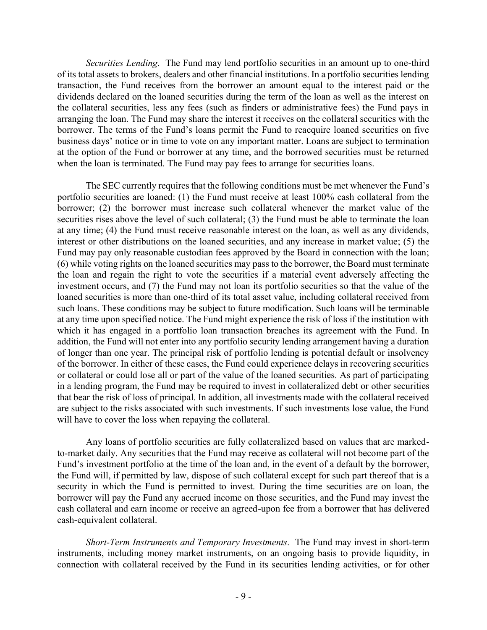*Securities Lending*. The Fund may lend portfolio securities in an amount up to one-third of its total assets to brokers, dealers and other financial institutions. In a portfolio securities lending transaction, the Fund receives from the borrower an amount equal to the interest paid or the dividends declared on the loaned securities during the term of the loan as well as the interest on the collateral securities, less any fees (such as finders or administrative fees) the Fund pays in arranging the loan. The Fund may share the interest it receives on the collateral securities with the borrower. The terms of the Fund's loans permit the Fund to reacquire loaned securities on five business days' notice or in time to vote on any important matter. Loans are subject to termination at the option of the Fund or borrower at any time, and the borrowed securities must be returned when the loan is terminated. The Fund may pay fees to arrange for securities loans.

The SEC currently requires that the following conditions must be met whenever the Fund's portfolio securities are loaned: (1) the Fund must receive at least 100% cash collateral from the borrower; (2) the borrower must increase such collateral whenever the market value of the securities rises above the level of such collateral; (3) the Fund must be able to terminate the loan at any time; (4) the Fund must receive reasonable interest on the loan, as well as any dividends, interest or other distributions on the loaned securities, and any increase in market value; (5) the Fund may pay only reasonable custodian fees approved by the Board in connection with the loan; (6) while voting rights on the loaned securities may pass to the borrower, the Board must terminate the loan and regain the right to vote the securities if a material event adversely affecting the investment occurs, and (7) the Fund may not loan its portfolio securities so that the value of the loaned securities is more than one-third of its total asset value, including collateral received from such loans. These conditions may be subject to future modification. Such loans will be terminable at any time upon specified notice. The Fund might experience the risk of loss if the institution with which it has engaged in a portfolio loan transaction breaches its agreement with the Fund. In addition, the Fund will not enter into any portfolio security lending arrangement having a duration of longer than one year. The principal risk of portfolio lending is potential default or insolvency of the borrower. In either of these cases, the Fund could experience delays in recovering securities or collateral or could lose all or part of the value of the loaned securities. As part of participating in a lending program, the Fund may be required to invest in collateralized debt or other securities that bear the risk of loss of principal. In addition, all investments made with the collateral received are subject to the risks associated with such investments. If such investments lose value, the Fund will have to cover the loss when repaying the collateral.

Any loans of portfolio securities are fully collateralized based on values that are markedto-market daily. Any securities that the Fund may receive as collateral will not become part of the Fund's investment portfolio at the time of the loan and, in the event of a default by the borrower, the Fund will, if permitted by law, dispose of such collateral except for such part thereof that is a security in which the Fund is permitted to invest. During the time securities are on loan, the borrower will pay the Fund any accrued income on those securities, and the Fund may invest the cash collateral and earn income or receive an agreed-upon fee from a borrower that has delivered cash-equivalent collateral.

*Short-Term Instruments and Temporary Investments.* The Fund may invest in short-term instruments, including money market instruments, on an ongoing basis to provide liquidity, in connection with collateral received by the Fund in its securities lending activities, or for other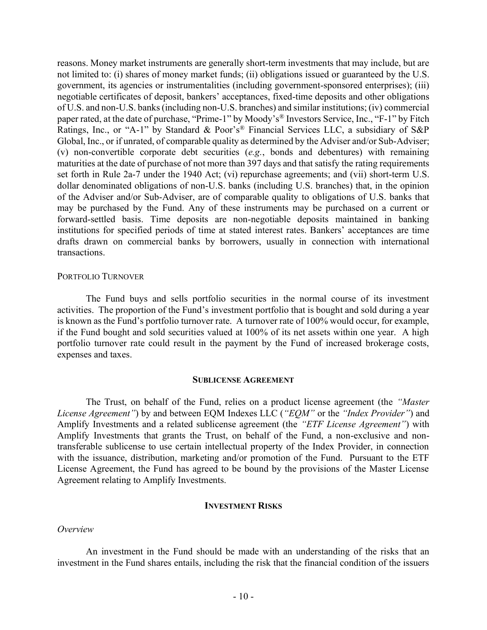reasons. Money market instruments are generally short-term investments that may include, but are not limited to: (i) shares of money market funds; (ii) obligations issued or guaranteed by the U.S. government, its agencies or instrumentalities (including government-sponsored enterprises); (iii) negotiable certificates of deposit, bankers' acceptances, fixed-time deposits and other obligations of U.S. and non-U.S. banks (including non-U.S. branches) and similar institutions; (iv) commercial paper rated, at the date of purchase, "Prime-1" by Moody's® Investors Service, Inc., "F-1" by Fitch Ratings, Inc., or "A-1" by Standard & Poor's® Financial Services LLC, a subsidiary of S&P Global, Inc., or if unrated, of comparable quality as determined by the Adviser and/or Sub-Adviser; (v) non-convertible corporate debt securities (*e.g.*, bonds and debentures) with remaining maturities at the date of purchase of not more than 397 days and that satisfy the rating requirements set forth in Rule 2a-7 under the 1940 Act; (vi) repurchase agreements; and (vii) short-term U.S. dollar denominated obligations of non-U.S. banks (including U.S. branches) that, in the opinion of the Adviser and/or Sub-Adviser, are of comparable quality to obligations of U.S. banks that may be purchased by the Fund. Any of these instruments may be purchased on a current or forward-settled basis. Time deposits are non-negotiable deposits maintained in banking institutions for specified periods of time at stated interest rates. Bankers' acceptances are time drafts drawn on commercial banks by borrowers, usually in connection with international transactions.

#### PORTFOLIO TURNOVER

The Fund buys and sells portfolio securities in the normal course of its investment activities. The proportion of the Fund's investment portfolio that is bought and sold during a year is known as the Fund's portfolio turnover rate. A turnover rate of 100% would occur, for example, if the Fund bought and sold securities valued at 100% of its net assets within one year. A high portfolio turnover rate could result in the payment by the Fund of increased brokerage costs, expenses and taxes.

#### **SUBLICENSE AGREEMENT**

The Trust, on behalf of the Fund, relies on a product license agreement (the *"Master License Agreement"*) by and between EQM Indexes LLC (*"EQM"* or the *"Index Provider"*) and Amplify Investments and a related sublicense agreement (the *"ETF License Agreement"*) with Amplify Investments that grants the Trust, on behalf of the Fund, a non-exclusive and nontransferable sublicense to use certain intellectual property of the Index Provider, in connection with the issuance, distribution, marketing and/or promotion of the Fund. Pursuant to the ETF License Agreement, the Fund has agreed to be bound by the provisions of the Master License Agreement relating to Amplify Investments.

#### **INVESTMENT RISKS**

#### *Overview*

An investment in the Fund should be made with an understanding of the risks that an investment in the Fund shares entails, including the risk that the financial condition of the issuers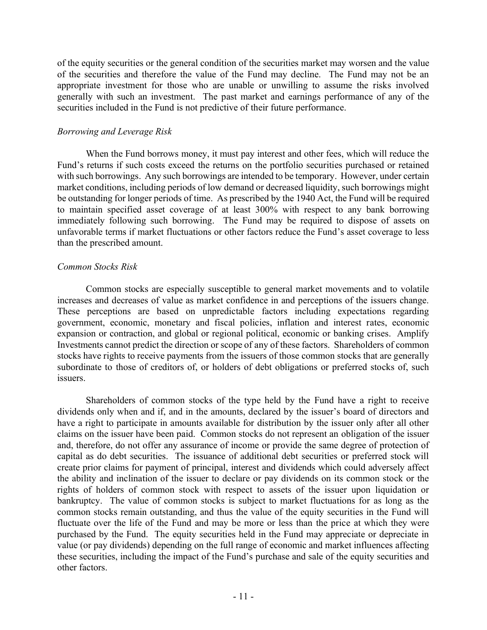of the equity securities or the general condition of the securities market may worsen and the value of the securities and therefore the value of the Fund may decline. The Fund may not be an appropriate investment for those who are unable or unwilling to assume the risks involved generally with such an investment. The past market and earnings performance of any of the securities included in the Fund is not predictive of their future performance.

# *Borrowing and Leverage Risk*

When the Fund borrows money, it must pay interest and other fees, which will reduce the Fund's returns if such costs exceed the returns on the portfolio securities purchased or retained with such borrowings. Any such borrowings are intended to be temporary. However, under certain market conditions, including periods of low demand or decreased liquidity, such borrowings might be outstanding for longer periods of time. As prescribed by the 1940 Act, the Fund will be required to maintain specified asset coverage of at least 300% with respect to any bank borrowing immediately following such borrowing. The Fund may be required to dispose of assets on unfavorable terms if market fluctuations or other factors reduce the Fund's asset coverage to less than the prescribed amount.

# *Common Stocks Risk*

Common stocks are especially susceptible to general market movements and to volatile increases and decreases of value as market confidence in and perceptions of the issuers change. These perceptions are based on unpredictable factors including expectations regarding government, economic, monetary and fiscal policies, inflation and interest rates, economic expansion or contraction, and global or regional political, economic or banking crises. Amplify Investments cannot predict the direction or scope of any of these factors. Shareholders of common stocks have rights to receive payments from the issuers of those common stocks that are generally subordinate to those of creditors of, or holders of debt obligations or preferred stocks of, such issuers.

Shareholders of common stocks of the type held by the Fund have a right to receive dividends only when and if, and in the amounts, declared by the issuer's board of directors and have a right to participate in amounts available for distribution by the issuer only after all other claims on the issuer have been paid. Common stocks do not represent an obligation of the issuer and, therefore, do not offer any assurance of income or provide the same degree of protection of capital as do debt securities. The issuance of additional debt securities or preferred stock will create prior claims for payment of principal, interest and dividends which could adversely affect the ability and inclination of the issuer to declare or pay dividends on its common stock or the rights of holders of common stock with respect to assets of the issuer upon liquidation or bankruptcy. The value of common stocks is subject to market fluctuations for as long as the common stocks remain outstanding, and thus the value of the equity securities in the Fund will fluctuate over the life of the Fund and may be more or less than the price at which they were purchased by the Fund. The equity securities held in the Fund may appreciate or depreciate in value (or pay dividends) depending on the full range of economic and market influences affecting these securities, including the impact of the Fund's purchase and sale of the equity securities and other factors.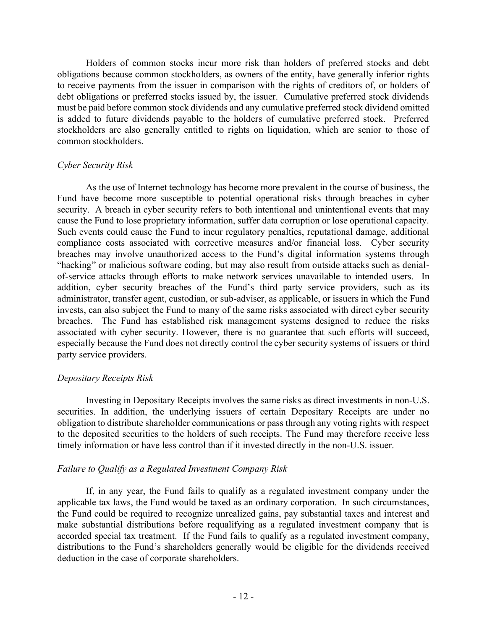Holders of common stocks incur more risk than holders of preferred stocks and debt obligations because common stockholders, as owners of the entity, have generally inferior rights to receive payments from the issuer in comparison with the rights of creditors of, or holders of debt obligations or preferred stocks issued by, the issuer. Cumulative preferred stock dividends must be paid before common stock dividends and any cumulative preferred stock dividend omitted is added to future dividends payable to the holders of cumulative preferred stock. Preferred stockholders are also generally entitled to rights on liquidation, which are senior to those of common stockholders.

# *Cyber Security Risk*

As the use of Internet technology has become more prevalent in the course of business, the Fund have become more susceptible to potential operational risks through breaches in cyber security. A breach in cyber security refers to both intentional and unintentional events that may cause the Fund to lose proprietary information, suffer data corruption or lose operational capacity. Such events could cause the Fund to incur regulatory penalties, reputational damage, additional compliance costs associated with corrective measures and/or financial loss. Cyber security breaches may involve unauthorized access to the Fund's digital information systems through "hacking" or malicious software coding, but may also result from outside attacks such as denialof-service attacks through efforts to make network services unavailable to intended users. In addition, cyber security breaches of the Fund's third party service providers, such as its administrator, transfer agent, custodian, or sub-adviser, as applicable, or issuers in which the Fund invests, can also subject the Fund to many of the same risks associated with direct cyber security breaches. The Fund has established risk management systems designed to reduce the risks associated with cyber security. However, there is no guarantee that such efforts will succeed, especially because the Fund does not directly control the cyber security systems of issuers or third party service providers.

# *Depositary Receipts Risk*

Investing in Depositary Receipts involves the same risks as direct investments in non-U.S. securities. In addition, the underlying issuers of certain Depositary Receipts are under no obligation to distribute shareholder communications or pass through any voting rights with respect to the deposited securities to the holders of such receipts. The Fund may therefore receive less timely information or have less control than if it invested directly in the non-U.S. issuer.

# *Failure to Qualify as a Regulated Investment Company Risk*

If, in any year, the Fund fails to qualify as a regulated investment company under the applicable tax laws, the Fund would be taxed as an ordinary corporation. In such circumstances, the Fund could be required to recognize unrealized gains, pay substantial taxes and interest and make substantial distributions before requalifying as a regulated investment company that is accorded special tax treatment. If the Fund fails to qualify as a regulated investment company, distributions to the Fund's shareholders generally would be eligible for the dividends received deduction in the case of corporate shareholders.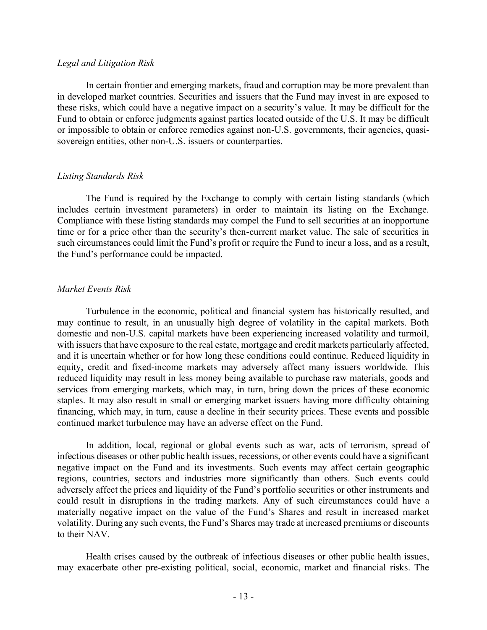#### *Legal and Litigation Risk*

In certain frontier and emerging markets, fraud and corruption may be more prevalent than in developed market countries. Securities and issuers that the Fund may invest in are exposed to these risks, which could have a negative impact on a security's value. It may be difficult for the Fund to obtain or enforce judgments against parties located outside of the U.S. It may be difficult or impossible to obtain or enforce remedies against non-U.S. governments, their agencies, quasisovereign entities, other non-U.S. issuers or counterparties.

### *Listing Standards Risk*

The Fund is required by the Exchange to comply with certain listing standards (which includes certain investment parameters) in order to maintain its listing on the Exchange. Compliance with these listing standards may compel the Fund to sell securities at an inopportune time or for a price other than the security's then-current market value. The sale of securities in such circumstances could limit the Fund's profit or require the Fund to incur a loss, and as a result, the Fund's performance could be impacted.

# *Market Events Risk*

Turbulence in the economic, political and financial system has historically resulted, and may continue to result, in an unusually high degree of volatility in the capital markets. Both domestic and non-U.S. capital markets have been experiencing increased volatility and turmoil, with issuers that have exposure to the real estate, mortgage and credit markets particularly affected, and it is uncertain whether or for how long these conditions could continue. Reduced liquidity in equity, credit and fixed-income markets may adversely affect many issuers worldwide. This reduced liquidity may result in less money being available to purchase raw materials, goods and services from emerging markets, which may, in turn, bring down the prices of these economic staples. It may also result in small or emerging market issuers having more difficulty obtaining financing, which may, in turn, cause a decline in their security prices. These events and possible continued market turbulence may have an adverse effect on the Fund.

In addition, local, regional or global events such as war, acts of terrorism, spread of infectious diseases or other public health issues, recessions, or other events could have a significant negative impact on the Fund and its investments. Such events may affect certain geographic regions, countries, sectors and industries more significantly than others. Such events could adversely affect the prices and liquidity of the Fund's portfolio securities or other instruments and could result in disruptions in the trading markets. Any of such circumstances could have a materially negative impact on the value of the Fund's Shares and result in increased market volatility. During any such events, the Fund's Shares may trade at increased premiums or discounts to their NAV.

Health crises caused by the outbreak of infectious diseases or other public health issues, may exacerbate other pre-existing political, social, economic, market and financial risks. The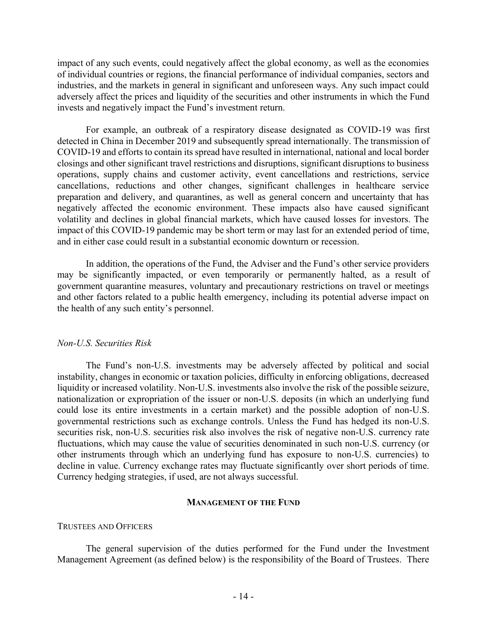impact of any such events, could negatively affect the global economy, as well as the economies of individual countries or regions, the financial performance of individual companies, sectors and industries, and the markets in general in significant and unforeseen ways. Any such impact could adversely affect the prices and liquidity of the securities and other instruments in which the Fund invests and negatively impact the Fund's investment return.

For example, an outbreak of a respiratory disease designated as COVID-19 was first detected in China in December 2019 and subsequently spread internationally. The transmission of COVID-19 and efforts to contain its spread have resulted in international, national and local border closings and other significant travel restrictions and disruptions, significant disruptions to business operations, supply chains and customer activity, event cancellations and restrictions, service cancellations, reductions and other changes, significant challenges in healthcare service preparation and delivery, and quarantines, as well as general concern and uncertainty that has negatively affected the economic environment. These impacts also have caused significant volatility and declines in global financial markets, which have caused losses for investors. The impact of this COVID-19 pandemic may be short term or may last for an extended period of time, and in either case could result in a substantial economic downturn or recession.

In addition, the operations of the Fund, the Adviser and the Fund's other service providers may be significantly impacted, or even temporarily or permanently halted, as a result of government quarantine measures, voluntary and precautionary restrictions on travel or meetings and other factors related to a public health emergency, including its potential adverse impact on the health of any such entity's personnel.

#### *Non-U.S. Securities Risk*

The Fund's non-U.S. investments may be adversely affected by political and social instability, changes in economic or taxation policies, difficulty in enforcing obligations, decreased liquidity or increased volatility. Non-U.S. investments also involve the risk of the possible seizure, nationalization or expropriation of the issuer or non-U.S. deposits (in which an underlying fund could lose its entire investments in a certain market) and the possible adoption of non-U.S. governmental restrictions such as exchange controls. Unless the Fund has hedged its non-U.S. securities risk, non-U.S. securities risk also involves the risk of negative non-U.S. currency rate fluctuations, which may cause the value of securities denominated in such non-U.S. currency (or other instruments through which an underlying fund has exposure to non-U.S. currencies) to decline in value. Currency exchange rates may fluctuate significantly over short periods of time. Currency hedging strategies, if used, are not always successful.

#### **MANAGEMENT OF THE FUND**

#### TRUSTEES AND OFFICERS

The general supervision of the duties performed for the Fund under the Investment Management Agreement (as defined below) is the responsibility of the Board of Trustees. There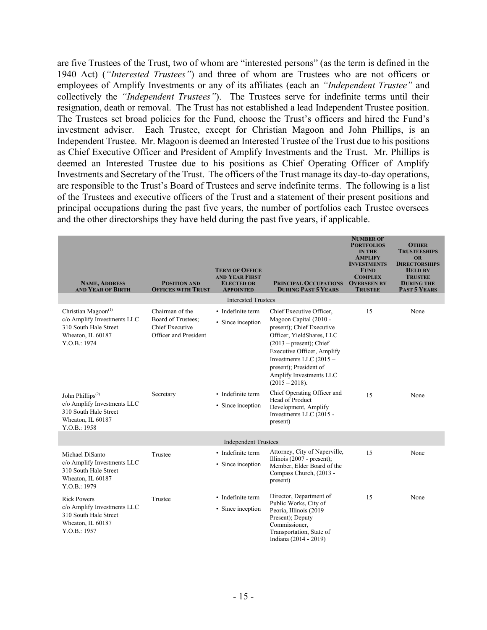are five Trustees of the Trust, two of whom are "interested persons" (as the term is defined in the 1940 Act) (*"Interested Trustees"*) and three of whom are Trustees who are not officers or employees of Amplify Investments or any of its affiliates (each an *"Independent Trustee"* and collectively the *"Independent Trustees"*). The Trustees serve for indefinite terms until their resignation, death or removal. The Trust has not established a lead Independent Trustee position. The Trustees set broad policies for the Fund, choose the Trust's officers and hired the Fund's investment adviser. Each Trustee, except for Christian Magoon and John Phillips, is an Independent Trustee. Mr. Magoon is deemed an Interested Trustee of the Trust due to his positions as Chief Executive Officer and President of Amplify Investments and the Trust. Mr. Phillips is deemed an Interested Trustee due to his positions as Chief Operating Officer of Amplify Investments and Secretary of the Trust. The officers of the Trust manage its day-to-day operations, are responsible to the Trust's Board of Trustees and serve indefinite terms. The following is a list of the Trustees and executive officers of the Trust and a statement of their present positions and principal occupations during the past five years, the number of portfolios each Trustee oversees and the other directorships they have held during the past five years, if applicable.

| <b>NAME, ADDRESS</b><br><b>AND YEAR OF BIRTH</b>                                                                                       | <b>POSITION AND</b><br><b>OFFICES WITH TRUST</b>                                  | <b>TERM OF OFFICE</b><br><b>AND YEAR FIRST</b><br><b>ELECTED OR</b><br><b>APPOINTED</b><br><b>Interested Trustees</b> | PRINCIPAL OCCUPATIONS<br><b>DURING PAST 5 YEARS</b>                                                                                                                                                                                                                          | <b>NUMBER OF</b><br><b>PORTFOLIOS</b><br><b>IN THE</b><br><b>AMPLIFY</b><br><b>INVESTMENTS</b><br>FUND<br><b>COMPLEX</b><br><b>OVERSEEN BY</b><br><b>TRUSTEE</b> | <b>OTHER</b><br><b>TRUSTEESHIPS</b><br><b>OR</b><br><b>DIRECTORSHIPS</b><br><b>HELD BY</b><br><b>TRUSTEE</b><br><b>DURING THE</b><br><b>PAST 5 YEARS</b> |
|----------------------------------------------------------------------------------------------------------------------------------------|-----------------------------------------------------------------------------------|-----------------------------------------------------------------------------------------------------------------------|------------------------------------------------------------------------------------------------------------------------------------------------------------------------------------------------------------------------------------------------------------------------------|------------------------------------------------------------------------------------------------------------------------------------------------------------------|----------------------------------------------------------------------------------------------------------------------------------------------------------|
| Christian Magoon <sup>(1)</sup><br>c/o Amplify Investments LLC<br>310 South Hale Street<br>Wheaton, IL 60187<br>Y.O.B.: 1974           | Chairman of the<br>Board of Trustees;<br>Chief Executive<br>Officer and President | · Indefinite term<br>• Since inception                                                                                | Chief Executive Officer,<br>Magoon Capital (2010 -<br>present); Chief Executive<br>Officer, YieldShares, LLC<br>$(2013 - present)$ ; Chief<br>Executive Officer, Amplify<br>Investments LLC (2015 -<br>present); President of<br>Amplify Investments LLC<br>$(2015 - 2018).$ | 15                                                                                                                                                               | None                                                                                                                                                     |
| John Phillips <sup><math>(2)</math></sup><br>c/o Amplify Investments LLC<br>310 South Hale Street<br>Wheaton, IL 60187<br>Y.O.B.: 1958 | Secretary                                                                         | • Indefinite term<br>• Since inception                                                                                | Chief Operating Officer and<br>Head of Product<br>Development, Amplify<br>Investments LLC (2015 -<br>present)                                                                                                                                                                | 15                                                                                                                                                               | None                                                                                                                                                     |
|                                                                                                                                        |                                                                                   | <b>Independent Trustees</b>                                                                                           |                                                                                                                                                                                                                                                                              |                                                                                                                                                                  |                                                                                                                                                          |
| Michael DiSanto<br>c/o Amplify Investments LLC<br>310 South Hale Street<br>Wheaton, IL 60187<br>Y.O.B.: 1979                           | Trustee                                                                           | • Indefinite term<br>• Since inception                                                                                | Attorney, City of Naperville,<br>Illinois $(2007 - present)$ ;<br>Member, Elder Board of the<br>Compass Church, (2013 -<br>present)                                                                                                                                          | 15                                                                                                                                                               | None                                                                                                                                                     |
| <b>Rick Powers</b><br>c/o Amplify Investments LLC<br>310 South Hale Street<br>Wheaton, IL 60187<br>Y.O.B.: 1957                        | Trustee                                                                           | • Indefinite term<br>• Since inception                                                                                | Director, Department of<br>Public Works, City of<br>Peoria, Illinois (2019 -<br>Present); Deputy<br>Commissioner,<br>Transportation, State of<br>Indiana (2014 - 2019)                                                                                                       | 15                                                                                                                                                               | None                                                                                                                                                     |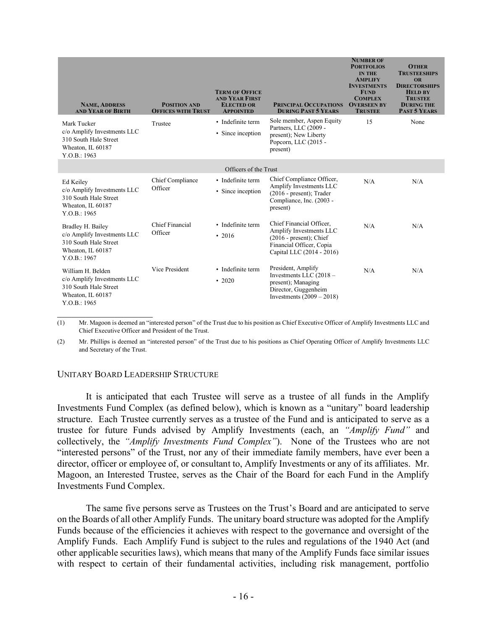| <b>NAME, ADDRESS</b><br><b>AND YEAR OF BIRTH</b>                                                               | <b>POSITION AND</b><br><b>OFFICES WITH TRUST</b> | <b>TERM OF OFFICE</b><br><b>AND YEAR FIRST</b><br><b>ELECTED OR</b><br><b>APPOINTED</b> | <b>PRINCIPAL OCCUPATIONS</b><br><b>DURING PAST 5 YEARS</b>                                                                                 | <b>NUMBER OF</b><br><b>PORTFOLIOS</b><br><b>IN THE</b><br><b>AMPLIFY</b><br><b>INVESTMENTS</b><br><b>FUND</b><br><b>COMPLEX</b><br><b>OVERSEEN BY</b><br><b>TRUSTEE</b> | <b>OTHER</b><br><b>TRUSTEESHIPS</b><br><b>OR</b><br><b>DIRECTORSHIPS</b><br><b>HELD BY</b><br><b>TRUSTEE</b><br><b>DURING THE</b><br><b>PAST 5 YEARS</b> |
|----------------------------------------------------------------------------------------------------------------|--------------------------------------------------|-----------------------------------------------------------------------------------------|--------------------------------------------------------------------------------------------------------------------------------------------|-------------------------------------------------------------------------------------------------------------------------------------------------------------------------|----------------------------------------------------------------------------------------------------------------------------------------------------------|
| Mark Tucker<br>c/o Amplify Investments LLC<br>310 South Hale Street<br>Wheaton, IL 60187<br>Y.O.B.: 1963       | Trustee                                          | • Indefinite term<br>• Since inception                                                  | Sole member, Aspen Equity<br>Partners, LLC (2009 -<br>present); New Liberty<br>Popcorn, LLC (2015 -<br>present)                            | 15                                                                                                                                                                      | None                                                                                                                                                     |
|                                                                                                                |                                                  | Officers of the Trust                                                                   |                                                                                                                                            |                                                                                                                                                                         |                                                                                                                                                          |
| Ed Keiley<br>c/o Amplify Investments LLC<br>310 South Hale Street<br>Wheaton, IL 60187<br>Y.O.B.: 1965         | Chief Compliance<br>Officer                      | • Indefinite term<br>• Since inception                                                  | Chief Compliance Officer,<br>Amplify Investments LLC<br>$(2016 - present)$ ; Trader<br>Compliance, Inc. (2003 -<br>present)                | N/A                                                                                                                                                                     | N/A                                                                                                                                                      |
| Bradley H. Bailey<br>c/o Amplify Investments LLC<br>310 South Hale Street<br>Wheaton, IL 60187<br>Y.O.B.: 1967 | Chief Financial<br>Officer                       | • Indefinite term<br>$\cdot$ 2016                                                       | Chief Financial Officer,<br>Amplify Investments LLC<br>$(2016 - present)$ ; Chief<br>Financial Officer, Copia<br>Capital LLC (2014 - 2016) | N/A                                                                                                                                                                     | N/A                                                                                                                                                      |
| William H. Belden<br>c/o Amplify Investments LLC<br>310 South Hale Street<br>Wheaton, IL 60187<br>Y.O.B.: 1965 | Vice President                                   | • Indefinite term<br>$\cdot$ 2020                                                       | President, Amplify<br>Investments LLC $(2018 -$<br>present); Managing<br>Director, Guggenheim<br>Investments $(2009 - 2018)$               | N/A                                                                                                                                                                     | N/A                                                                                                                                                      |

(1) Mr. Magoon is deemed an "interested person" of the Trust due to his position as Chief Executive Officer of Amplify Investments LLC and Chief Executive Officer and President of the Trust.

(2) Mr. Phillips is deemed an "interested person" of the Trust due to his positions as Chief Operating Officer of Amplify Investments LLC and Secretary of the Trust.

#### UNITARY BOARD LEADERSHIP STRUCTURE

It is anticipated that each Trustee will serve as a trustee of all funds in the Amplify Investments Fund Complex (as defined below), which is known as a "unitary" board leadership structure. Each Trustee currently serves as a trustee of the Fund and is anticipated to serve as a trustee for future Funds advised by Amplify Investments (each, an *"Amplify Fund"* and collectively, the *"Amplify Investments Fund Complex"*). None of the Trustees who are not "interested persons" of the Trust, nor any of their immediate family members, have ever been a director, officer or employee of, or consultant to, Amplify Investments or any of its affiliates. Mr. Magoon, an Interested Trustee, serves as the Chair of the Board for each Fund in the Amplify Investments Fund Complex.

The same five persons serve as Trustees on the Trust's Board and are anticipated to serve on the Boards of all other Amplify Funds. The unitary board structure was adopted for the Amplify Funds because of the efficiencies it achieves with respect to the governance and oversight of the Amplify Funds. Each Amplify Fund is subject to the rules and regulations of the 1940 Act (and other applicable securities laws), which means that many of the Amplify Funds face similar issues with respect to certain of their fundamental activities, including risk management, portfolio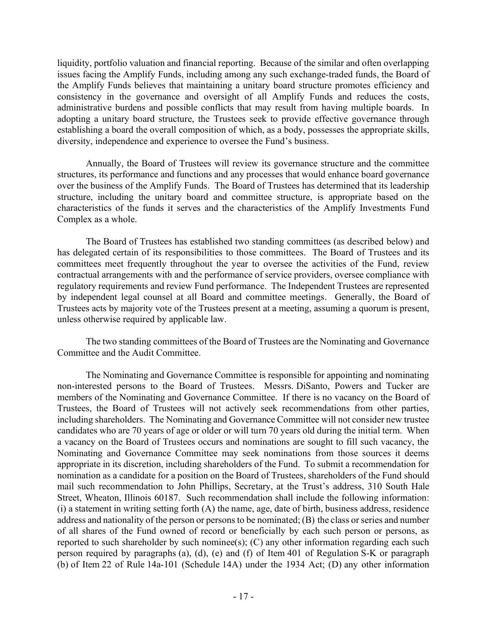liquidity, portfolio valuation and financial reporting. Because of the similar and often overlapping issues facing the Amplify Funds, including among any such exchange-traded funds, the Board of the Amplify Funds believes that maintaining a unitary board structure promotes efficiency and consistency in the governance and oversight of all Amplify Funds and reduces the costs, administrative burdens and possible conflicts that may result from having multiple boards. In adopting a unitary board structure, the Trustees seek to provide effective governance through establishing a board the overall composition of which, as a body, possesses the appropriate skills, diversity, independence and experience to oversee the Fund's business.

Annually, the Board of Trustees will review its governance structure and the committee structures, its performance and functions and any processes that would enhance board governance over the business of the Amplify Funds. The Board of Trustees has determined that its leadership structure, including the unitary board and committee structure, is appropriate based on the characteristics of the funds it serves and the characteristics of the Amplify Investments Fund Complex as a whole.

The Board of Trustees has established two standing committees (as described below) and has delegated certain of its responsibilities to those committees. The Board of Trustees and its committees meet frequently throughout the year to oversee the activities of the Fund, review contractual arrangements with and the performance of service providers, oversee compliance with regulatory requirements and review Fund performance. The Independent Trustees are represented by independent legal counsel at all Board and committee meetings. Generally, the Board of Trustees acts by majority vote of the Trustees present at a meeting, assuming a quorum is present, unless otherwise required by applicable law.

The two standing committees of the Board of Trustees are the Nominating and Governance Committee and the Audit Committee.

The Nominating and Governance Committee is responsible for appointing and nominating non-interested persons to the Board of Trustees. Messrs. DiSanto, Powers and Tucker are members of the Nominating and Governance Committee. If there is no vacancy on the Board of Trustees, the Board of Trustees will not actively seek recommendations from other parties, including shareholders. The Nominating and Governance Committee will not consider new trustee candidates who are 70 years of age or older or will turn 70 years old during the initial term. When a vacancy on the Board of Trustees occurs and nominations are sought to fill such vacancy, the Nominating and Governance Committee may seek nominations from those sources it deems appropriate in its discretion, including shareholders of the Fund. To submit a recommendation for nomination as a candidate for a position on the Board of Trustees, shareholders of the Fund should mail such recommendation to John Phillips, Secretary, at the Trust's address, 310 South Hale Street, Wheaton, Illinois 60187. Such recommendation shall include the following information: (i) a statement in writing setting forth (A) the name, age, date of birth, business address, residence address and nationality of the person or persons to be nominated; (B) the class or series and number of all shares of the Fund owned of record or beneficially by each such person or persons, as reported to such shareholder by such nominee(s);  $(C)$  any other information regarding each such person required by paragraphs (a), (d), (e) and (f) of Item 401 of Regulation S-K or paragraph (b) of Item 22 of Rule 14a-101 (Schedule 14A) under the 1934 Act; (D) any other information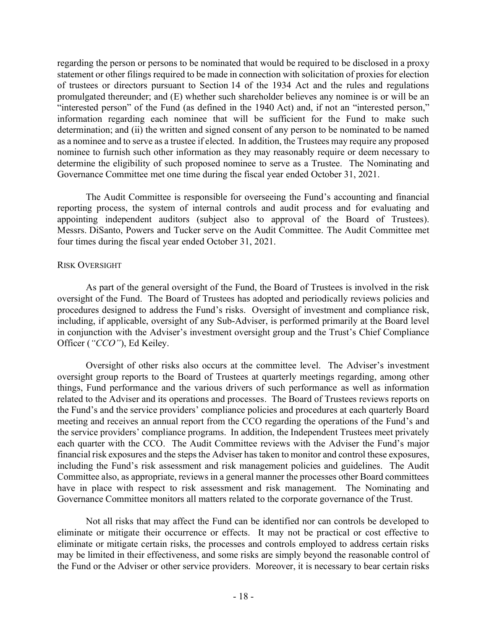regarding the person or persons to be nominated that would be required to be disclosed in a proxy statement or other filings required to be made in connection with solicitation of proxies for election of trustees or directors pursuant to Section 14 of the 1934 Act and the rules and regulations promulgated thereunder; and (E) whether such shareholder believes any nominee is or will be an "interested person" of the Fund (as defined in the 1940 Act) and, if not an "interested person," information regarding each nominee that will be sufficient for the Fund to make such determination; and (ii) the written and signed consent of any person to be nominated to be named as a nominee and to serve as a trustee if elected. In addition, the Trustees may require any proposed nominee to furnish such other information as they may reasonably require or deem necessary to determine the eligibility of such proposed nominee to serve as a Trustee. The Nominating and Governance Committee met one time during the fiscal year ended October 31, 2021.

The Audit Committee is responsible for overseeing the Fund's accounting and financial reporting process, the system of internal controls and audit process and for evaluating and appointing independent auditors (subject also to approval of the Board of Trustees). Messrs. DiSanto, Powers and Tucker serve on the Audit Committee. The Audit Committee met four times during the fiscal year ended October 31, 2021.

### RISK OVERSIGHT

As part of the general oversight of the Fund, the Board of Trustees is involved in the risk oversight of the Fund. The Board of Trustees has adopted and periodically reviews policies and procedures designed to address the Fund's risks. Oversight of investment and compliance risk, including, if applicable, oversight of any Sub-Adviser, is performed primarily at the Board level in conjunction with the Adviser's investment oversight group and the Trust's Chief Compliance Officer (*"CCO"*), Ed Keiley.

Oversight of other risks also occurs at the committee level. The Adviser's investment oversight group reports to the Board of Trustees at quarterly meetings regarding, among other things, Fund performance and the various drivers of such performance as well as information related to the Adviser and its operations and processes. The Board of Trustees reviews reports on the Fund's and the service providers' compliance policies and procedures at each quarterly Board meeting and receives an annual report from the CCO regarding the operations of the Fund's and the service providers' compliance programs. In addition, the Independent Trustees meet privately each quarter with the CCO. The Audit Committee reviews with the Adviser the Fund's major financial risk exposures and the steps the Adviser has taken to monitor and control these exposures, including the Fund's risk assessment and risk management policies and guidelines. The Audit Committee also, as appropriate, reviews in a general manner the processes other Board committees have in place with respect to risk assessment and risk management. The Nominating and Governance Committee monitors all matters related to the corporate governance of the Trust.

Not all risks that may affect the Fund can be identified nor can controls be developed to eliminate or mitigate their occurrence or effects. It may not be practical or cost effective to eliminate or mitigate certain risks, the processes and controls employed to address certain risks may be limited in their effectiveness, and some risks are simply beyond the reasonable control of the Fund or the Adviser or other service providers. Moreover, it is necessary to bear certain risks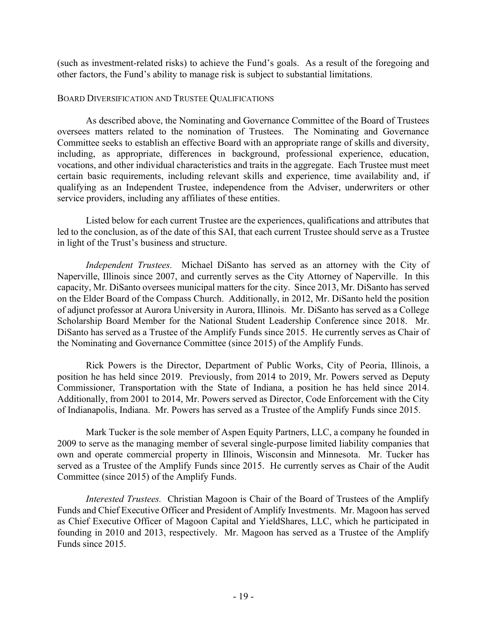(such as investment-related risks) to achieve the Fund's goals. As a result of the foregoing and other factors, the Fund's ability to manage risk is subject to substantial limitations.

### BOARD DIVERSIFICATION AND TRUSTEE QUALIFICATIONS

As described above, the Nominating and Governance Committee of the Board of Trustees oversees matters related to the nomination of Trustees. The Nominating and Governance Committee seeks to establish an effective Board with an appropriate range of skills and diversity, including, as appropriate, differences in background, professional experience, education, vocations, and other individual characteristics and traits in the aggregate. Each Trustee must meet certain basic requirements, including relevant skills and experience, time availability and, if qualifying as an Independent Trustee, independence from the Adviser, underwriters or other service providers, including any affiliates of these entities.

Listed below for each current Trustee are the experiences, qualifications and attributes that led to the conclusion, as of the date of this SAI, that each current Trustee should serve as a Trustee in light of the Trust's business and structure.

*Independent Trustees.* Michael DiSanto has served as an attorney with the City of Naperville, Illinois since 2007, and currently serves as the City Attorney of Naperville. In this capacity, Mr. DiSanto oversees municipal matters for the city. Since 2013, Mr. DiSanto has served on the Elder Board of the Compass Church. Additionally, in 2012, Mr. DiSanto held the position of adjunct professor at Aurora University in Aurora, Illinois. Mr. DiSanto has served as a College Scholarship Board Member for the National Student Leadership Conference since 2018. Mr. DiSanto has served as a Trustee of the Amplify Funds since 2015. He currently serves as Chair of the Nominating and Governance Committee (since 2015) of the Amplify Funds.

Rick Powers is the Director, Department of Public Works, City of Peoria, Illinois, a position he has held since 2019. Previously, from 2014 to 2019, Mr. Powers served as Deputy Commissioner, Transportation with the State of Indiana, a position he has held since 2014. Additionally, from 2001 to 2014, Mr. Powers served as Director, Code Enforcement with the City of Indianapolis, Indiana. Mr. Powers has served as a Trustee of the Amplify Funds since 2015.

Mark Tucker is the sole member of Aspen Equity Partners, LLC, a company he founded in 2009 to serve as the managing member of several single-purpose limited liability companies that own and operate commercial property in Illinois, Wisconsin and Minnesota. Mr. Tucker has served as a Trustee of the Amplify Funds since 2015. He currently serves as Chair of the Audit Committee (since 2015) of the Amplify Funds.

*Interested Trustees.* Christian Magoon is Chair of the Board of Trustees of the Amplify Funds and Chief Executive Officer and President of Amplify Investments. Mr. Magoon has served as Chief Executive Officer of Magoon Capital and YieldShares, LLC, which he participated in founding in 2010 and 2013, respectively. Mr. Magoon has served as a Trustee of the Amplify Funds since 2015.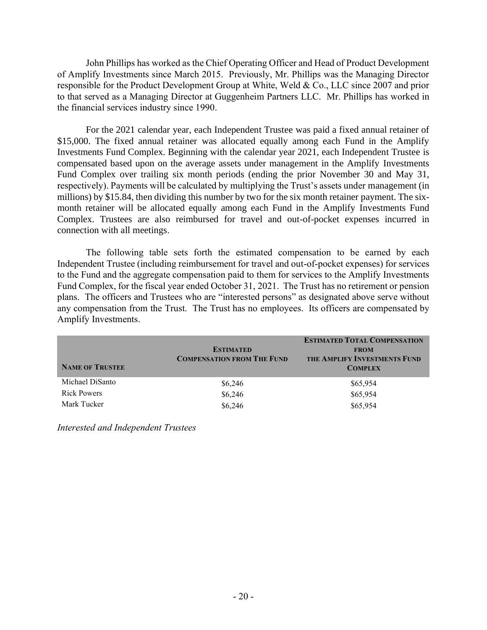John Phillips has worked as the Chief Operating Officer and Head of Product Development of Amplify Investments since March 2015. Previously, Mr. Phillips was the Managing Director responsible for the Product Development Group at White, Weld & Co., LLC since 2007 and prior to that served as a Managing Director at Guggenheim Partners LLC. Mr. Phillips has worked in the financial services industry since 1990.

For the 2021 calendar year, each Independent Trustee was paid a fixed annual retainer of \$15,000. The fixed annual retainer was allocated equally among each Fund in the Amplify Investments Fund Complex. Beginning with the calendar year 2021, each Independent Trustee is compensated based upon on the average assets under management in the Amplify Investments Fund Complex over trailing six month periods (ending the prior November 30 and May 31, respectively). Payments will be calculated by multiplying the Trust's assets under management (in millions) by \$15.84, then dividing this number by two for the six month retainer payment. The sixmonth retainer will be allocated equally among each Fund in the Amplify Investments Fund Complex. Trustees are also reimbursed for travel and out-of-pocket expenses incurred in connection with all meetings.

The following table sets forth the estimated compensation to be earned by each Independent Trustee (including reimbursement for travel and out-of-pocket expenses) for services to the Fund and the aggregate compensation paid to them for services to the Amplify Investments Fund Complex, for the fiscal year ended October 31, 2021. The Trust has no retirement or pension plans. The officers and Trustees who are "interested persons" as designated above serve without any compensation from the Trust. The Trust has no employees. Its officers are compensated by Amplify Investments.

| <b>NAME OF TRUSTEE</b> | <b>ESTIMATED</b><br><b>COMPENSATION FROM THE FUND</b> | <b>ESTIMATED TOTAL COMPENSATION</b><br><b>FROM</b><br>THE AMPLIFY INVESTMENTS FUND<br><b>COMPLEX</b> |
|------------------------|-------------------------------------------------------|------------------------------------------------------------------------------------------------------|
| Michael DiSanto        | \$6,246                                               | \$65,954                                                                                             |
| <b>Rick Powers</b>     | \$6,246                                               | \$65,954                                                                                             |
| Mark Tucker            | \$6,246                                               | \$65,954                                                                                             |

*Interested and Independent Trustees*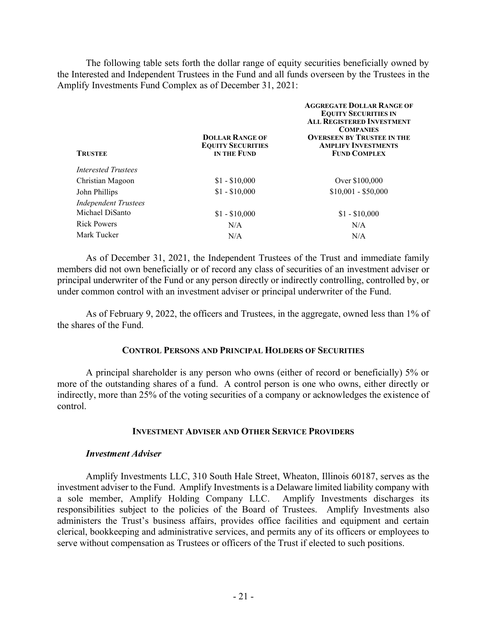The following table sets forth the dollar range of equity securities beneficially owned by the Interested and Independent Trustees in the Fund and all funds overseen by the Trustees in the Amplify Investments Fund Complex as of December 31, 2021:

| <b>TRUSTEE</b>              | <b>DOLLAR RANGE OF</b><br><b>EQUITY SECURITIES</b><br>IN THE FUND | <b>AGGREGATE DOLLAR RANGE OF</b><br><b>EQUITY SECURITIES IN</b><br><b>ALL REGISTERED INVESTMENT</b><br><b>COMPANIES</b><br><b>OVERSEEN BY TRUSTEE IN THE</b><br><b>AMPLIFY INVESTMENTS</b><br><b>FUND COMPLEX</b> |
|-----------------------------|-------------------------------------------------------------------|-------------------------------------------------------------------------------------------------------------------------------------------------------------------------------------------------------------------|
| <b>Interested Trustees</b>  |                                                                   |                                                                                                                                                                                                                   |
| Christian Magoon            | $$1 - $10,000$                                                    | Over \$100,000                                                                                                                                                                                                    |
| John Phillips               | $$1 - $10,000$                                                    | $$10,001 - $50,000$                                                                                                                                                                                               |
| <b>Independent Trustees</b> |                                                                   |                                                                                                                                                                                                                   |
| Michael DiSanto             | $$1 - $10,000$                                                    | $$1 - $10,000$                                                                                                                                                                                                    |
| <b>Rick Powers</b>          | N/A                                                               | N/A                                                                                                                                                                                                               |
| Mark Tucker                 | N/A                                                               | N/A                                                                                                                                                                                                               |
|                             |                                                                   |                                                                                                                                                                                                                   |

As of December 31, 2021, the Independent Trustees of the Trust and immediate family members did not own beneficially or of record any class of securities of an investment adviser or principal underwriter of the Fund or any person directly or indirectly controlling, controlled by, or under common control with an investment adviser or principal underwriter of the Fund.

As of February 9, 2022, the officers and Trustees, in the aggregate, owned less than 1% of the shares of the Fund.

### **CONTROL PERSONS AND PRINCIPAL HOLDERS OF SECURITIES**

A principal shareholder is any person who owns (either of record or beneficially) 5% or more of the outstanding shares of a fund. A control person is one who owns, either directly or indirectly, more than 25% of the voting securities of a company or acknowledges the existence of control.

#### **INVESTMENT ADVISER AND OTHER SERVICE PROVIDERS**

#### *Investment Adviser*

Amplify Investments LLC, 310 South Hale Street, Wheaton, Illinois 60187, serves as the investment adviser to the Fund. Amplify Investments is a Delaware limited liability company with a sole member, Amplify Holding Company LLC. Amplify Investments discharges its responsibilities subject to the policies of the Board of Trustees. Amplify Investments also administers the Trust's business affairs, provides office facilities and equipment and certain clerical, bookkeeping and administrative services, and permits any of its officers or employees to serve without compensation as Trustees or officers of the Trust if elected to such positions.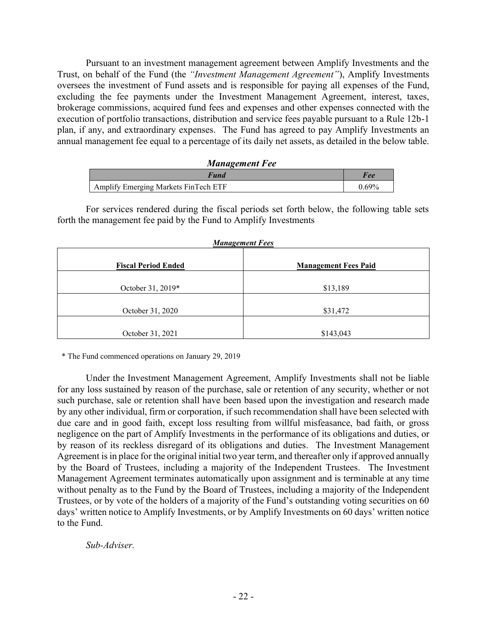Pursuant to an investment management agreement between Amplify Investments and the Trust, on behalf of the Fund (the *"Investment Management Agreement"*), Amplify Investments oversees the investment of Fund assets and is responsible for paying all expenses of the Fund, excluding the fee payments under the Investment Management Agreement, interest, taxes, brokerage commissions, acquired fund fees and expenses and other expenses connected with the execution of portfolio transactions, distribution and service fees payable pursuant to a Rule 12b-1 plan, if any, and extraordinary expenses. The Fund has agreed to pay Amplify Investments an annual management fee equal to a percentage of its daily net assets, as detailed in the below table.

| <b>Management Fee</b>                |       |
|--------------------------------------|-------|
| <b>Fund</b>                          | Fee   |
| Amplify Emerging Markets FinTech ETF | 0.69% |

For services rendered during the fiscal periods set forth below, the following table sets forth the management fee paid by the Fund to Amplify Investments

| <b>Management Fees</b>     |                             |  |
|----------------------------|-----------------------------|--|
| <b>Fiscal Period Ended</b> | <b>Management Fees Paid</b> |  |
| October 31, 2019*          | \$13,189                    |  |
| October 31, 2020           | \$31,472                    |  |
| October 31, 2021           | \$143,043                   |  |

\* The Fund commenced operations on January 29, 2019

Under the Investment Management Agreement, Amplify Investments shall not be liable for any loss sustained by reason of the purchase, sale or retention of any security, whether or not such purchase, sale or retention shall have been based upon the investigation and research made by any other individual, firm or corporation, if such recommendation shall have been selected with due care and in good faith, except loss resulting from willful misfeasance, bad faith, or gross negligence on the part of Amplify Investments in the performance of its obligations and duties, or by reason of its reckless disregard of its obligations and duties. The Investment Management Agreement is in place for the original initial two year term, and thereafter only if approved annually by the Board of Trustees, including a majority of the Independent Trustees. The Investment Management Agreement terminates automatically upon assignment and is terminable at any time without penalty as to the Fund by the Board of Trustees, including a majority of the Independent Trustees, or by vote of the holders of a majority of the Fund's outstanding voting securities on 60 days' written notice to Amplify Investments, or by Amplify Investments on 60 days' written notice to the Fund.

*Sub-Adviser.*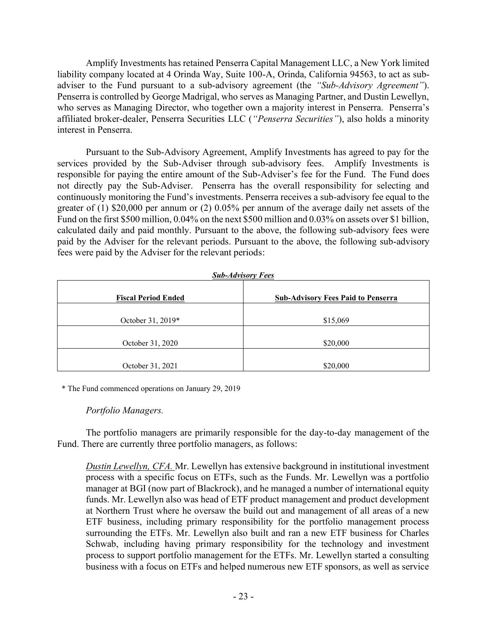Amplify Investments has retained Penserra Capital Management LLC, a New York limited liability company located at 4 Orinda Way, Suite 100-A, Orinda, California 94563, to act as subadviser to the Fund pursuant to a sub-advisory agreement (the *"Sub-Advisory Agreement"*). Penserra is controlled by George Madrigal, who serves as Managing Partner, and Dustin Lewellyn, who serves as Managing Director, who together own a majority interest in Penserra. Penserra's affiliated broker-dealer, Penserra Securities LLC (*"Penserra Securities"*), also holds a minority interest in Penserra.

Pursuant to the Sub-Advisory Agreement, Amplify Investments has agreed to pay for the services provided by the Sub-Adviser through sub-advisory fees. Amplify Investments is responsible for paying the entire amount of the Sub-Adviser's fee for the Fund. The Fund does not directly pay the Sub-Adviser. Penserra has the overall responsibility for selecting and continuously monitoring the Fund's investments. Penserra receives a sub-advisory fee equal to the greater of (1) \$20,000 per annum or (2) 0.05% per annum of the average daily net assets of the Fund on the first \$500 million, 0.04% on the next \$500 million and 0.03% on assets over \$1 billion, calculated daily and paid monthly. Pursuant to the above, the following sub-advisory fees were paid by the Adviser for the relevant periods. Pursuant to the above, the following sub-advisory fees were paid by the Adviser for the relevant periods:

| <b>Sub-Advisory Fees</b>   |                                           |  |
|----------------------------|-------------------------------------------|--|
| <b>Fiscal Period Ended</b> | <b>Sub-Advisory Fees Paid to Penserra</b> |  |
| October 31, 2019*          | \$15,069                                  |  |
| October 31, 2020           | \$20,000                                  |  |
| October 31, 2021           | \$20,000                                  |  |

\* The Fund commenced operations on January 29, 2019

### *Portfolio Managers.*

The portfolio managers are primarily responsible for the day-to-day management of the Fund. There are currently three portfolio managers, as follows:

*Dustin Lewellyn, CFA.* Mr. Lewellyn has extensive background in institutional investment process with a specific focus on ETFs, such as the Funds. Mr. Lewellyn was a portfolio manager at BGI (now part of Blackrock), and he managed a number of international equity funds. Mr. Lewellyn also was head of ETF product management and product development at Northern Trust where he oversaw the build out and management of all areas of a new ETF business, including primary responsibility for the portfolio management process surrounding the ETFs. Mr. Lewellyn also built and ran a new ETF business for Charles Schwab, including having primary responsibility for the technology and investment process to support portfolio management for the ETFs. Mr. Lewellyn started a consulting business with a focus on ETFs and helped numerous new ETF sponsors, as well as service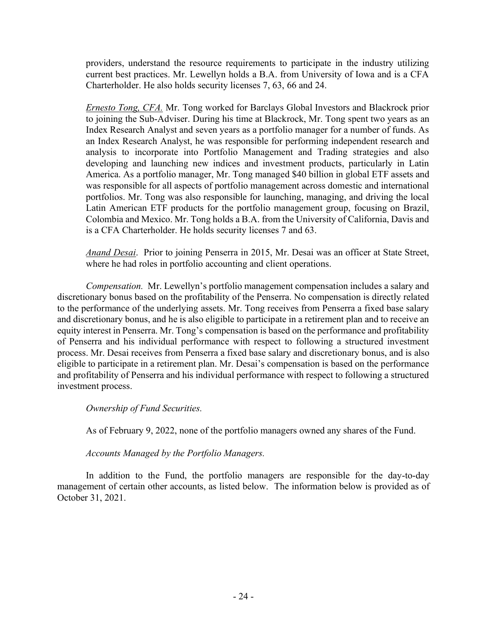providers, understand the resource requirements to participate in the industry utilizing current best practices. Mr. Lewellyn holds a B.A. from University of Iowa and is a CFA Charterholder. He also holds security licenses 7, 63, 66 and 24.

*Ernesto Tong, CFA.* Mr. Tong worked for Barclays Global Investors and Blackrock prior to joining the Sub-Adviser. During his time at Blackrock, Mr. Tong spent two years as an Index Research Analyst and seven years as a portfolio manager for a number of funds. As an Index Research Analyst, he was responsible for performing independent research and analysis to incorporate into Portfolio Management and Trading strategies and also developing and launching new indices and investment products, particularly in Latin America. As a portfolio manager, Mr. Tong managed \$40 billion in global ETF assets and was responsible for all aspects of portfolio management across domestic and international portfolios. Mr. Tong was also responsible for launching, managing, and driving the local Latin American ETF products for the portfolio management group, focusing on Brazil, Colombia and Mexico. Mr. Tong holds a B.A. from the University of California, Davis and is a CFA Charterholder. He holds security licenses 7 and 63.

*Anand Desai*. Prior to joining Penserra in 2015, Mr. Desai was an officer at State Street, where he had roles in portfolio accounting and client operations.

*Compensation.* Mr. Lewellyn's portfolio management compensation includes a salary and discretionary bonus based on the profitability of the Penserra. No compensation is directly related to the performance of the underlying assets. Mr. Tong receives from Penserra a fixed base salary and discretionary bonus, and he is also eligible to participate in a retirement plan and to receive an equity interest in Penserra. Mr. Tong's compensation is based on the performance and profitability of Penserra and his individual performance with respect to following a structured investment process. Mr. Desai receives from Penserra a fixed base salary and discretionary bonus, and is also eligible to participate in a retirement plan. Mr. Desai's compensation is based on the performance and profitability of Penserra and his individual performance with respect to following a structured investment process.

*Ownership of Fund Securities.* 

As of February 9, 2022, none of the portfolio managers owned any shares of the Fund.

*Accounts Managed by the Portfolio Managers.*

In addition to the Fund, the portfolio managers are responsible for the day-to-day management of certain other accounts, as listed below. The information below is provided as of October 31, 2021.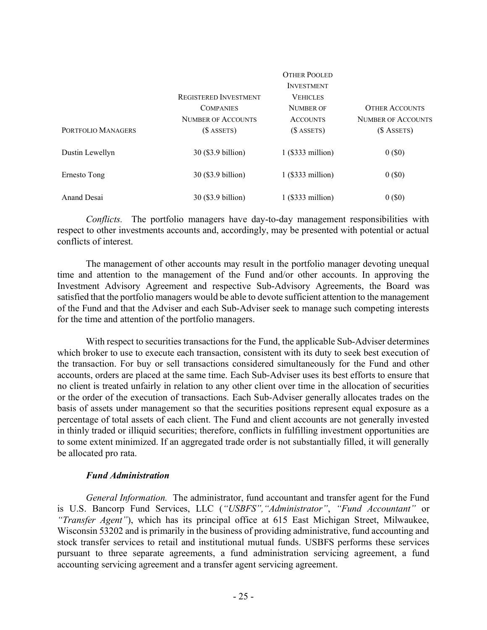|                    |                              | <b>OTHER POOLED</b> |                           |
|--------------------|------------------------------|---------------------|---------------------------|
|                    |                              | <b>INVESTMENT</b>   |                           |
|                    | <b>REGISTERED INVESTMENT</b> | <b>VEHICLES</b>     |                           |
|                    | <b>COMPANIES</b>             | <b>NUMBER OF</b>    | <b>OTHER ACCOUNTS</b>     |
|                    | <b>NUMBER OF ACCOUNTS</b>    | <b>ACCOUNTS</b>     | <b>NUMBER OF ACCOUNTS</b> |
| PORTFOLIO MANAGERS | $($$ ASSETS)                 | $($$ ASSETS)        | $($$ ASSETS)              |
| Dustin Lewellyn    | 30 (\$3.9 billion)           | $1$ (\$333 million) | $0($ \$0 $)$              |
| Ernesto Tong       | 30 (\$3.9 billion)           | $1$ (\$333 million) | $0($ \$0 $)$              |
| Anand Desai        | 30 (\$3.9 billion)           | $1$ (\$333 million) | $0($ \$0 $)$              |

*Conflicts.* The portfolio managers have day-to-day management responsibilities with respect to other investments accounts and, accordingly, may be presented with potential or actual conflicts of interest.

The management of other accounts may result in the portfolio manager devoting unequal time and attention to the management of the Fund and/or other accounts. In approving the Investment Advisory Agreement and respective Sub-Advisory Agreements, the Board was satisfied that the portfolio managers would be able to devote sufficient attention to the management of the Fund and that the Adviser and each Sub-Adviser seek to manage such competing interests for the time and attention of the portfolio managers.

With respect to securities transactions for the Fund, the applicable Sub-Adviser determines which broker to use to execute each transaction, consistent with its duty to seek best execution of the transaction. For buy or sell transactions considered simultaneously for the Fund and other accounts, orders are placed at the same time. Each Sub-Adviser uses its best efforts to ensure that no client is treated unfairly in relation to any other client over time in the allocation of securities or the order of the execution of transactions. Each Sub-Adviser generally allocates trades on the basis of assets under management so that the securities positions represent equal exposure as a percentage of total assets of each client. The Fund and client accounts are not generally invested in thinly traded or illiquid securities; therefore, conflicts in fulfilling investment opportunities are to some extent minimized. If an aggregated trade order is not substantially filled, it will generally be allocated pro rata.

### *Fund Administration*

*General Information.* The administrator, fund accountant and transfer agent for the Fund is U.S. Bancorp Fund Services, LLC (*"USBFS","Administrator"*, *"Fund Accountant"* or *"Transfer Agent"*), which has its principal office at 615 East Michigan Street, Milwaukee, Wisconsin 53202 and is primarily in the business of providing administrative, fund accounting and stock transfer services to retail and institutional mutual funds. USBFS performs these services pursuant to three separate agreements, a fund administration servicing agreement, a fund accounting servicing agreement and a transfer agent servicing agreement.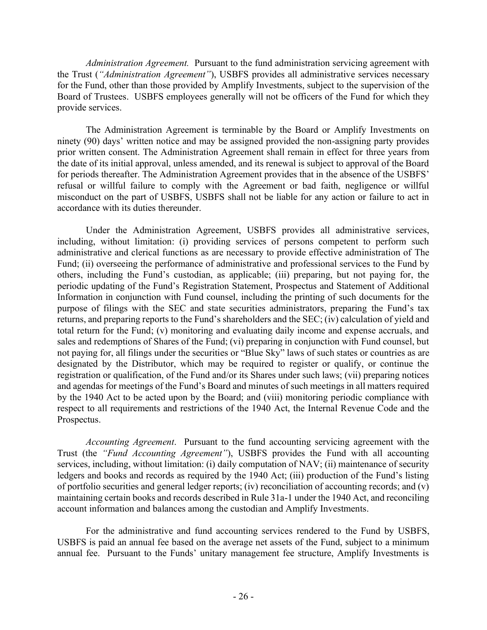*Administration Agreement.* Pursuant to the fund administration servicing agreement with the Trust (*"Administration Agreement"*), USBFS provides all administrative services necessary for the Fund, other than those provided by Amplify Investments, subject to the supervision of the Board of Trustees. USBFS employees generally will not be officers of the Fund for which they provide services.

The Administration Agreement is terminable by the Board or Amplify Investments on ninety (90) days' written notice and may be assigned provided the non-assigning party provides prior written consent. The Administration Agreement shall remain in effect for three years from the date of its initial approval, unless amended, and its renewal is subject to approval of the Board for periods thereafter. The Administration Agreement provides that in the absence of the USBFS' refusal or willful failure to comply with the Agreement or bad faith, negligence or willful misconduct on the part of USBFS, USBFS shall not be liable for any action or failure to act in accordance with its duties thereunder.

Under the Administration Agreement, USBFS provides all administrative services, including, without limitation: (i) providing services of persons competent to perform such administrative and clerical functions as are necessary to provide effective administration of The Fund; (ii) overseeing the performance of administrative and professional services to the Fund by others, including the Fund's custodian, as applicable; (iii) preparing, but not paying for, the periodic updating of the Fund's Registration Statement, Prospectus and Statement of Additional Information in conjunction with Fund counsel, including the printing of such documents for the purpose of filings with the SEC and state securities administrators, preparing the Fund's tax returns, and preparing reports to the Fund's shareholders and the SEC; (iv) calculation of yield and total return for the Fund; (v) monitoring and evaluating daily income and expense accruals, and sales and redemptions of Shares of the Fund; (vi) preparing in conjunction with Fund counsel, but not paying for, all filings under the securities or "Blue Sky" laws of such states or countries as are designated by the Distributor, which may be required to register or qualify, or continue the registration or qualification, of the Fund and/or its Shares under such laws; (vii) preparing notices and agendas for meetings of the Fund's Board and minutes of such meetings in all matters required by the 1940 Act to be acted upon by the Board; and (viii) monitoring periodic compliance with respect to all requirements and restrictions of the 1940 Act, the Internal Revenue Code and the Prospectus.

*Accounting Agreement*. Pursuant to the fund accounting servicing agreement with the Trust (the *"Fund Accounting Agreement"*), USBFS provides the Fund with all accounting services, including, without limitation: (i) daily computation of NAV; (ii) maintenance of security ledgers and books and records as required by the 1940 Act; (iii) production of the Fund's listing of portfolio securities and general ledger reports; (iv) reconciliation of accounting records; and (v) maintaining certain books and records described in Rule 31a-1 under the 1940 Act, and reconciling account information and balances among the custodian and Amplify Investments.

For the administrative and fund accounting services rendered to the Fund by USBFS, USBFS is paid an annual fee based on the average net assets of the Fund, subject to a minimum annual fee. Pursuant to the Funds' unitary management fee structure, Amplify Investments is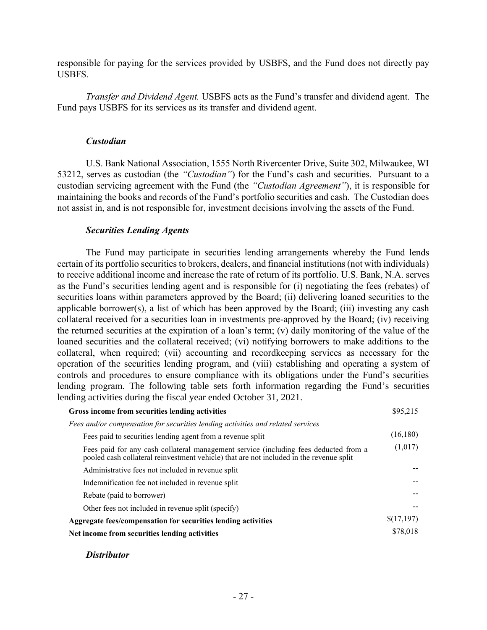responsible for paying for the services provided by USBFS, and the Fund does not directly pay USBFS.

*Transfer and Dividend Agent.* USBFS acts as the Fund's transfer and dividend agent. The Fund pays USBFS for its services as its transfer and dividend agent.

#### *Custodian*

U.S. Bank National Association, 1555 North Rivercenter Drive, Suite 302, Milwaukee, WI 53212, serves as custodian (the *"Custodian"*) for the Fund's cash and securities. Pursuant to a custodian servicing agreement with the Fund (the *"Custodian Agreement"*), it is responsible for maintaining the books and records of the Fund's portfolio securities and cash. The Custodian does not assist in, and is not responsible for, investment decisions involving the assets of the Fund.

### *Securities Lending Agents*

The Fund may participate in securities lending arrangements whereby the Fund lends certain of its portfolio securities to brokers, dealers, and financial institutions (not with individuals) to receive additional income and increase the rate of return of its portfolio. U.S. Bank, N.A. serves as the Fund's securities lending agent and is responsible for (i) negotiating the fees (rebates) of securities loans within parameters approved by the Board; (ii) delivering loaned securities to the applicable borrower(s), a list of which has been approved by the Board; (iii) investing any cash collateral received for a securities loan in investments pre-approved by the Board; (iv) receiving the returned securities at the expiration of a loan's term; (v) daily monitoring of the value of the loaned securities and the collateral received; (vi) notifying borrowers to make additions to the collateral, when required; (vii) accounting and recordkeeping services as necessary for the operation of the securities lending program, and (viii) establishing and operating a system of controls and procedures to ensure compliance with its obligations under the Fund's securities lending program. The following table sets forth information regarding the Fund's securities lending activities during the fiscal year ended October 31, 2021.

| Gross income from securities lending activities                                                                                                                                 | \$95,215   |
|---------------------------------------------------------------------------------------------------------------------------------------------------------------------------------|------------|
| Fees and/or compensation for securities lending activities and related services                                                                                                 |            |
| Fees paid to securities lending agent from a revenue split                                                                                                                      | (16, 180)  |
| Fees paid for any cash collateral management service (including fees deducted from a<br>pooled cash collateral reinvestment vehicle) that are not included in the revenue split | (1,017)    |
| Administrative fees not included in revenue split                                                                                                                               |            |
| Indemnification fee not included in revenue split                                                                                                                               |            |
| Rebate (paid to borrower)                                                                                                                                                       |            |
| Other fees not included in revenue split (specify)                                                                                                                              |            |
| Aggregate fees/compensation for securities lending activities                                                                                                                   | \$(17,197) |
| Net income from securities lending activities                                                                                                                                   | \$78,018   |

*Distributor*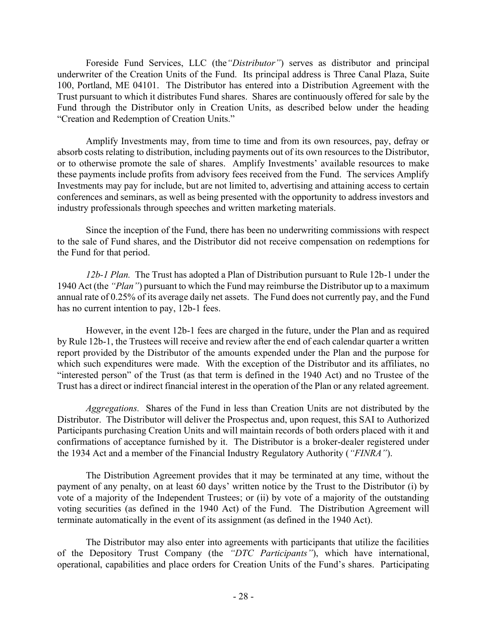Foreside Fund Services, LLC (the*"Distributor"*) serves as distributor and principal underwriter of the Creation Units of the Fund. Its principal address is Three Canal Plaza, Suite 100, Portland, ME 04101. The Distributor has entered into a Distribution Agreement with the Trust pursuant to which it distributes Fund shares. Shares are continuously offered for sale by the Fund through the Distributor only in Creation Units, as described below under the heading "Creation and Redemption of Creation Units."

Amplify Investments may, from time to time and from its own resources, pay, defray or absorb costs relating to distribution, including payments out of its own resources to the Distributor, or to otherwise promote the sale of shares. Amplify Investments' available resources to make these payments include profits from advisory fees received from the Fund. The services Amplify Investments may pay for include, but are not limited to, advertising and attaining access to certain conferences and seminars, as well as being presented with the opportunity to address investors and industry professionals through speeches and written marketing materials.

Since the inception of the Fund, there has been no underwriting commissions with respect to the sale of Fund shares, and the Distributor did not receive compensation on redemptions for the Fund for that period.

*12b-1 Plan.* The Trust has adopted a Plan of Distribution pursuant to Rule 12b-1 under the 1940 Act (the *"Plan"*) pursuant to which the Fund may reimburse the Distributor up to a maximum annual rate of 0.25% of its average daily net assets. The Fund does not currently pay, and the Fund has no current intention to pay, 12b-1 fees.

However, in the event 12b-1 fees are charged in the future, under the Plan and as required by Rule 12b-1, the Trustees will receive and review after the end of each calendar quarter a written report provided by the Distributor of the amounts expended under the Plan and the purpose for which such expenditures were made. With the exception of the Distributor and its affiliates, no "interested person" of the Trust (as that term is defined in the 1940 Act) and no Trustee of the Trust has a direct or indirect financial interest in the operation of the Plan or any related agreement.

*Aggregations.* Shares of the Fund in less than Creation Units are not distributed by the Distributor. The Distributor will deliver the Prospectus and, upon request, this SAI to Authorized Participants purchasing Creation Units and will maintain records of both orders placed with it and confirmations of acceptance furnished by it. The Distributor is a broker-dealer registered under the 1934 Act and a member of the Financial Industry Regulatory Authority (*"FINRA"*).

The Distribution Agreement provides that it may be terminated at any time, without the payment of any penalty, on at least 60 days' written notice by the Trust to the Distributor (i) by vote of a majority of the Independent Trustees; or (ii) by vote of a majority of the outstanding voting securities (as defined in the 1940 Act) of the Fund. The Distribution Agreement will terminate automatically in the event of its assignment (as defined in the 1940 Act).

The Distributor may also enter into agreements with participants that utilize the facilities of the Depository Trust Company (the *"DTC Participants"*), which have international, operational, capabilities and place orders for Creation Units of the Fund's shares. Participating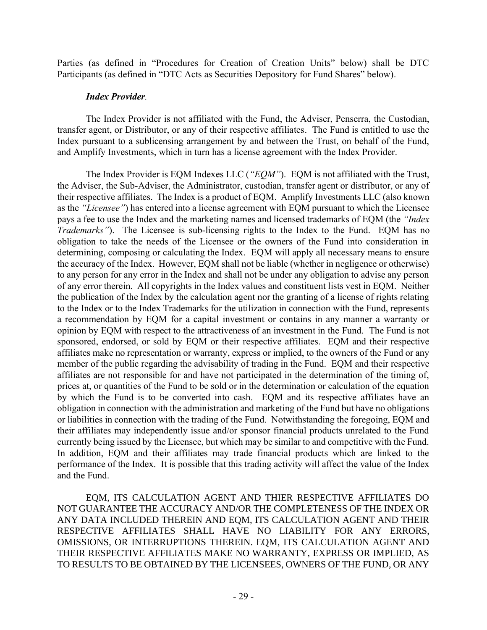Parties (as defined in "Procedures for Creation of Creation Units" below) shall be DTC Participants (as defined in "DTC Acts as Securities Depository for Fund Shares" below).

# *Index Provider.*

The Index Provider is not affiliated with the Fund, the Adviser, Penserra, the Custodian, transfer agent, or Distributor, or any of their respective affiliates. The Fund is entitled to use the Index pursuant to a sublicensing arrangement by and between the Trust, on behalf of the Fund, and Amplify Investments, which in turn has a license agreement with the Index Provider.

The Index Provider is EQM Indexes LLC (*"EQM"*). EQM is not affiliated with the Trust, the Adviser, the Sub-Adviser, the Administrator, custodian, transfer agent or distributor, or any of their respective affiliates. The Index is a product of EQM. Amplify Investments LLC (also known as the *"Licensee"*) has entered into a license agreement with EQM pursuant to which the Licensee pays a fee to use the Index and the marketing names and licensed trademarks of EQM (the *"Index Trademarks*"). The Licensee is sub-licensing rights to the Index to the Fund. EQM has no obligation to take the needs of the Licensee or the owners of the Fund into consideration in determining, composing or calculating the Index. EQM will apply all necessary means to ensure the accuracy of the Index. However, EQM shall not be liable (whether in negligence or otherwise) to any person for any error in the Index and shall not be under any obligation to advise any person of any error therein. All copyrights in the Index values and constituent lists vest in EQM. Neither the publication of the Index by the calculation agent nor the granting of a license of rights relating to the Index or to the Index Trademarks for the utilization in connection with the Fund, represents a recommendation by EQM for a capital investment or contains in any manner a warranty or opinion by EQM with respect to the attractiveness of an investment in the Fund. The Fund is not sponsored, endorsed, or sold by EQM or their respective affiliates. EQM and their respective affiliates make no representation or warranty, express or implied, to the owners of the Fund or any member of the public regarding the advisability of trading in the Fund. EQM and their respective affiliates are not responsible for and have not participated in the determination of the timing of, prices at, or quantities of the Fund to be sold or in the determination or calculation of the equation by which the Fund is to be converted into cash. EQM and its respective affiliates have an obligation in connection with the administration and marketing of the Fund but have no obligations or liabilities in connection with the trading of the Fund. Notwithstanding the foregoing, EQM and their affiliates may independently issue and/or sponsor financial products unrelated to the Fund currently being issued by the Licensee, but which may be similar to and competitive with the Fund. In addition, EQM and their affiliates may trade financial products which are linked to the performance of the Index. It is possible that this trading activity will affect the value of the Index and the Fund.

EQM, ITS CALCULATION AGENT AND THIER RESPECTIVE AFFILIATES DO NOT GUARANTEE THE ACCURACY AND/OR THE COMPLETENESS OF THE INDEX OR ANY DATA INCLUDED THEREIN AND EQM, ITS CALCULATION AGENT AND THEIR RESPECTIVE AFFILIATES SHALL HAVE NO LIABILITY FOR ANY ERRORS, OMISSIONS, OR INTERRUPTIONS THEREIN. EQM, ITS CALCULATION AGENT AND THEIR RESPECTIVE AFFILIATES MAKE NO WARRANTY, EXPRESS OR IMPLIED, AS TO RESULTS TO BE OBTAINED BY THE LICENSEES, OWNERS OF THE FUND, OR ANY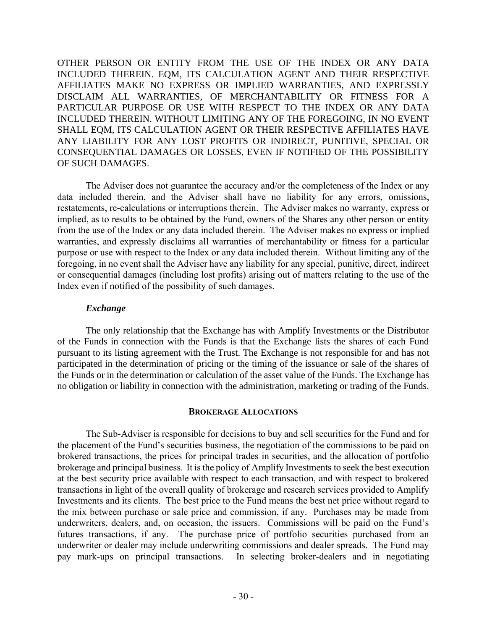OTHER PERSON OR ENTITY FROM THE USE OF THE INDEX OR ANY DATA INCLUDED THEREIN. EQM, ITS CALCULATION AGENT AND THEIR RESPECTIVE AFFILIATES MAKE NO EXPRESS OR IMPLIED WARRANTIES, AND EXPRESSLY DISCLAIM ALL WARRANTIES, OF MERCHANTABILITY OR FITNESS FOR A PARTICULAR PURPOSE OR USE WITH RESPECT TO THE INDEX OR ANY DATA INCLUDED THEREIN. WITHOUT LIMITING ANY OF THE FOREGOING, IN NO EVENT SHALL EQM, ITS CALCULATION AGENT OR THEIR RESPECTIVE AFFILIATES HAVE ANY LIABILITY FOR ANY LOST PROFITS OR INDIRECT, PUNITIVE, SPECIAL OR CONSEQUENTIAL DAMAGES OR LOSSES, EVEN IF NOTIFIED OF THE POSSIBILITY OF SUCH DAMAGES.

The Adviser does not guarantee the accuracy and/or the completeness of the Index or any data included therein, and the Adviser shall have no liability for any errors, omissions, restatements, re-calculations or interruptions therein. The Adviser makes no warranty, express or implied, as to results to be obtained by the Fund, owners of the Shares any other person or entity from the use of the Index or any data included therein. The Adviser makes no express or implied warranties, and expressly disclaims all warranties of merchantability or fitness for a particular purpose or use with respect to the Index or any data included therein. Without limiting any of the foregoing, in no event shall the Adviser have any liability for any special, punitive, direct, indirect or consequential damages (including lost profits) arising out of matters relating to the use of the Index even if notified of the possibility of such damages.

# *Exchange*

The only relationship that the Exchange has with Amplify Investments or the Distributor of the Funds in connection with the Funds is that the Exchange lists the shares of each Fund pursuant to its listing agreement with the Trust. The Exchange is not responsible for and has not participated in the determination of pricing or the timing of the issuance or sale of the shares of the Funds or in the determination or calculation of the asset value of the Funds. The Exchange has no obligation or liability in connection with the administration, marketing or trading of the Funds.

#### **BROKERAGE ALLOCATIONS**

The Sub-Adviser is responsible for decisions to buy and sell securities for the Fund and for the placement of the Fund's securities business, the negotiation of the commissions to be paid on brokered transactions, the prices for principal trades in securities, and the allocation of portfolio brokerage and principal business. It is the policy of Amplify Investments to seek the best execution at the best security price available with respect to each transaction, and with respect to brokered transactions in light of the overall quality of brokerage and research services provided to Amplify Investments and its clients. The best price to the Fund means the best net price without regard to the mix between purchase or sale price and commission, if any. Purchases may be made from underwriters, dealers, and, on occasion, the issuers. Commissions will be paid on the Fund's futures transactions, if any. The purchase price of portfolio securities purchased from an underwriter or dealer may include underwriting commissions and dealer spreads. The Fund may pay mark-ups on principal transactions. In selecting broker-dealers and in negotiating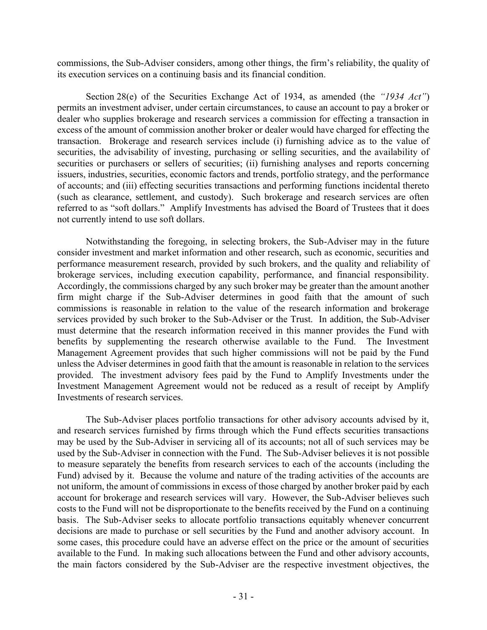commissions, the Sub-Adviser considers, among other things, the firm's reliability, the quality of its execution services on a continuing basis and its financial condition.

Section 28(e) of the Securities Exchange Act of 1934, as amended (the *"1934 Act"*) permits an investment adviser, under certain circumstances, to cause an account to pay a broker or dealer who supplies brokerage and research services a commission for effecting a transaction in excess of the amount of commission another broker or dealer would have charged for effecting the transaction. Brokerage and research services include (i) furnishing advice as to the value of securities, the advisability of investing, purchasing or selling securities, and the availability of securities or purchasers or sellers of securities; (ii) furnishing analyses and reports concerning issuers, industries, securities, economic factors and trends, portfolio strategy, and the performance of accounts; and (iii) effecting securities transactions and performing functions incidental thereto (such as clearance, settlement, and custody). Such brokerage and research services are often referred to as "soft dollars." Amplify Investments has advised the Board of Trustees that it does not currently intend to use soft dollars.

Notwithstanding the foregoing, in selecting brokers, the Sub-Adviser may in the future consider investment and market information and other research, such as economic, securities and performance measurement research, provided by such brokers, and the quality and reliability of brokerage services, including execution capability, performance, and financial responsibility. Accordingly, the commissions charged by any such broker may be greater than the amount another firm might charge if the Sub-Adviser determines in good faith that the amount of such commissions is reasonable in relation to the value of the research information and brokerage services provided by such broker to the Sub-Adviser or the Trust. In addition, the Sub-Adviser must determine that the research information received in this manner provides the Fund with benefits by supplementing the research otherwise available to the Fund. The Investment Management Agreement provides that such higher commissions will not be paid by the Fund unless the Adviser determines in good faith that the amount is reasonable in relation to the services provided. The investment advisory fees paid by the Fund to Amplify Investments under the Investment Management Agreement would not be reduced as a result of receipt by Amplify Investments of research services.

The Sub-Adviser places portfolio transactions for other advisory accounts advised by it, and research services furnished by firms through which the Fund effects securities transactions may be used by the Sub-Adviser in servicing all of its accounts; not all of such services may be used by the Sub-Adviser in connection with the Fund. The Sub-Adviser believes it is not possible to measure separately the benefits from research services to each of the accounts (including the Fund) advised by it. Because the volume and nature of the trading activities of the accounts are not uniform, the amount of commissions in excess of those charged by another broker paid by each account for brokerage and research services will vary. However, the Sub-Adviser believes such costs to the Fund will not be disproportionate to the benefits received by the Fund on a continuing basis. The Sub-Adviser seeks to allocate portfolio transactions equitably whenever concurrent decisions are made to purchase or sell securities by the Fund and another advisory account. In some cases, this procedure could have an adverse effect on the price or the amount of securities available to the Fund. In making such allocations between the Fund and other advisory accounts, the main factors considered by the Sub-Adviser are the respective investment objectives, the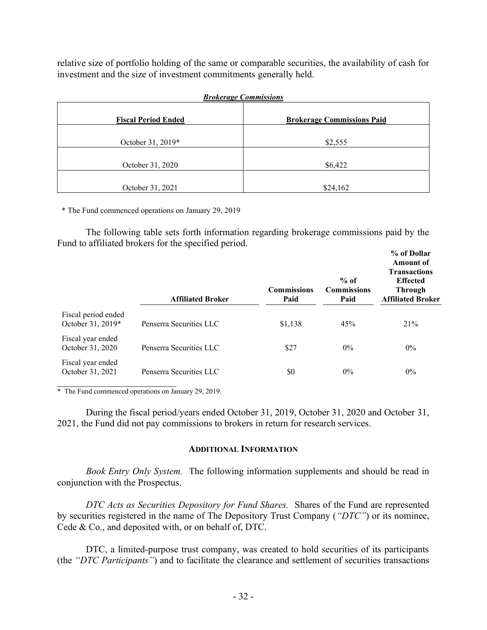relative size of portfolio holding of the same or comparable securities, the availability of cash for investment and the size of investment commitments generally held.

| <b>Brokerage Commissions</b> |                                   |  |
|------------------------------|-----------------------------------|--|
| <b>Fiscal Period Ended</b>   | <b>Brokerage Commissions Paid</b> |  |
| October 31, 2019*            | \$2,555                           |  |
| October 31, 2020             | \$6,422                           |  |
| October 31, 2021             | \$24,162                          |  |

\* The Fund commenced operations on January 29, 2019

The following table sets forth information regarding brokerage commissions paid by the Fund to affiliated brokers for the specified period.  $\theta$  of **Dollar** 

|                                          | <b>Affiliated Broker</b> | <b>Commissions</b><br>Paid | $%$ of<br><b>Commissions</b><br>Paid | 70 VI DUHAL<br><b>Amount of</b><br><b>Transactions</b><br><b>Effected</b><br><b>Through</b><br><b>Affiliated Broker</b> |
|------------------------------------------|--------------------------|----------------------------|--------------------------------------|-------------------------------------------------------------------------------------------------------------------------|
| Fiscal period ended<br>October 31, 2019* | Penserra Securities LLC  | \$1,138                    | 45%                                  | 21%                                                                                                                     |
| Fiscal year ended<br>October 31, 2020    | Penserra Securities LLC  | \$27                       | $0\%$                                | $0\%$                                                                                                                   |
| Fiscal year ended<br>October 31, 2021    | Penserra Securities LLC  | \$0                        | $0\%$                                | $0\%$                                                                                                                   |
|                                          |                          |                            |                                      |                                                                                                                         |

\* The Fund commenced operations on January 29, 2019.

During the fiscal period/years ended October 31, 2019, October 31, 2020 and October 31, 2021, the Fund did not pay commissions to brokers in return for research services.

#### **ADDITIONAL INFORMATION**

*Book Entry Only System.* The following information supplements and should be read in conjunction with the Prospectus.

*DTC Acts as Securities Depository for Fund Shares.* Shares of the Fund are represented by securities registered in the name of The Depository Trust Company (*"DTC"*) or its nominee, Cede & Co., and deposited with, or on behalf of, DTC.

DTC, a limited-purpose trust company, was created to hold securities of its participants (the *"DTC Participants"*) and to facilitate the clearance and settlement of securities transactions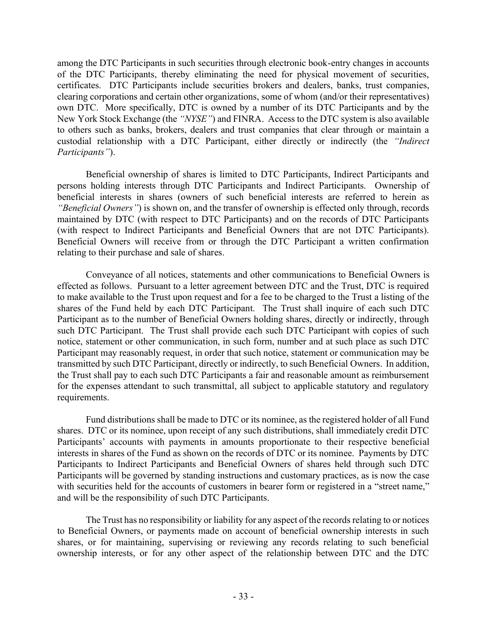among the DTC Participants in such securities through electronic book-entry changes in accounts of the DTC Participants, thereby eliminating the need for physical movement of securities, certificates. DTC Participants include securities brokers and dealers, banks, trust companies, clearing corporations and certain other organizations, some of whom (and/or their representatives) own DTC. More specifically, DTC is owned by a number of its DTC Participants and by the New York Stock Exchange (the *"NYSE"*) and FINRA. Access to the DTC system is also available to others such as banks, brokers, dealers and trust companies that clear through or maintain a custodial relationship with a DTC Participant, either directly or indirectly (the *"Indirect Participants"*).

Beneficial ownership of shares is limited to DTC Participants, Indirect Participants and persons holding interests through DTC Participants and Indirect Participants. Ownership of beneficial interests in shares (owners of such beneficial interests are referred to herein as *"Beneficial Owners"*) is shown on, and the transfer of ownership is effected only through, records maintained by DTC (with respect to DTC Participants) and on the records of DTC Participants (with respect to Indirect Participants and Beneficial Owners that are not DTC Participants). Beneficial Owners will receive from or through the DTC Participant a written confirmation relating to their purchase and sale of shares.

Conveyance of all notices, statements and other communications to Beneficial Owners is effected as follows. Pursuant to a letter agreement between DTC and the Trust, DTC is required to make available to the Trust upon request and for a fee to be charged to the Trust a listing of the shares of the Fund held by each DTC Participant. The Trust shall inquire of each such DTC Participant as to the number of Beneficial Owners holding shares, directly or indirectly, through such DTC Participant. The Trust shall provide each such DTC Participant with copies of such notice, statement or other communication, in such form, number and at such place as such DTC Participant may reasonably request, in order that such notice, statement or communication may be transmitted by such DTC Participant, directly or indirectly, to such Beneficial Owners. In addition, the Trust shall pay to each such DTC Participants a fair and reasonable amount as reimbursement for the expenses attendant to such transmittal, all subject to applicable statutory and regulatory requirements.

Fund distributions shall be made to DTC or its nominee, as the registered holder of all Fund shares. DTC or its nominee, upon receipt of any such distributions, shall immediately credit DTC Participants' accounts with payments in amounts proportionate to their respective beneficial interests in shares of the Fund as shown on the records of DTC or its nominee. Payments by DTC Participants to Indirect Participants and Beneficial Owners of shares held through such DTC Participants will be governed by standing instructions and customary practices, as is now the case with securities held for the accounts of customers in bearer form or registered in a "street name," and will be the responsibility of such DTC Participants.

The Trust has no responsibility or liability for any aspect of the records relating to or notices to Beneficial Owners, or payments made on account of beneficial ownership interests in such shares, or for maintaining, supervising or reviewing any records relating to such beneficial ownership interests, or for any other aspect of the relationship between DTC and the DTC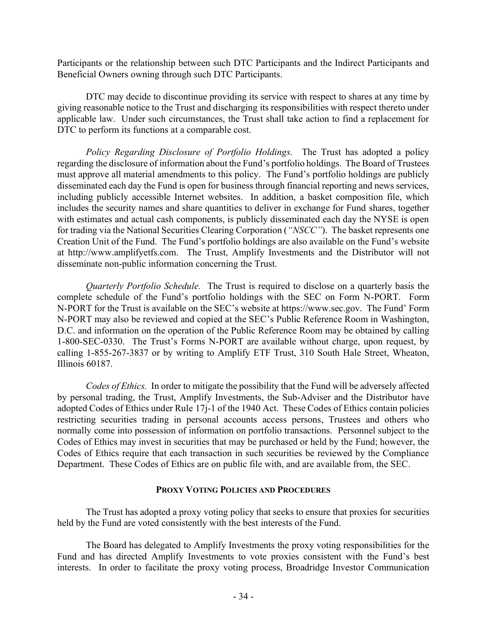Participants or the relationship between such DTC Participants and the Indirect Participants and Beneficial Owners owning through such DTC Participants.

DTC may decide to discontinue providing its service with respect to shares at any time by giving reasonable notice to the Trust and discharging its responsibilities with respect thereto under applicable law. Under such circumstances, the Trust shall take action to find a replacement for DTC to perform its functions at a comparable cost.

*Policy Regarding Disclosure of Portfolio Holdings.* The Trust has adopted a policy regarding the disclosure of information about the Fund's portfolio holdings. The Board of Trustees must approve all material amendments to this policy. The Fund's portfolio holdings are publicly disseminated each day the Fund is open for business through financial reporting and news services, including publicly accessible Internet websites. In addition, a basket composition file, which includes the security names and share quantities to deliver in exchange for Fund shares, together with estimates and actual cash components, is publicly disseminated each day the NYSE is open for trading via the National Securities Clearing Corporation (*"NSCC"*). The basket represents one Creation Unit of the Fund. The Fund's portfolio holdings are also available on the Fund's website at http://www.amplifyetfs.com. The Trust, Amplify Investments and the Distributor will not disseminate non-public information concerning the Trust.

*Quarterly Portfolio Schedule.* The Trust is required to disclose on a quarterly basis the complete schedule of the Fund's portfolio holdings with the SEC on Form N-PORT. Form N-PORT for the Trust is available on the SEC's website at https://www.sec.gov. The Fund' Form N-PORT may also be reviewed and copied at the SEC's Public Reference Room in Washington, D.C. and information on the operation of the Public Reference Room may be obtained by calling 1-800-SEC-0330. The Trust's Forms N-PORT are available without charge, upon request, by calling 1-855-267-3837 or by writing to Amplify ETF Trust, 310 South Hale Street, Wheaton, Illinois 60187.

*Codes of Ethics.* In order to mitigate the possibility that the Fund will be adversely affected by personal trading, the Trust, Amplify Investments, the Sub-Adviser and the Distributor have adopted Codes of Ethics under Rule 17j-1 of the 1940 Act. These Codes of Ethics contain policies restricting securities trading in personal accounts access persons, Trustees and others who normally come into possession of information on portfolio transactions. Personnel subject to the Codes of Ethics may invest in securities that may be purchased or held by the Fund; however, the Codes of Ethics require that each transaction in such securities be reviewed by the Compliance Department. These Codes of Ethics are on public file with, and are available from, the SEC.

### **PROXY VOTING POLICIES AND PROCEDURES**

The Trust has adopted a proxy voting policy that seeks to ensure that proxies for securities held by the Fund are voted consistently with the best interests of the Fund.

The Board has delegated to Amplify Investments the proxy voting responsibilities for the Fund and has directed Amplify Investments to vote proxies consistent with the Fund's best interests. In order to facilitate the proxy voting process, Broadridge Investor Communication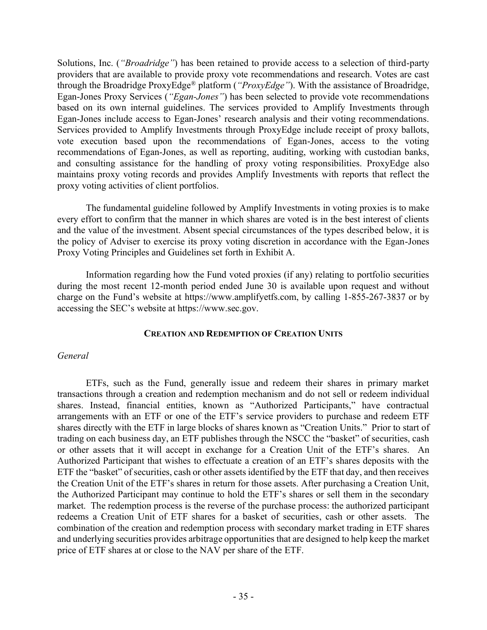Solutions, Inc. (*"Broadridge"*) has been retained to provide access to a selection of third-party providers that are available to provide proxy vote recommendations and research. Votes are cast through the Broadridge ProxyEdge® platform (*"ProxyEdge"*). With the assistance of Broadridge, Egan-Jones Proxy Services (*"Egan-Jones"*) has been selected to provide vote recommendations based on its own internal guidelines. The services provided to Amplify Investments through Egan-Jones include access to Egan-Jones' research analysis and their voting recommendations. Services provided to Amplify Investments through ProxyEdge include receipt of proxy ballots, vote execution based upon the recommendations of Egan-Jones, access to the voting recommendations of Egan-Jones, as well as reporting, auditing, working with custodian banks, and consulting assistance for the handling of proxy voting responsibilities. ProxyEdge also maintains proxy voting records and provides Amplify Investments with reports that reflect the proxy voting activities of client portfolios.

The fundamental guideline followed by Amplify Investments in voting proxies is to make every effort to confirm that the manner in which shares are voted is in the best interest of clients and the value of the investment. Absent special circumstances of the types described below, it is the policy of Adviser to exercise its proxy voting discretion in accordance with the Egan-Jones Proxy Voting Principles and Guidelines set forth in Exhibit A.

Information regarding how the Fund voted proxies (if any) relating to portfolio securities during the most recent 12-month period ended June 30 is available upon request and without charge on the Fund's website at https://www.amplifyetfs.com, by calling 1-855-267-3837 or by accessing the SEC's website at https://www.sec.gov.

# **CREATION AND REDEMPTION OF CREATION UNITS**

# *General*

ETFs, such as the Fund, generally issue and redeem their shares in primary market transactions through a creation and redemption mechanism and do not sell or redeem individual shares. Instead, financial entities, known as "Authorized Participants," have contractual arrangements with an ETF or one of the ETF's service providers to purchase and redeem ETF shares directly with the ETF in large blocks of shares known as "Creation Units." Prior to start of trading on each business day, an ETF publishes through the NSCC the "basket" of securities, cash or other assets that it will accept in exchange for a Creation Unit of the ETF's shares. An Authorized Participant that wishes to effectuate a creation of an ETF's shares deposits with the ETF the "basket" of securities, cash or other assets identified by the ETF that day, and then receives the Creation Unit of the ETF's shares in return for those assets. After purchasing a Creation Unit, the Authorized Participant may continue to hold the ETF's shares or sell them in the secondary market. The redemption process is the reverse of the purchase process: the authorized participant redeems a Creation Unit of ETF shares for a basket of securities, cash or other assets. The combination of the creation and redemption process with secondary market trading in ETF shares and underlying securities provides arbitrage opportunities that are designed to help keep the market price of ETF shares at or close to the NAV per share of the ETF.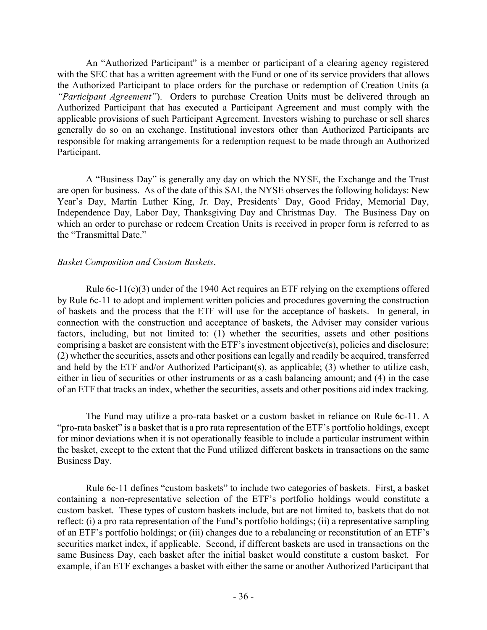An "Authorized Participant" is a member or participant of a clearing agency registered with the SEC that has a written agreement with the Fund or one of its service providers that allows the Authorized Participant to place orders for the purchase or redemption of Creation Units (a *"Participant Agreement"*). Orders to purchase Creation Units must be delivered through an Authorized Participant that has executed a Participant Agreement and must comply with the applicable provisions of such Participant Agreement. Investors wishing to purchase or sell shares generally do so on an exchange. Institutional investors other than Authorized Participants are responsible for making arrangements for a redemption request to be made through an Authorized Participant.

A "Business Day" is generally any day on which the NYSE, the Exchange and the Trust are open for business. As of the date of this SAI, the NYSE observes the following holidays: New Year's Day, Martin Luther King, Jr. Day, Presidents' Day, Good Friday, Memorial Day, Independence Day, Labor Day, Thanksgiving Day and Christmas Day. The Business Day on which an order to purchase or redeem Creation Units is received in proper form is referred to as the "Transmittal Date."

# *Basket Composition and Custom Baskets*.

Rule 6c-11(c)(3) under of the 1940 Act requires an ETF relying on the exemptions offered by Rule 6c-11 to adopt and implement written policies and procedures governing the construction of baskets and the process that the ETF will use for the acceptance of baskets. In general, in connection with the construction and acceptance of baskets, the Adviser may consider various factors, including, but not limited to: (1) whether the securities, assets and other positions comprising a basket are consistent with the ETF's investment objective(s), policies and disclosure; (2) whether the securities, assets and other positions can legally and readily be acquired, transferred and held by the ETF and/or Authorized Participant(s), as applicable; (3) whether to utilize cash, either in lieu of securities or other instruments or as a cash balancing amount; and (4) in the case of an ETF that tracks an index, whether the securities, assets and other positions aid index tracking.

The Fund may utilize a pro-rata basket or a custom basket in reliance on Rule 6c-11. A "pro-rata basket" is a basket that is a pro rata representation of the ETF's portfolio holdings, except for minor deviations when it is not operationally feasible to include a particular instrument within the basket, except to the extent that the Fund utilized different baskets in transactions on the same Business Day.

Rule 6c-11 defines "custom baskets" to include two categories of baskets. First, a basket containing a non-representative selection of the ETF's portfolio holdings would constitute a custom basket. These types of custom baskets include, but are not limited to, baskets that do not reflect: (i) a pro rata representation of the Fund's portfolio holdings; (ii) a representative sampling of an ETF's portfolio holdings; or (iii) changes due to a rebalancing or reconstitution of an ETF's securities market index, if applicable. Second, if different baskets are used in transactions on the same Business Day, each basket after the initial basket would constitute a custom basket. For example, if an ETF exchanges a basket with either the same or another Authorized Participant that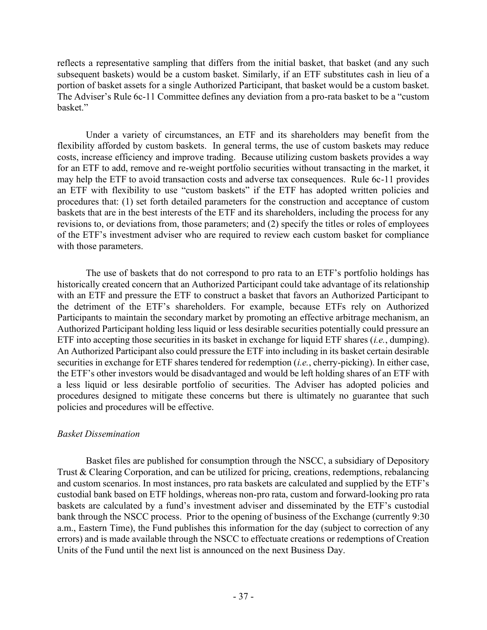reflects a representative sampling that differs from the initial basket, that basket (and any such subsequent baskets) would be a custom basket. Similarly, if an ETF substitutes cash in lieu of a portion of basket assets for a single Authorized Participant, that basket would be a custom basket. The Adviser's Rule 6c-11 Committee defines any deviation from a pro-rata basket to be a "custom basket."

Under a variety of circumstances, an ETF and its shareholders may benefit from the flexibility afforded by custom baskets. In general terms, the use of custom baskets may reduce costs, increase efficiency and improve trading. Because utilizing custom baskets provides a way for an ETF to add, remove and re-weight portfolio securities without transacting in the market, it may help the ETF to avoid transaction costs and adverse tax consequences. Rule 6c-11 provides an ETF with flexibility to use "custom baskets" if the ETF has adopted written policies and procedures that: (1) set forth detailed parameters for the construction and acceptance of custom baskets that are in the best interests of the ETF and its shareholders, including the process for any revisions to, or deviations from, those parameters; and (2) specify the titles or roles of employees of the ETF's investment adviser who are required to review each custom basket for compliance with those parameters.

The use of baskets that do not correspond to pro rata to an ETF's portfolio holdings has historically created concern that an Authorized Participant could take advantage of its relationship with an ETF and pressure the ETF to construct a basket that favors an Authorized Participant to the detriment of the ETF's shareholders. For example, because ETFs rely on Authorized Participants to maintain the secondary market by promoting an effective arbitrage mechanism, an Authorized Participant holding less liquid or less desirable securities potentially could pressure an ETF into accepting those securities in its basket in exchange for liquid ETF shares (*i.e.*, dumping). An Authorized Participant also could pressure the ETF into including in its basket certain desirable securities in exchange for ETF shares tendered for redemption (*i.e.*, cherry-picking). In either case, the ETF's other investors would be disadvantaged and would be left holding shares of an ETF with a less liquid or less desirable portfolio of securities. The Adviser has adopted policies and procedures designed to mitigate these concerns but there is ultimately no guarantee that such policies and procedures will be effective.

# *Basket Dissemination*

Basket files are published for consumption through the NSCC, a subsidiary of Depository Trust & Clearing Corporation, and can be utilized for pricing, creations, redemptions, rebalancing and custom scenarios. In most instances, pro rata baskets are calculated and supplied by the ETF's custodial bank based on ETF holdings, whereas non-pro rata, custom and forward-looking pro rata baskets are calculated by a fund's investment adviser and disseminated by the ETF's custodial bank through the NSCC process. Prior to the opening of business of the Exchange (currently 9:30 a.m., Eastern Time), the Fund publishes this information for the day (subject to correction of any errors) and is made available through the NSCC to effectuate creations or redemptions of Creation Units of the Fund until the next list is announced on the next Business Day.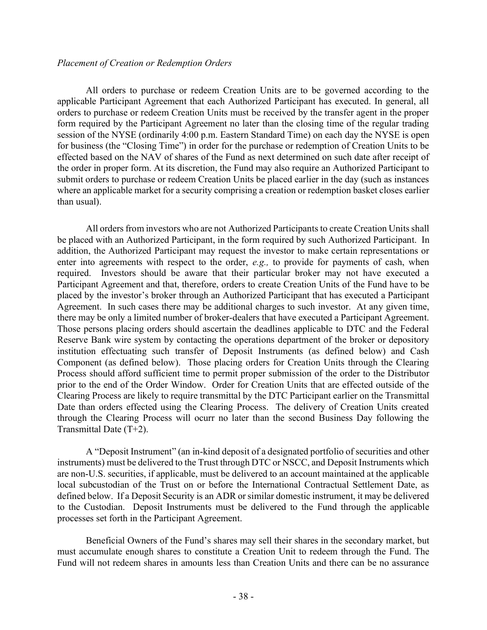## *Placement of Creation or Redemption Orders*

All orders to purchase or redeem Creation Units are to be governed according to the applicable Participant Agreement that each Authorized Participant has executed. In general, all orders to purchase or redeem Creation Units must be received by the transfer agent in the proper form required by the Participant Agreement no later than the closing time of the regular trading session of the NYSE (ordinarily 4:00 p.m. Eastern Standard Time) on each day the NYSE is open for business (the "Closing Time") in order for the purchase or redemption of Creation Units to be effected based on the NAV of shares of the Fund as next determined on such date after receipt of the order in proper form. At its discretion, the Fund may also require an Authorized Participant to submit orders to purchase or redeem Creation Units be placed earlier in the day (such as instances where an applicable market for a security comprising a creation or redemption basket closes earlier than usual).

All orders from investors who are not Authorized Participants to create Creation Units shall be placed with an Authorized Participant, in the form required by such Authorized Participant. In addition, the Authorized Participant may request the investor to make certain representations or enter into agreements with respect to the order, *e.g.,* to provide for payments of cash, when required. Investors should be aware that their particular broker may not have executed a Participant Agreement and that, therefore, orders to create Creation Units of the Fund have to be placed by the investor's broker through an Authorized Participant that has executed a Participant Agreement. In such cases there may be additional charges to such investor. At any given time, there may be only a limited number of broker-dealers that have executed a Participant Agreement. Those persons placing orders should ascertain the deadlines applicable to DTC and the Federal Reserve Bank wire system by contacting the operations department of the broker or depository institution effectuating such transfer of Deposit Instruments (as defined below) and Cash Component (as defined below). Those placing orders for Creation Units through the Clearing Process should afford sufficient time to permit proper submission of the order to the Distributor prior to the end of the Order Window. Order for Creation Units that are effected outside of the Clearing Process are likely to require transmittal by the DTC Participant earlier on the Transmittal Date than orders effected using the Clearing Process. The delivery of Creation Units created through the Clearing Process will ocurr no later than the second Business Day following the Transmittal Date (T+2).

A "Deposit Instrument" (an in-kind deposit of a designated portfolio of securities and other instruments) must be delivered to the Trust through DTC or NSCC, and Deposit Instruments which are non-U.S. securities, if applicable, must be delivered to an account maintained at the applicable local subcustodian of the Trust on or before the International Contractual Settlement Date, as defined below. If a Deposit Security is an ADR or similar domestic instrument, it may be delivered to the Custodian. Deposit Instruments must be delivered to the Fund through the applicable processes set forth in the Participant Agreement.

Beneficial Owners of the Fund's shares may sell their shares in the secondary market, but must accumulate enough shares to constitute a Creation Unit to redeem through the Fund. The Fund will not redeem shares in amounts less than Creation Units and there can be no assurance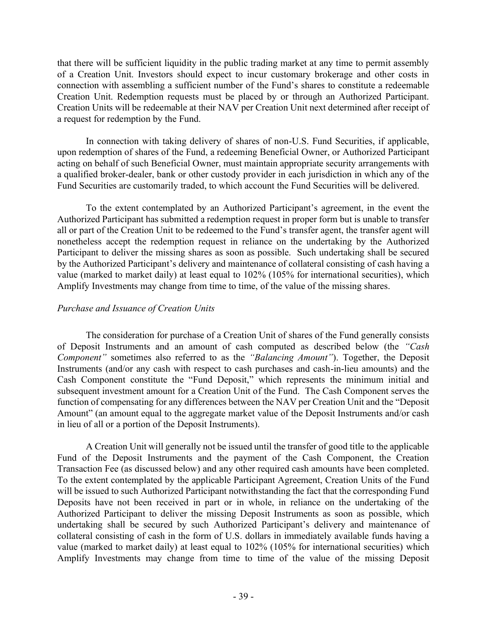that there will be sufficient liquidity in the public trading market at any time to permit assembly of a Creation Unit. Investors should expect to incur customary brokerage and other costs in connection with assembling a sufficient number of the Fund's shares to constitute a redeemable Creation Unit. Redemption requests must be placed by or through an Authorized Participant. Creation Units will be redeemable at their NAV per Creation Unit next determined after receipt of a request for redemption by the Fund.

In connection with taking delivery of shares of non-U.S. Fund Securities, if applicable, upon redemption of shares of the Fund, a redeeming Beneficial Owner, or Authorized Participant acting on behalf of such Beneficial Owner, must maintain appropriate security arrangements with a qualified broker-dealer, bank or other custody provider in each jurisdiction in which any of the Fund Securities are customarily traded, to which account the Fund Securities will be delivered.

To the extent contemplated by an Authorized Participant's agreement, in the event the Authorized Participant has submitted a redemption request in proper form but is unable to transfer all or part of the Creation Unit to be redeemed to the Fund's transfer agent, the transfer agent will nonetheless accept the redemption request in reliance on the undertaking by the Authorized Participant to deliver the missing shares as soon as possible. Such undertaking shall be secured by the Authorized Participant's delivery and maintenance of collateral consisting of cash having a value (marked to market daily) at least equal to 102% (105% for international securities), which Amplify Investments may change from time to time, of the value of the missing shares.

# *Purchase and Issuance of Creation Units*

The consideration for purchase of a Creation Unit of shares of the Fund generally consists of Deposit Instruments and an amount of cash computed as described below (the *"Cash Component"* sometimes also referred to as the *"Balancing Amount"*). Together, the Deposit Instruments (and/or any cash with respect to cash purchases and cash-in-lieu amounts) and the Cash Component constitute the "Fund Deposit," which represents the minimum initial and subsequent investment amount for a Creation Unit of the Fund. The Cash Component serves the function of compensating for any differences between the NAV per Creation Unit and the "Deposit Amount" (an amount equal to the aggregate market value of the Deposit Instruments and/or cash in lieu of all or a portion of the Deposit Instruments).

A Creation Unit will generally not be issued until the transfer of good title to the applicable Fund of the Deposit Instruments and the payment of the Cash Component, the Creation Transaction Fee (as discussed below) and any other required cash amounts have been completed. To the extent contemplated by the applicable Participant Agreement, Creation Units of the Fund will be issued to such Authorized Participant notwithstanding the fact that the corresponding Fund Deposits have not been received in part or in whole, in reliance on the undertaking of the Authorized Participant to deliver the missing Deposit Instruments as soon as possible, which undertaking shall be secured by such Authorized Participant's delivery and maintenance of collateral consisting of cash in the form of U.S. dollars in immediately available funds having a value (marked to market daily) at least equal to 102% (105% for international securities) which Amplify Investments may change from time to time of the value of the missing Deposit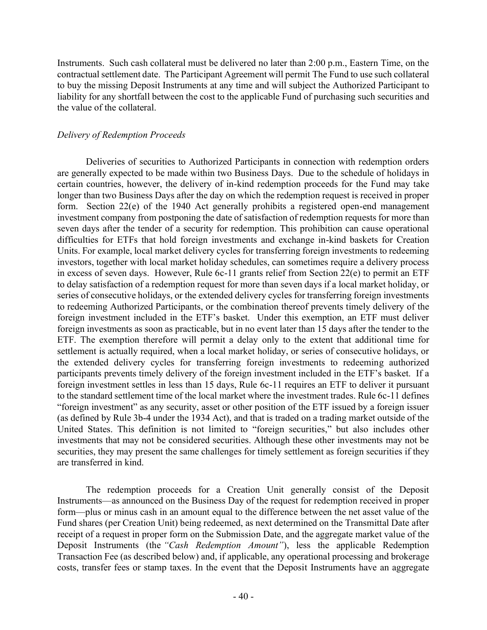Instruments. Such cash collateral must be delivered no later than 2:00 p.m., Eastern Time, on the contractual settlement date. The Participant Agreement will permit The Fund to use such collateral to buy the missing Deposit Instruments at any time and will subject the Authorized Participant to liability for any shortfall between the cost to the applicable Fund of purchasing such securities and the value of the collateral.

# *Delivery of Redemption Proceeds*

Deliveries of securities to Authorized Participants in connection with redemption orders are generally expected to be made within two Business Days. Due to the schedule of holidays in certain countries, however, the delivery of in-kind redemption proceeds for the Fund may take longer than two Business Days after the day on which the redemption request is received in proper form. Section 22(e) of the 1940 Act generally prohibits a registered open-end management investment company from postponing the date of satisfaction of redemption requests for more than seven days after the tender of a security for redemption. This prohibition can cause operational difficulties for ETFs that hold foreign investments and exchange in-kind baskets for Creation Units. For example, local market delivery cycles for transferring foreign investments to redeeming investors, together with local market holiday schedules, can sometimes require a delivery process in excess of seven days. However, Rule 6c-11 grants relief from Section 22(e) to permit an ETF to delay satisfaction of a redemption request for more than seven days if a local market holiday, or series of consecutive holidays, or the extended delivery cycles for transferring foreign investments to redeeming Authorized Participants, or the combination thereof prevents timely delivery of the foreign investment included in the ETF's basket. Under this exemption, an ETF must deliver foreign investments as soon as practicable, but in no event later than 15 days after the tender to the ETF. The exemption therefore will permit a delay only to the extent that additional time for settlement is actually required, when a local market holiday, or series of consecutive holidays, or the extended delivery cycles for transferring foreign investments to redeeming authorized participants prevents timely delivery of the foreign investment included in the ETF's basket. If a foreign investment settles in less than 15 days, Rule 6c-11 requires an ETF to deliver it pursuant to the standard settlement time of the local market where the investment trades. Rule 6c-11 defines "foreign investment" as any security, asset or other position of the ETF issued by a foreign issuer (as defined by Rule 3b-4 under the 1934 Act), and that is traded on a trading market outside of the United States. This definition is not limited to "foreign securities," but also includes other investments that may not be considered securities. Although these other investments may not be securities, they may present the same challenges for timely settlement as foreign securities if they are transferred in kind.

The redemption proceeds for a Creation Unit generally consist of the Deposit Instruments—as announced on the Business Day of the request for redemption received in proper form—plus or minus cash in an amount equal to the difference between the net asset value of the Fund shares (per Creation Unit) being redeemed, as next determined on the Transmittal Date after receipt of a request in proper form on the Submission Date, and the aggregate market value of the Deposit Instruments (the *"Cash Redemption Amount"*), less the applicable Redemption Transaction Fee (as described below) and, if applicable, any operational processing and brokerage costs, transfer fees or stamp taxes. In the event that the Deposit Instruments have an aggregate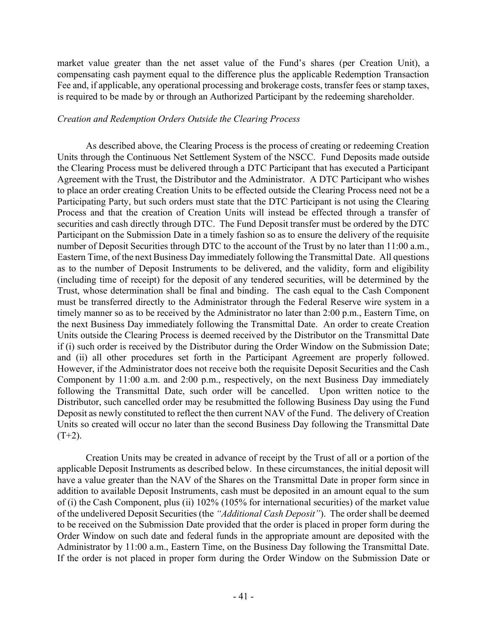market value greater than the net asset value of the Fund's shares (per Creation Unit), a compensating cash payment equal to the difference plus the applicable Redemption Transaction Fee and, if applicable, any operational processing and brokerage costs, transfer fees or stamp taxes, is required to be made by or through an Authorized Participant by the redeeming shareholder.

# *Creation and Redemption Orders Outside the Clearing Process*

As described above, the Clearing Process is the process of creating or redeeming Creation Units through the Continuous Net Settlement System of the NSCC. Fund Deposits made outside the Clearing Process must be delivered through a DTC Participant that has executed a Participant Agreement with the Trust, the Distributor and the Administrator. A DTC Participant who wishes to place an order creating Creation Units to be effected outside the Clearing Process need not be a Participating Party, but such orders must state that the DTC Participant is not using the Clearing Process and that the creation of Creation Units will instead be effected through a transfer of securities and cash directly through DTC. The Fund Deposit transfer must be ordered by the DTC Participant on the Submission Date in a timely fashion so as to ensure the delivery of the requisite number of Deposit Securities through DTC to the account of the Trust by no later than 11:00 a.m., Eastern Time, of the next Business Day immediately following the Transmittal Date. All questions as to the number of Deposit Instruments to be delivered, and the validity, form and eligibility (including time of receipt) for the deposit of any tendered securities, will be determined by the Trust, whose determination shall be final and binding. The cash equal to the Cash Component must be transferred directly to the Administrator through the Federal Reserve wire system in a timely manner so as to be received by the Administrator no later than 2:00 p.m., Eastern Time, on the next Business Day immediately following the Transmittal Date. An order to create Creation Units outside the Clearing Process is deemed received by the Distributor on the Transmittal Date if (i) such order is received by the Distributor during the Order Window on the Submission Date; and (ii) all other procedures set forth in the Participant Agreement are properly followed. However, if the Administrator does not receive both the requisite Deposit Securities and the Cash Component by 11:00 a.m. and 2:00 p.m., respectively, on the next Business Day immediately following the Transmittal Date, such order will be cancelled. Upon written notice to the Distributor, such cancelled order may be resubmitted the following Business Day using the Fund Deposit as newly constituted to reflect the then current NAV of the Fund. The delivery of Creation Units so created will occur no later than the second Business Day following the Transmittal Date  $(T+2)$ .

Creation Units may be created in advance of receipt by the Trust of all or a portion of the applicable Deposit Instruments as described below. In these circumstances, the initial deposit will have a value greater than the NAV of the Shares on the Transmittal Date in proper form since in addition to available Deposit Instruments, cash must be deposited in an amount equal to the sum of (i) the Cash Component, plus (ii) 102% (105% for international securities) of the market value of the undelivered Deposit Securities (the *"Additional Cash Deposit"*). The order shall be deemed to be received on the Submission Date provided that the order is placed in proper form during the Order Window on such date and federal funds in the appropriate amount are deposited with the Administrator by 11:00 a.m., Eastern Time, on the Business Day following the Transmittal Date. If the order is not placed in proper form during the Order Window on the Submission Date or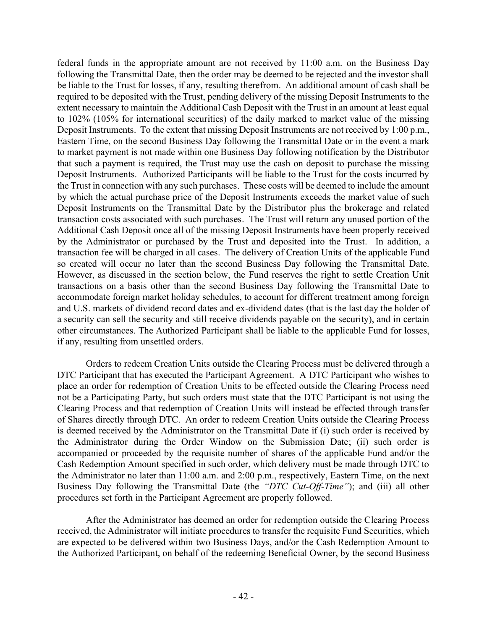federal funds in the appropriate amount are not received by 11:00 a.m. on the Business Day following the Transmittal Date, then the order may be deemed to be rejected and the investor shall be liable to the Trust for losses, if any, resulting therefrom. An additional amount of cash shall be required to be deposited with the Trust, pending delivery of the missing Deposit Instruments to the extent necessary to maintain the Additional Cash Deposit with the Trust in an amount at least equal to 102% (105% for international securities) of the daily marked to market value of the missing Deposit Instruments. To the extent that missing Deposit Instruments are not received by 1:00 p.m., Eastern Time, on the second Business Day following the Transmittal Date or in the event a mark to market payment is not made within one Business Day following notification by the Distributor that such a payment is required, the Trust may use the cash on deposit to purchase the missing Deposit Instruments. Authorized Participants will be liable to the Trust for the costs incurred by the Trust in connection with any such purchases. These costs will be deemed to include the amount by which the actual purchase price of the Deposit Instruments exceeds the market value of such Deposit Instruments on the Transmittal Date by the Distributor plus the brokerage and related transaction costs associated with such purchases. The Trust will return any unused portion of the Additional Cash Deposit once all of the missing Deposit Instruments have been properly received by the Administrator or purchased by the Trust and deposited into the Trust. In addition, a transaction fee will be charged in all cases. The delivery of Creation Units of the applicable Fund so created will occur no later than the second Business Day following the Transmittal Date. However, as discussed in the section below, the Fund reserves the right to settle Creation Unit transactions on a basis other than the second Business Day following the Transmittal Date to accommodate foreign market holiday schedules, to account for different treatment among foreign and U.S. markets of dividend record dates and ex-dividend dates (that is the last day the holder of a security can sell the security and still receive dividends payable on the security), and in certain other circumstances. The Authorized Participant shall be liable to the applicable Fund for losses, if any, resulting from unsettled orders.

Orders to redeem Creation Units outside the Clearing Process must be delivered through a DTC Participant that has executed the Participant Agreement. A DTC Participant who wishes to place an order for redemption of Creation Units to be effected outside the Clearing Process need not be a Participating Party, but such orders must state that the DTC Participant is not using the Clearing Process and that redemption of Creation Units will instead be effected through transfer of Shares directly through DTC. An order to redeem Creation Units outside the Clearing Process is deemed received by the Administrator on the Transmittal Date if (i) such order is received by the Administrator during the Order Window on the Submission Date; (ii) such order is accompanied or proceeded by the requisite number of shares of the applicable Fund and/or the Cash Redemption Amount specified in such order, which delivery must be made through DTC to the Administrator no later than 11:00 a.m. and 2:00 p.m., respectively, Eastern Time, on the next Business Day following the Transmittal Date (the *"DTC Cut-Off-Time"*); and (iii) all other procedures set forth in the Participant Agreement are properly followed.

After the Administrator has deemed an order for redemption outside the Clearing Process received, the Administrator will initiate procedures to transfer the requisite Fund Securities, which are expected to be delivered within two Business Days, and/or the Cash Redemption Amount to the Authorized Participant, on behalf of the redeeming Beneficial Owner, by the second Business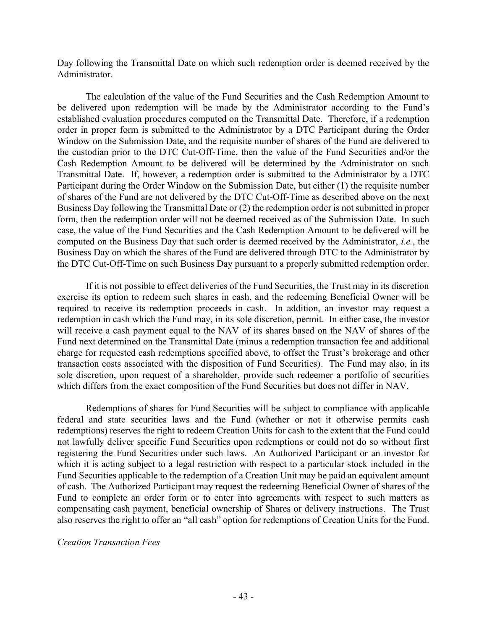Day following the Transmittal Date on which such redemption order is deemed received by the Administrator.

The calculation of the value of the Fund Securities and the Cash Redemption Amount to be delivered upon redemption will be made by the Administrator according to the Fund's established evaluation procedures computed on the Transmittal Date. Therefore, if a redemption order in proper form is submitted to the Administrator by a DTC Participant during the Order Window on the Submission Date, and the requisite number of shares of the Fund are delivered to the custodian prior to the DTC Cut-Off-Time, then the value of the Fund Securities and/or the Cash Redemption Amount to be delivered will be determined by the Administrator on such Transmittal Date. If, however, a redemption order is submitted to the Administrator by a DTC Participant during the Order Window on the Submission Date, but either (1) the requisite number of shares of the Fund are not delivered by the DTC Cut-Off-Time as described above on the next Business Day following the Transmittal Date or (2) the redemption order is not submitted in proper form, then the redemption order will not be deemed received as of the Submission Date. In such case, the value of the Fund Securities and the Cash Redemption Amount to be delivered will be computed on the Business Day that such order is deemed received by the Administrator, *i.e.*, the Business Day on which the shares of the Fund are delivered through DTC to the Administrator by the DTC Cut-Off-Time on such Business Day pursuant to a properly submitted redemption order.

If it is not possible to effect deliveries of the Fund Securities, the Trust may in its discretion exercise its option to redeem such shares in cash, and the redeeming Beneficial Owner will be required to receive its redemption proceeds in cash. In addition, an investor may request a redemption in cash which the Fund may, in its sole discretion, permit. In either case, the investor will receive a cash payment equal to the NAV of its shares based on the NAV of shares of the Fund next determined on the Transmittal Date (minus a redemption transaction fee and additional charge for requested cash redemptions specified above, to offset the Trust's brokerage and other transaction costs associated with the disposition of Fund Securities). The Fund may also, in its sole discretion, upon request of a shareholder, provide such redeemer a portfolio of securities which differs from the exact composition of the Fund Securities but does not differ in NAV.

Redemptions of shares for Fund Securities will be subject to compliance with applicable federal and state securities laws and the Fund (whether or not it otherwise permits cash redemptions) reserves the right to redeem Creation Units for cash to the extent that the Fund could not lawfully deliver specific Fund Securities upon redemptions or could not do so without first registering the Fund Securities under such laws. An Authorized Participant or an investor for which it is acting subject to a legal restriction with respect to a particular stock included in the Fund Securities applicable to the redemption of a Creation Unit may be paid an equivalent amount of cash. The Authorized Participant may request the redeeming Beneficial Owner of shares of the Fund to complete an order form or to enter into agreements with respect to such matters as compensating cash payment, beneficial ownership of Shares or delivery instructions. The Trust also reserves the right to offer an "all cash" option for redemptions of Creation Units for the Fund.

# *Creation Transaction Fees*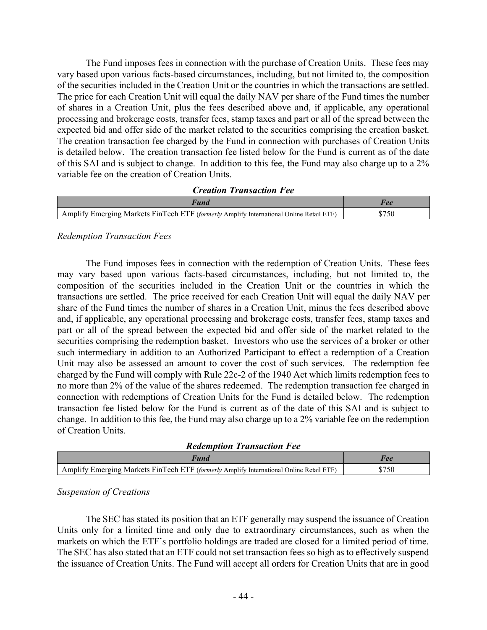The Fund imposes fees in connection with the purchase of Creation Units. These fees may vary based upon various facts-based circumstances, including, but not limited to, the composition of the securities included in the Creation Unit or the countries in which the transactions are settled. The price for each Creation Unit will equal the daily NAV per share of the Fund times the number of shares in a Creation Unit, plus the fees described above and, if applicable, any operational processing and brokerage costs, transfer fees, stamp taxes and part or all of the spread between the expected bid and offer side of the market related to the securities comprising the creation basket. The creation transaction fee charged by the Fund in connection with purchases of Creation Units is detailed below. The creation transaction fee listed below for the Fund is current as of the date of this SAI and is subject to change. In addition to this fee, the Fund may also charge up to a 2% variable fee on the creation of Creation Units.

| <b>Creation Transaction Fee</b>                                                         |       |  |
|-----------------------------------------------------------------------------------------|-------|--|
| Fund                                                                                    | Fee   |  |
| Amplify Emerging Markets FinTech ETF (formerly Amplify International Online Retail ETF) | \$750 |  |

# *Redemption Transaction Fees*

The Fund imposes fees in connection with the redemption of Creation Units. These fees may vary based upon various facts-based circumstances, including, but not limited to, the composition of the securities included in the Creation Unit or the countries in which the transactions are settled. The price received for each Creation Unit will equal the daily NAV per share of the Fund times the number of shares in a Creation Unit, minus the fees described above and, if applicable, any operational processing and brokerage costs, transfer fees, stamp taxes and part or all of the spread between the expected bid and offer side of the market related to the securities comprising the redemption basket. Investors who use the services of a broker or other such intermediary in addition to an Authorized Participant to effect a redemption of a Creation Unit may also be assessed an amount to cover the cost of such services. The redemption fee charged by the Fund will comply with Rule 22c-2 of the 1940 Act which limits redemption fees to no more than 2% of the value of the shares redeemed. The redemption transaction fee charged in connection with redemptions of Creation Units for the Fund is detailed below. The redemption transaction fee listed below for the Fund is current as of the date of this SAI and is subject to change. In addition to this fee, the Fund may also charge up to a 2% variable fee on the redemption of Creation Units.

*Redemption Transaction Fee*

| Amplify Emerging Markets FinTech ETF (formerly Amplify International Online Retail ETF) |  |
|-----------------------------------------------------------------------------------------|--|

# *Suspension of Creations*

The SEC has stated its position that an ETF generally may suspend the issuance of Creation Units only for a limited time and only due to extraordinary circumstances, such as when the markets on which the ETF's portfolio holdings are traded are closed for a limited period of time. The SEC has also stated that an ETF could not set transaction fees so high as to effectively suspend the issuance of Creation Units. The Fund will accept all orders for Creation Units that are in good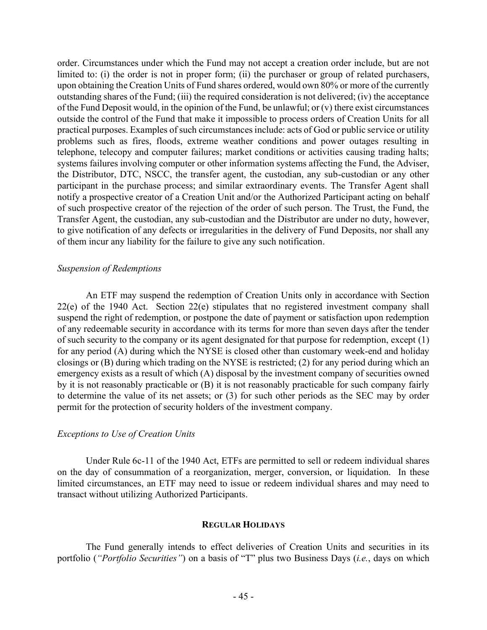order. Circumstances under which the Fund may not accept a creation order include, but are not limited to: (i) the order is not in proper form; (ii) the purchaser or group of related purchasers, upon obtaining the Creation Units of Fund shares ordered, would own 80% or more of the currently outstanding shares of the Fund; (iii) the required consideration is not delivered; (iv) the acceptance of the Fund Deposit would, in the opinion of the Fund, be unlawful; or  $(v)$  there exist circumstances outside the control of the Fund that make it impossible to process orders of Creation Units for all practical purposes. Examples of such circumstances include: acts of God or public service or utility problems such as fires, floods, extreme weather conditions and power outages resulting in telephone, telecopy and computer failures; market conditions or activities causing trading halts; systems failures involving computer or other information systems affecting the Fund, the Adviser, the Distributor, DTC, NSCC, the transfer agent, the custodian, any sub-custodian or any other participant in the purchase process; and similar extraordinary events. The Transfer Agent shall notify a prospective creator of a Creation Unit and/or the Authorized Participant acting on behalf of such prospective creator of the rejection of the order of such person. The Trust, the Fund, the Transfer Agent, the custodian, any sub-custodian and the Distributor are under no duty, however, to give notification of any defects or irregularities in the delivery of Fund Deposits, nor shall any of them incur any liability for the failure to give any such notification.

## *Suspension of Redemptions*

An ETF may suspend the redemption of Creation Units only in accordance with Section 22(e) of the 1940 Act. Section 22(e) stipulates that no registered investment company shall suspend the right of redemption, or postpone the date of payment or satisfaction upon redemption of any redeemable security in accordance with its terms for more than seven days after the tender of such security to the company or its agent designated for that purpose for redemption, except (1) for any period (A) during which the NYSE is closed other than customary week-end and holiday closings or (B) during which trading on the NYSE is restricted; (2) for any period during which an emergency exists as a result of which (A) disposal by the investment company of securities owned by it is not reasonably practicable or (B) it is not reasonably practicable for such company fairly to determine the value of its net assets; or (3) for such other periods as the SEC may by order permit for the protection of security holders of the investment company.

# *Exceptions to Use of Creation Units*

Under Rule 6c-11 of the 1940 Act, ETFs are permitted to sell or redeem individual shares on the day of consummation of a reorganization, merger, conversion, or liquidation. In these limited circumstances, an ETF may need to issue or redeem individual shares and may need to transact without utilizing Authorized Participants.

# **REGULAR HOLIDAYS**

The Fund generally intends to effect deliveries of Creation Units and securities in its portfolio (*"Portfolio Securities"*) on a basis of "T" plus two Business Days (*i.e.*, days on which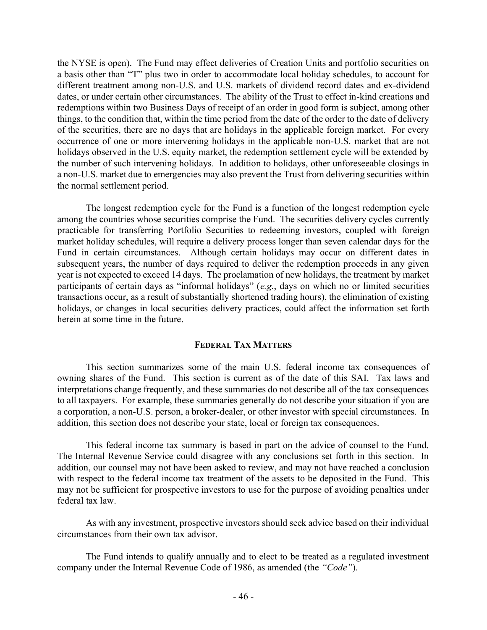the NYSE is open). The Fund may effect deliveries of Creation Units and portfolio securities on a basis other than "T" plus two in order to accommodate local holiday schedules, to account for different treatment among non-U.S. and U.S. markets of dividend record dates and ex-dividend dates, or under certain other circumstances. The ability of the Trust to effect in-kind creations and redemptions within two Business Days of receipt of an order in good form is subject, among other things, to the condition that, within the time period from the date of the order to the date of delivery of the securities, there are no days that are holidays in the applicable foreign market. For every occurrence of one or more intervening holidays in the applicable non-U.S. market that are not holidays observed in the U.S. equity market, the redemption settlement cycle will be extended by the number of such intervening holidays. In addition to holidays, other unforeseeable closings in a non-U.S. market due to emergencies may also prevent the Trust from delivering securities within the normal settlement period.

The longest redemption cycle for the Fund is a function of the longest redemption cycle among the countries whose securities comprise the Fund. The securities delivery cycles currently practicable for transferring Portfolio Securities to redeeming investors, coupled with foreign market holiday schedules, will require a delivery process longer than seven calendar days for the Fund in certain circumstances. Although certain holidays may occur on different dates in subsequent years, the number of days required to deliver the redemption proceeds in any given year is not expected to exceed 14 days. The proclamation of new holidays, the treatment by market participants of certain days as "informal holidays" (*e.g.*, days on which no or limited securities transactions occur, as a result of substantially shortened trading hours), the elimination of existing holidays, or changes in local securities delivery practices, could affect the information set forth herein at some time in the future.

## **FEDERAL TAX MATTERS**

This section summarizes some of the main U.S. federal income tax consequences of owning shares of the Fund. This section is current as of the date of this SAI. Tax laws and interpretations change frequently, and these summaries do not describe all of the tax consequences to all taxpayers. For example, these summaries generally do not describe your situation if you are a corporation, a non-U.S. person, a broker-dealer, or other investor with special circumstances. In addition, this section does not describe your state, local or foreign tax consequences.

This federal income tax summary is based in part on the advice of counsel to the Fund. The Internal Revenue Service could disagree with any conclusions set forth in this section. In addition, our counsel may not have been asked to review, and may not have reached a conclusion with respect to the federal income tax treatment of the assets to be deposited in the Fund. This may not be sufficient for prospective investors to use for the purpose of avoiding penalties under federal tax law.

As with any investment, prospective investors should seek advice based on their individual circumstances from their own tax advisor.

The Fund intends to qualify annually and to elect to be treated as a regulated investment company under the Internal Revenue Code of 1986, as amended (the *"Code"*).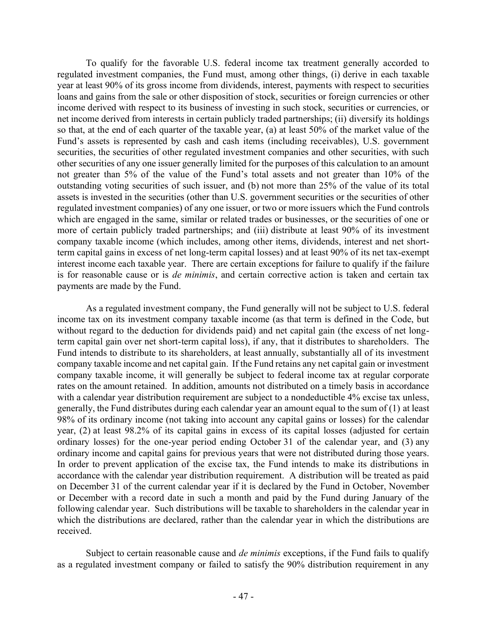To qualify for the favorable U.S. federal income tax treatment generally accorded to regulated investment companies, the Fund must, among other things, (i) derive in each taxable year at least 90% of its gross income from dividends, interest, payments with respect to securities loans and gains from the sale or other disposition of stock, securities or foreign currencies or other income derived with respect to its business of investing in such stock, securities or currencies, or net income derived from interests in certain publicly traded partnerships; (ii) diversify its holdings so that, at the end of each quarter of the taxable year, (a) at least 50% of the market value of the Fund's assets is represented by cash and cash items (including receivables), U.S. government securities, the securities of other regulated investment companies and other securities, with such other securities of any one issuer generally limited for the purposes of this calculation to an amount not greater than 5% of the value of the Fund's total assets and not greater than 10% of the outstanding voting securities of such issuer, and (b) not more than 25% of the value of its total assets is invested in the securities (other than U.S. government securities or the securities of other regulated investment companies) of any one issuer, or two or more issuers which the Fund controls which are engaged in the same, similar or related trades or businesses, or the securities of one or more of certain publicly traded partnerships; and (iii) distribute at least 90% of its investment company taxable income (which includes, among other items, dividends, interest and net shortterm capital gains in excess of net long-term capital losses) and at least 90% of its net tax-exempt interest income each taxable year. There are certain exceptions for failure to qualify if the failure is for reasonable cause or is *de minimis*, and certain corrective action is taken and certain tax payments are made by the Fund.

As a regulated investment company, the Fund generally will not be subject to U.S. federal income tax on its investment company taxable income (as that term is defined in the Code, but without regard to the deduction for dividends paid) and net capital gain (the excess of net longterm capital gain over net short-term capital loss), if any, that it distributes to shareholders. The Fund intends to distribute to its shareholders, at least annually, substantially all of its investment company taxable income and net capital gain. If the Fund retains any net capital gain or investment company taxable income, it will generally be subject to federal income tax at regular corporate rates on the amount retained. In addition, amounts not distributed on a timely basis in accordance with a calendar year distribution requirement are subject to a nondeductible 4% excise tax unless, generally, the Fund distributes during each calendar year an amount equal to the sum of (1) at least 98% of its ordinary income (not taking into account any capital gains or losses) for the calendar year, (2) at least 98.2% of its capital gains in excess of its capital losses (adjusted for certain ordinary losses) for the one-year period ending October 31 of the calendar year, and (3) any ordinary income and capital gains for previous years that were not distributed during those years. In order to prevent application of the excise tax, the Fund intends to make its distributions in accordance with the calendar year distribution requirement. A distribution will be treated as paid on December 31 of the current calendar year if it is declared by the Fund in October, November or December with a record date in such a month and paid by the Fund during January of the following calendar year. Such distributions will be taxable to shareholders in the calendar year in which the distributions are declared, rather than the calendar year in which the distributions are received.

Subject to certain reasonable cause and *de minimis* exceptions, if the Fund fails to qualify as a regulated investment company or failed to satisfy the 90% distribution requirement in any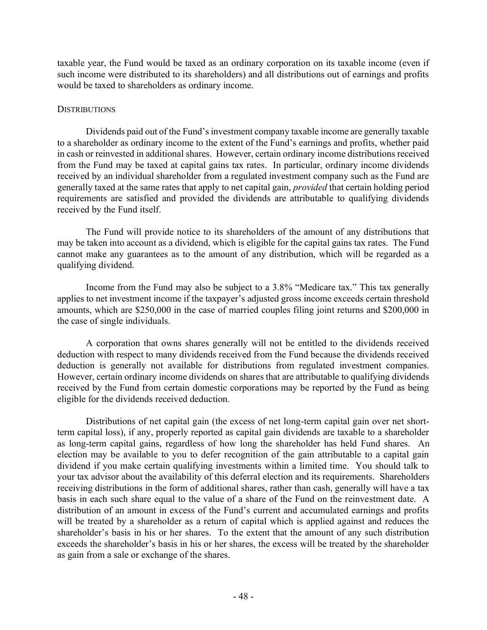taxable year, the Fund would be taxed as an ordinary corporation on its taxable income (even if such income were distributed to its shareholders) and all distributions out of earnings and profits would be taxed to shareholders as ordinary income.

# **DISTRIBUTIONS**

Dividends paid out of the Fund's investment company taxable income are generally taxable to a shareholder as ordinary income to the extent of the Fund's earnings and profits, whether paid in cash or reinvested in additional shares. However, certain ordinary income distributions received from the Fund may be taxed at capital gains tax rates. In particular, ordinary income dividends received by an individual shareholder from a regulated investment company such as the Fund are generally taxed at the same rates that apply to net capital gain, *provided* that certain holding period requirements are satisfied and provided the dividends are attributable to qualifying dividends received by the Fund itself.

The Fund will provide notice to its shareholders of the amount of any distributions that may be taken into account as a dividend, which is eligible for the capital gains tax rates. The Fund cannot make any guarantees as to the amount of any distribution, which will be regarded as a qualifying dividend.

Income from the Fund may also be subject to a 3.8% "Medicare tax." This tax generally applies to net investment income if the taxpayer's adjusted gross income exceeds certain threshold amounts, which are \$250,000 in the case of married couples filing joint returns and \$200,000 in the case of single individuals.

A corporation that owns shares generally will not be entitled to the dividends received deduction with respect to many dividends received from the Fund because the dividends received deduction is generally not available for distributions from regulated investment companies. However, certain ordinary income dividends on shares that are attributable to qualifying dividends received by the Fund from certain domestic corporations may be reported by the Fund as being eligible for the dividends received deduction.

Distributions of net capital gain (the excess of net long-term capital gain over net shortterm capital loss), if any, properly reported as capital gain dividends are taxable to a shareholder as long-term capital gains, regardless of how long the shareholder has held Fund shares. An election may be available to you to defer recognition of the gain attributable to a capital gain dividend if you make certain qualifying investments within a limited time. You should talk to your tax advisor about the availability of this deferral election and its requirements. Shareholders receiving distributions in the form of additional shares, rather than cash, generally will have a tax basis in each such share equal to the value of a share of the Fund on the reinvestment date. A distribution of an amount in excess of the Fund's current and accumulated earnings and profits will be treated by a shareholder as a return of capital which is applied against and reduces the shareholder's basis in his or her shares. To the extent that the amount of any such distribution exceeds the shareholder's basis in his or her shares, the excess will be treated by the shareholder as gain from a sale or exchange of the shares.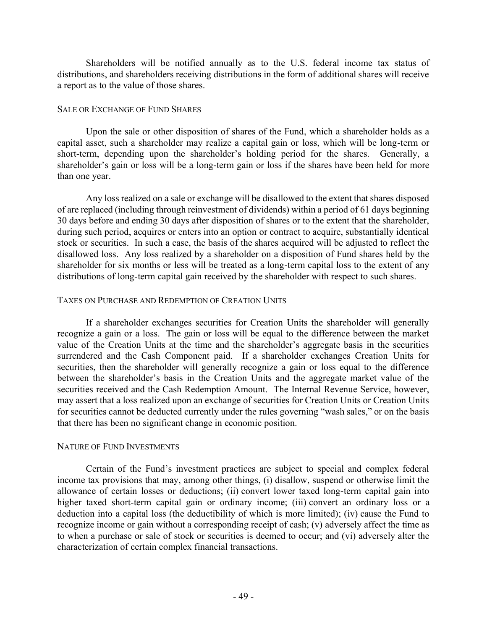Shareholders will be notified annually as to the U.S. federal income tax status of distributions, and shareholders receiving distributions in the form of additional shares will receive a report as to the value of those shares.

# SALE OR EXCHANGE OF FUND SHARES

Upon the sale or other disposition of shares of the Fund, which a shareholder holds as a capital asset, such a shareholder may realize a capital gain or loss, which will be long-term or short-term, depending upon the shareholder's holding period for the shares. Generally, a shareholder's gain or loss will be a long-term gain or loss if the shares have been held for more than one year.

Any loss realized on a sale or exchange will be disallowed to the extent that shares disposed of are replaced (including through reinvestment of dividends) within a period of 61 days beginning 30 days before and ending 30 days after disposition of shares or to the extent that the shareholder, during such period, acquires or enters into an option or contract to acquire, substantially identical stock or securities. In such a case, the basis of the shares acquired will be adjusted to reflect the disallowed loss. Any loss realized by a shareholder on a disposition of Fund shares held by the shareholder for six months or less will be treated as a long-term capital loss to the extent of any distributions of long-term capital gain received by the shareholder with respect to such shares.

# TAXES ON PURCHASE AND REDEMPTION OF CREATION UNITS

If a shareholder exchanges securities for Creation Units the shareholder will generally recognize a gain or a loss. The gain or loss will be equal to the difference between the market value of the Creation Units at the time and the shareholder's aggregate basis in the securities surrendered and the Cash Component paid. If a shareholder exchanges Creation Units for securities, then the shareholder will generally recognize a gain or loss equal to the difference between the shareholder's basis in the Creation Units and the aggregate market value of the securities received and the Cash Redemption Amount. The Internal Revenue Service, however, may assert that a loss realized upon an exchange of securities for Creation Units or Creation Units for securities cannot be deducted currently under the rules governing "wash sales," or on the basis that there has been no significant change in economic position.

# NATURE OF FUND INVESTMENTS

Certain of the Fund's investment practices are subject to special and complex federal income tax provisions that may, among other things, (i) disallow, suspend or otherwise limit the allowance of certain losses or deductions; (ii) convert lower taxed long-term capital gain into higher taxed short-term capital gain or ordinary income; (iii) convert an ordinary loss or a deduction into a capital loss (the deductibility of which is more limited); (iv) cause the Fund to recognize income or gain without a corresponding receipt of cash; (v) adversely affect the time as to when a purchase or sale of stock or securities is deemed to occur; and (vi) adversely alter the characterization of certain complex financial transactions.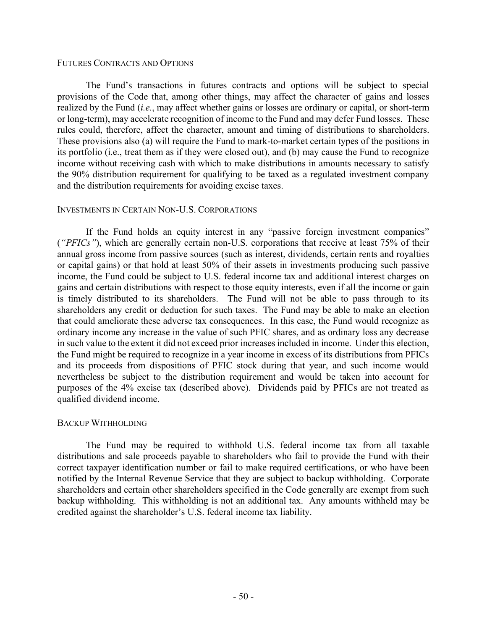## FUTURES CONTRACTS AND OPTIONS

The Fund's transactions in futures contracts and options will be subject to special provisions of the Code that, among other things, may affect the character of gains and losses realized by the Fund (*i.e.*, may affect whether gains or losses are ordinary or capital, or short-term or long-term), may accelerate recognition of income to the Fund and may defer Fund losses. These rules could, therefore, affect the character, amount and timing of distributions to shareholders. These provisions also (a) will require the Fund to mark-to-market certain types of the positions in its portfolio (i.e., treat them as if they were closed out), and (b) may cause the Fund to recognize income without receiving cash with which to make distributions in amounts necessary to satisfy the 90% distribution requirement for qualifying to be taxed as a regulated investment company and the distribution requirements for avoiding excise taxes.

## INVESTMENTS IN CERTAIN NON-U.S. CORPORATIONS

If the Fund holds an equity interest in any "passive foreign investment companies" (*"PFICs"*), which are generally certain non-U.S. corporations that receive at least 75% of their annual gross income from passive sources (such as interest, dividends, certain rents and royalties or capital gains) or that hold at least 50% of their assets in investments producing such passive income, the Fund could be subject to U.S. federal income tax and additional interest charges on gains and certain distributions with respect to those equity interests, even if all the income or gain is timely distributed to its shareholders. The Fund will not be able to pass through to its shareholders any credit or deduction for such taxes. The Fund may be able to make an election that could ameliorate these adverse tax consequences. In this case, the Fund would recognize as ordinary income any increase in the value of such PFIC shares, and as ordinary loss any decrease in such value to the extent it did not exceed prior increases included in income. Under this election, the Fund might be required to recognize in a year income in excess of its distributions from PFICs and its proceeds from dispositions of PFIC stock during that year, and such income would nevertheless be subject to the distribution requirement and would be taken into account for purposes of the 4% excise tax (described above). Dividends paid by PFICs are not treated as qualified dividend income.

## BACKUP WITHHOLDING

The Fund may be required to withhold U.S. federal income tax from all taxable distributions and sale proceeds payable to shareholders who fail to provide the Fund with their correct taxpayer identification number or fail to make required certifications, or who have been notified by the Internal Revenue Service that they are subject to backup withholding. Corporate shareholders and certain other shareholders specified in the Code generally are exempt from such backup withholding. This withholding is not an additional tax. Any amounts withheld may be credited against the shareholder's U.S. federal income tax liability.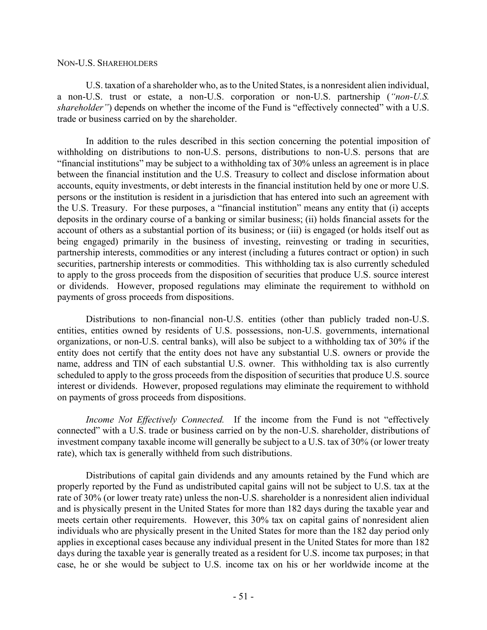## NON-U.S. SHAREHOLDERS

U.S. taxation of a shareholder who, as to the United States, is a nonresident alien individual, a non-U.S. trust or estate, a non-U.S. corporation or non-U.S. partnership (*"non-U.S. shareholder*") depends on whether the income of the Fund is "effectively connected" with a U.S. trade or business carried on by the shareholder.

In addition to the rules described in this section concerning the potential imposition of withholding on distributions to non-U.S. persons, distributions to non-U.S. persons that are "financial institutions" may be subject to a withholding tax of 30% unless an agreement is in place between the financial institution and the U.S. Treasury to collect and disclose information about accounts, equity investments, or debt interests in the financial institution held by one or more U.S. persons or the institution is resident in a jurisdiction that has entered into such an agreement with the U.S. Treasury. For these purposes, a "financial institution" means any entity that (i) accepts deposits in the ordinary course of a banking or similar business; (ii) holds financial assets for the account of others as a substantial portion of its business; or (iii) is engaged (or holds itself out as being engaged) primarily in the business of investing, reinvesting or trading in securities, partnership interests, commodities or any interest (including a futures contract or option) in such securities, partnership interests or commodities. This withholding tax is also currently scheduled to apply to the gross proceeds from the disposition of securities that produce U.S. source interest or dividends. However, proposed regulations may eliminate the requirement to withhold on payments of gross proceeds from dispositions.

Distributions to non-financial non-U.S. entities (other than publicly traded non-U.S. entities, entities owned by residents of U.S. possessions, non-U.S. governments, international organizations, or non-U.S. central banks), will also be subject to a withholding tax of 30% if the entity does not certify that the entity does not have any substantial U.S. owners or provide the name, address and TIN of each substantial U.S. owner. This withholding tax is also currently scheduled to apply to the gross proceeds from the disposition of securities that produce U.S. source interest or dividends. However, proposed regulations may eliminate the requirement to withhold on payments of gross proceeds from dispositions.

*Income Not Effectively Connected.* If the income from the Fund is not "effectively connected" with a U.S. trade or business carried on by the non-U.S. shareholder, distributions of investment company taxable income will generally be subject to a U.S. tax of 30% (or lower treaty rate), which tax is generally withheld from such distributions.

Distributions of capital gain dividends and any amounts retained by the Fund which are properly reported by the Fund as undistributed capital gains will not be subject to U.S. tax at the rate of 30% (or lower treaty rate) unless the non-U.S. shareholder is a nonresident alien individual and is physically present in the United States for more than 182 days during the taxable year and meets certain other requirements. However, this 30% tax on capital gains of nonresident alien individuals who are physically present in the United States for more than the 182 day period only applies in exceptional cases because any individual present in the United States for more than 182 days during the taxable year is generally treated as a resident for U.S. income tax purposes; in that case, he or she would be subject to U.S. income tax on his or her worldwide income at the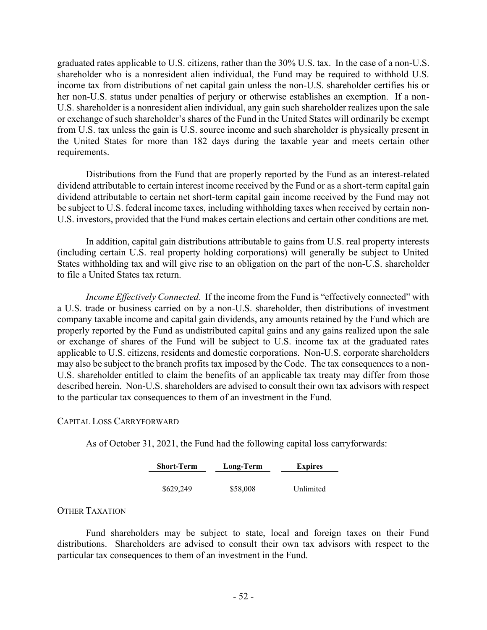graduated rates applicable to U.S. citizens, rather than the 30% U.S. tax. In the case of a non-U.S. shareholder who is a nonresident alien individual, the Fund may be required to withhold U.S. income tax from distributions of net capital gain unless the non-U.S. shareholder certifies his or her non-U.S. status under penalties of perjury or otherwise establishes an exemption. If a non-U.S. shareholder is a nonresident alien individual, any gain such shareholder realizes upon the sale or exchange of such shareholder's shares of the Fund in the United States will ordinarily be exempt from U.S. tax unless the gain is U.S. source income and such shareholder is physically present in the United States for more than 182 days during the taxable year and meets certain other requirements.

Distributions from the Fund that are properly reported by the Fund as an interest-related dividend attributable to certain interest income received by the Fund or as a short-term capital gain dividend attributable to certain net short-term capital gain income received by the Fund may not be subject to U.S. federal income taxes, including withholding taxes when received by certain non-U.S. investors, provided that the Fund makes certain elections and certain other conditions are met.

In addition, capital gain distributions attributable to gains from U.S. real property interests (including certain U.S. real property holding corporations) will generally be subject to United States withholding tax and will give rise to an obligation on the part of the non-U.S. shareholder to file a United States tax return.

*Income Effectively Connected.* If the income from the Fund is "effectively connected" with a U.S. trade or business carried on by a non-U.S. shareholder, then distributions of investment company taxable income and capital gain dividends, any amounts retained by the Fund which are properly reported by the Fund as undistributed capital gains and any gains realized upon the sale or exchange of shares of the Fund will be subject to U.S. income tax at the graduated rates applicable to U.S. citizens, residents and domestic corporations. Non-U.S. corporate shareholders may also be subject to the branch profits tax imposed by the Code. The tax consequences to a non-U.S. shareholder entitled to claim the benefits of an applicable tax treaty may differ from those described herein. Non-U.S. shareholders are advised to consult their own tax advisors with respect to the particular tax consequences to them of an investment in the Fund.

## CAPITAL LOSS CARRYFORWARD

As of October 31, 2021, the Fund had the following capital loss carryforwards:

| <b>Short-Term</b> | Long-Term | <b>Expires</b> |
|-------------------|-----------|----------------|
|                   |           |                |
| \$629,249         | \$58,008  | Unlimited      |

# OTHER TAXATION

Fund shareholders may be subject to state, local and foreign taxes on their Fund distributions. Shareholders are advised to consult their own tax advisors with respect to the particular tax consequences to them of an investment in the Fund.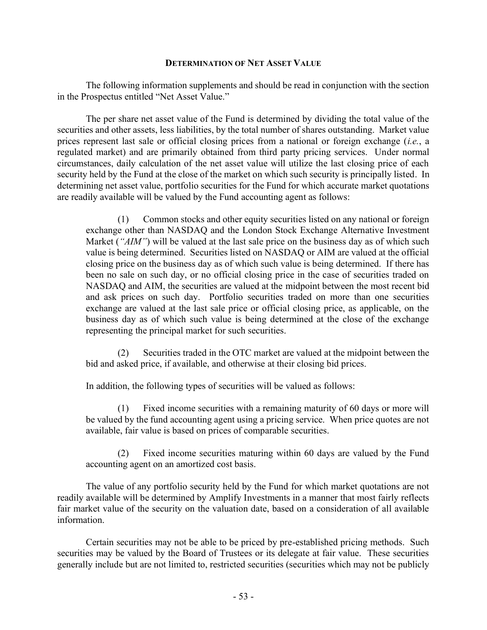## **DETERMINATION OF NET ASSET VALUE**

The following information supplements and should be read in conjunction with the section in the Prospectus entitled "Net Asset Value."

The per share net asset value of the Fund is determined by dividing the total value of the securities and other assets, less liabilities, by the total number of shares outstanding. Market value prices represent last sale or official closing prices from a national or foreign exchange (*i.e.*, a regulated market) and are primarily obtained from third party pricing services. Under normal circumstances, daily calculation of the net asset value will utilize the last closing price of each security held by the Fund at the close of the market on which such security is principally listed. In determining net asset value, portfolio securities for the Fund for which accurate market quotations are readily available will be valued by the Fund accounting agent as follows:

(1) Common stocks and other equity securities listed on any national or foreign exchange other than NASDAQ and the London Stock Exchange Alternative Investment Market (*"AIM"*) will be valued at the last sale price on the business day as of which such value is being determined. Securities listed on NASDAQ or AIM are valued at the official closing price on the business day as of which such value is being determined. If there has been no sale on such day, or no official closing price in the case of securities traded on NASDAQ and AIM, the securities are valued at the midpoint between the most recent bid and ask prices on such day. Portfolio securities traded on more than one securities exchange are valued at the last sale price or official closing price, as applicable, on the business day as of which such value is being determined at the close of the exchange representing the principal market for such securities.

(2) Securities traded in the OTC market are valued at the midpoint between the bid and asked price, if available, and otherwise at their closing bid prices.

In addition, the following types of securities will be valued as follows:

(1) Fixed income securities with a remaining maturity of 60 days or more will be valued by the fund accounting agent using a pricing service. When price quotes are not available, fair value is based on prices of comparable securities.

(2) Fixed income securities maturing within 60 days are valued by the Fund accounting agent on an amortized cost basis.

The value of any portfolio security held by the Fund for which market quotations are not readily available will be determined by Amplify Investments in a manner that most fairly reflects fair market value of the security on the valuation date, based on a consideration of all available information.

Certain securities may not be able to be priced by pre-established pricing methods. Such securities may be valued by the Board of Trustees or its delegate at fair value. These securities generally include but are not limited to, restricted securities (securities which may not be publicly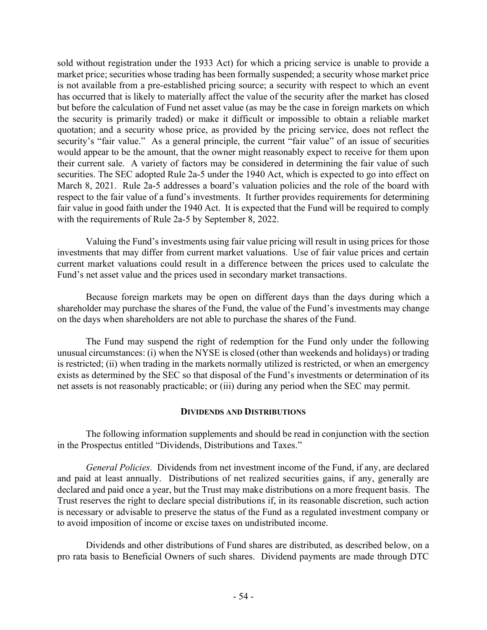sold without registration under the 1933 Act) for which a pricing service is unable to provide a market price; securities whose trading has been formally suspended; a security whose market price is not available from a pre-established pricing source; a security with respect to which an event has occurred that is likely to materially affect the value of the security after the market has closed but before the calculation of Fund net asset value (as may be the case in foreign markets on which the security is primarily traded) or make it difficult or impossible to obtain a reliable market quotation; and a security whose price, as provided by the pricing service, does not reflect the security's "fair value." As a general principle, the current "fair value" of an issue of securities would appear to be the amount, that the owner might reasonably expect to receive for them upon their current sale. A variety of factors may be considered in determining the fair value of such securities. The SEC adopted Rule 2a-5 under the 1940 Act, which is expected to go into effect on March 8, 2021. Rule 2a-5 addresses a board's valuation policies and the role of the board with respect to the fair value of a fund's investments. It further provides requirements for determining fair value in good faith under the 1940 Act. It is expected that the Fund will be required to comply with the requirements of Rule 2a-5 by September 8, 2022.

Valuing the Fund's investments using fair value pricing will result in using prices for those investments that may differ from current market valuations. Use of fair value prices and certain current market valuations could result in a difference between the prices used to calculate the Fund's net asset value and the prices used in secondary market transactions.

Because foreign markets may be open on different days than the days during which a shareholder may purchase the shares of the Fund, the value of the Fund's investments may change on the days when shareholders are not able to purchase the shares of the Fund.

The Fund may suspend the right of redemption for the Fund only under the following unusual circumstances: (i) when the NYSE is closed (other than weekends and holidays) or trading is restricted; (ii) when trading in the markets normally utilized is restricted, or when an emergency exists as determined by the SEC so that disposal of the Fund's investments or determination of its net assets is not reasonably practicable; or (iii) during any period when the SEC may permit.

# **DIVIDENDS AND DISTRIBUTIONS**

The following information supplements and should be read in conjunction with the section in the Prospectus entitled "Dividends, Distributions and Taxes."

*General Policies.* Dividends from net investment income of the Fund, if any, are declared and paid at least annually. Distributions of net realized securities gains, if any, generally are declared and paid once a year, but the Trust may make distributions on a more frequent basis. The Trust reserves the right to declare special distributions if, in its reasonable discretion, such action is necessary or advisable to preserve the status of the Fund as a regulated investment company or to avoid imposition of income or excise taxes on undistributed income.

Dividends and other distributions of Fund shares are distributed, as described below, on a pro rata basis to Beneficial Owners of such shares. Dividend payments are made through DTC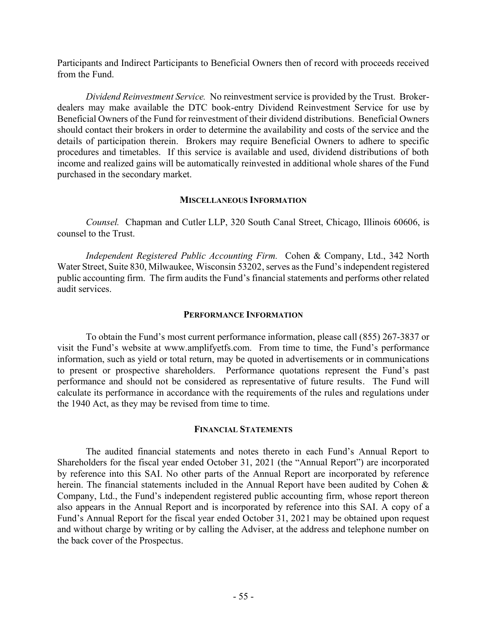Participants and Indirect Participants to Beneficial Owners then of record with proceeds received from the Fund.

*Dividend Reinvestment Service.* No reinvestment service is provided by the Trust. Brokerdealers may make available the DTC book-entry Dividend Reinvestment Service for use by Beneficial Owners of the Fund for reinvestment of their dividend distributions. Beneficial Owners should contact their brokers in order to determine the availability and costs of the service and the details of participation therein. Brokers may require Beneficial Owners to adhere to specific procedures and timetables. If this service is available and used, dividend distributions of both income and realized gains will be automatically reinvested in additional whole shares of the Fund purchased in the secondary market.

## **MISCELLANEOUS INFORMATION**

*Counsel.* Chapman and Cutler LLP, 320 South Canal Street, Chicago, Illinois 60606, is counsel to the Trust.

*Independent Registered Public Accounting Firm.* Cohen & Company, Ltd., 342 North Water Street, Suite 830, Milwaukee, Wisconsin 53202, serves as the Fund's independent registered public accounting firm. The firm audits the Fund's financial statements and performs other related audit services.

## **PERFORMANCE INFORMATION**

To obtain the Fund's most current performance information, please call (855) 267-3837 or visit the Fund's website at www.amplifyetfs.com. From time to time, the Fund's performance information, such as yield or total return, may be quoted in advertisements or in communications to present or prospective shareholders. Performance quotations represent the Fund's past performance and should not be considered as representative of future results. The Fund will calculate its performance in accordance with the requirements of the rules and regulations under the 1940 Act, as they may be revised from time to time.

# **FINANCIAL STATEMENTS**

The audited financial statements and notes thereto in each Fund's Annual Report to Shareholders for the fiscal year ended October 31, 2021 (the "Annual Report") are incorporated by reference into this SAI. No other parts of the Annual Report are incorporated by reference herein. The financial statements included in the Annual Report have been audited by Cohen & Company, Ltd., the Fund's independent registered public accounting firm, whose report thereon also appears in the Annual Report and is incorporated by reference into this SAI. A copy of a Fund's Annual Report for the fiscal year ended October 31, 2021 may be obtained upon request and without charge by writing or by calling the Adviser, at the address and telephone number on the back cover of the Prospectus.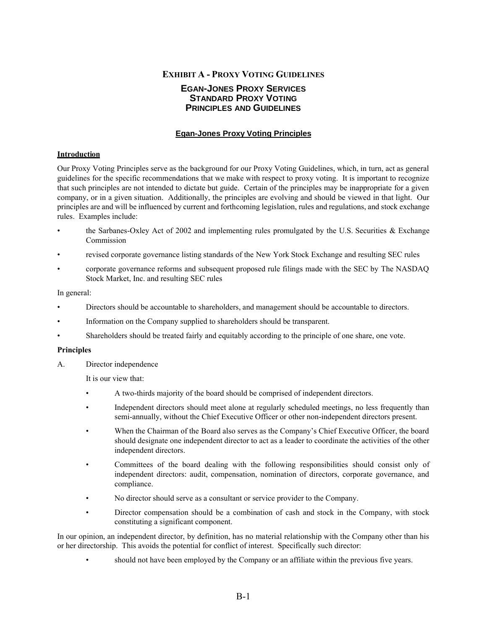# **EXHIBIT A - PROXY VOTING GUIDELINES**

## **EGAN-JONES PROXY SERVICES STANDARD PROXY VOTING PRINCIPLES AND GUIDELINES**

## **Egan-Jones Proxy Voting Principles**

### **Introduction**

Our Proxy Voting Principles serve as the background for our Proxy Voting Guidelines, which, in turn, act as general guidelines for the specific recommendations that we make with respect to proxy voting. It is important to recognize that such principles are not intended to dictate but guide. Certain of the principles may be inappropriate for a given company, or in a given situation. Additionally, the principles are evolving and should be viewed in that light. Our principles are and will be influenced by current and forthcoming legislation, rules and regulations, and stock exchange rules. Examples include:

- the Sarbanes-Oxley Act of 2002 and implementing rules promulgated by the U.S. Securities & Exchange Commission
- revised corporate governance listing standards of the New York Stock Exchange and resulting SEC rules
- corporate governance reforms and subsequent proposed rule filings made with the SEC by The NASDAQ Stock Market, Inc. and resulting SEC rules

#### In general:

- Directors should be accountable to shareholders, and management should be accountable to directors.
- Information on the Company supplied to shareholders should be transparent.
- Shareholders should be treated fairly and equitably according to the principle of one share, one vote.

#### **Principles**

A. Director independence

It is our view that:

- A two-thirds majority of the board should be comprised of independent directors.
- Independent directors should meet alone at regularly scheduled meetings, no less frequently than semi-annually, without the Chief Executive Officer or other non-independent directors present.
- When the Chairman of the Board also serves as the Company's Chief Executive Officer, the board should designate one independent director to act as a leader to coordinate the activities of the other independent directors.
- Committees of the board dealing with the following responsibilities should consist only of independent directors: audit, compensation, nomination of directors, corporate governance, and compliance.
- No director should serve as a consultant or service provider to the Company.
- Director compensation should be a combination of cash and stock in the Company, with stock constituting a significant component.

In our opinion, an independent director, by definition, has no material relationship with the Company other than his or her directorship. This avoids the potential for conflict of interest. Specifically such director:

• should not have been employed by the Company or an affiliate within the previous five years.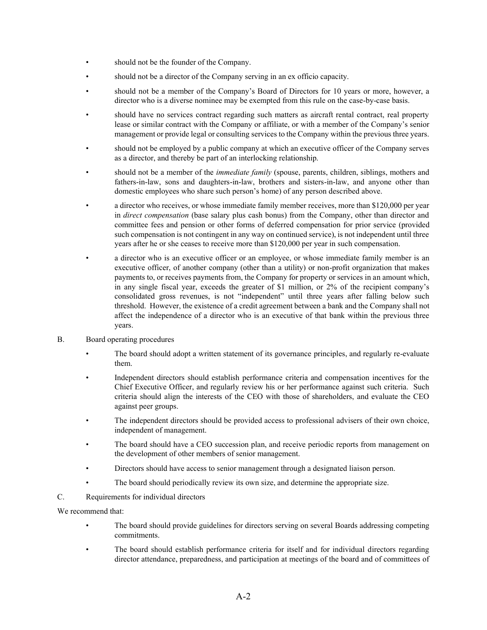- should not be the founder of the Company.
- should not be a director of the Company serving in an ex officio capacity.
- should not be a member of the Company's Board of Directors for 10 years or more, however, a director who is a diverse nominee may be exempted from this rule on the case-by-case basis.
- should have no services contract regarding such matters as aircraft rental contract, real property lease or similar contract with the Company or affiliate, or with a member of the Company's senior management or provide legal or consulting services to the Company within the previous three years.
- should not be employed by a public company at which an executive officer of the Company serves as a director, and thereby be part of an interlocking relationship.
- should not be a member of the *immediate family* (spouse, parents, children, siblings, mothers and fathers-in-law, sons and daughters-in-law, brothers and sisters-in-law, and anyone other than domestic employees who share such person's home) of any person described above.
- a director who receives, or whose immediate family member receives, more than \$120,000 per year in *direct compensation* (base salary plus cash bonus) from the Company, other than director and committee fees and pension or other forms of deferred compensation for prior service (provided such compensation is not contingent in any way on continued service), is not independent until three years after he or she ceases to receive more than \$120,000 per year in such compensation.
- a director who is an executive officer or an employee, or whose immediate family member is an executive officer, of another company (other than a utility) or non-profit organization that makes payments to, or receives payments from, the Company for property or services in an amount which, in any single fiscal year, exceeds the greater of \$1 million, or 2% of the recipient company's consolidated gross revenues, is not "independent" until three years after falling below such threshold. However, the existence of a credit agreement between a bank and the Company shall not affect the independence of a director who is an executive of that bank within the previous three years.
- B. Board operating procedures
	- The board should adopt a written statement of its governance principles, and regularly re-evaluate them.
	- Independent directors should establish performance criteria and compensation incentives for the Chief Executive Officer, and regularly review his or her performance against such criteria. Such criteria should align the interests of the CEO with those of shareholders, and evaluate the CEO against peer groups.
	- The independent directors should be provided access to professional advisers of their own choice, independent of management.
	- The board should have a CEO succession plan, and receive periodic reports from management on the development of other members of senior management.
	- Directors should have access to senior management through a designated liaison person.
	- The board should periodically review its own size, and determine the appropriate size.
- C. Requirements for individual directors

We recommend that:

- The board should provide guidelines for directors serving on several Boards addressing competing commitments.
- The board should establish performance criteria for itself and for individual directors regarding director attendance, preparedness, and participation at meetings of the board and of committees of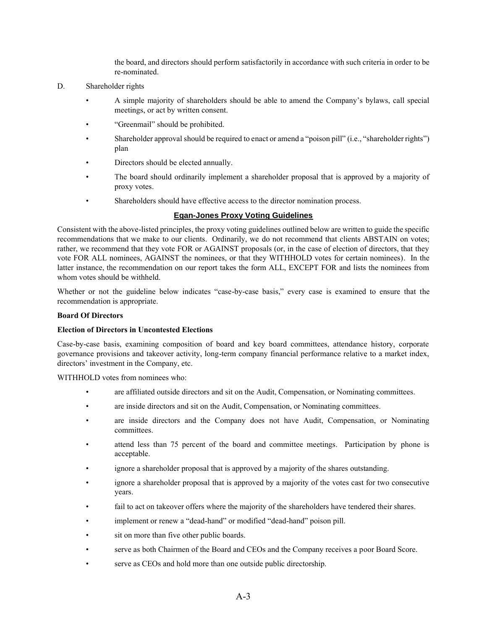the board, and directors should perform satisfactorily in accordance with such criteria in order to be re-nominated.

- D. Shareholder rights
	- A simple majority of shareholders should be able to amend the Company's bylaws, call special meetings, or act by written consent.
	- "Greenmail" should be prohibited.
	- Shareholder approval should be required to enact or amend a "poison pill" (i.e., "shareholder rights") plan
	- Directors should be elected annually.
	- The board should ordinarily implement a shareholder proposal that is approved by a majority of proxy votes.
	- Shareholders should have effective access to the director nomination process.

## **Egan-Jones Proxy Voting Guidelines**

Consistent with the above-listed principles, the proxy voting guidelines outlined below are written to guide the specific recommendations that we make to our clients. Ordinarily, we do not recommend that clients ABSTAIN on votes; rather, we recommend that they vote FOR or AGAINST proposals (or, in the case of election of directors, that they vote FOR ALL nominees, AGAINST the nominees, or that they WITHHOLD votes for certain nominees). In the latter instance, the recommendation on our report takes the form ALL, EXCEPT FOR and lists the nominees from whom votes should be withheld.

Whether or not the guideline below indicates "case-by-case basis," every case is examined to ensure that the recommendation is appropriate.

## **Board Of Directors**

#### **Election of Directors in Uncontested Elections**

Case-by-case basis, examining composition of board and key board committees, attendance history, corporate governance provisions and takeover activity, long-term company financial performance relative to a market index, directors' investment in the Company, etc.

WITHHOLD votes from nominees who:

- are affiliated outside directors and sit on the Audit, Compensation, or Nominating committees.
- are inside directors and sit on the Audit, Compensation, or Nominating committees.
- are inside directors and the Company does not have Audit, Compensation, or Nominating committees.
- attend less than 75 percent of the board and committee meetings. Participation by phone is acceptable.
- ignore a shareholder proposal that is approved by a majority of the shares outstanding.
- ignore a shareholder proposal that is approved by a majority of the votes cast for two consecutive years.
- fail to act on takeover offers where the majority of the shareholders have tendered their shares.
- implement or renew a "dead-hand" or modified "dead-hand" poison pill.
- sit on more than five other public boards.
- serve as both Chairmen of the Board and CEOs and the Company receives a poor Board Score.
- serve as CEOs and hold more than one outside public directorship.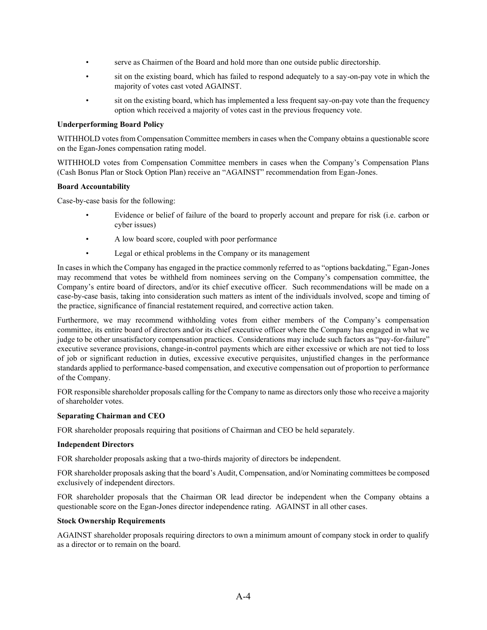- serve as Chairmen of the Board and hold more than one outside public directorship.
- sit on the existing board, which has failed to respond adequately to a say-on-pay vote in which the majority of votes cast voted AGAINST.
- sit on the existing board, which has implemented a less frequent say-on-pay vote than the frequency option which received a majority of votes cast in the previous frequency vote.

### **Underperforming Board Policy**

WITHHOLD votes from Compensation Committee members in cases when the Company obtains a questionable score on the Egan-Jones compensation rating model.

WITHHOLD votes from Compensation Committee members in cases when the Company's Compensation Plans (Cash Bonus Plan or Stock Option Plan) receive an "AGAINST" recommendation from Egan-Jones.

## **Board Accountability**

Case-by-case basis for the following:

- Evidence or belief of failure of the board to properly account and prepare for risk (i.e. carbon or cyber issues)
- A low board score, coupled with poor performance
- Legal or ethical problems in the Company or its management

In cases in which the Company has engaged in the practice commonly referred to as "options backdating," Egan-Jones may recommend that votes be withheld from nominees serving on the Company's compensation committee, the Company's entire board of directors, and/or its chief executive officer. Such recommendations will be made on a case-by-case basis, taking into consideration such matters as intent of the individuals involved, scope and timing of the practice, significance of financial restatement required, and corrective action taken.

Furthermore, we may recommend withholding votes from either members of the Company's compensation committee, its entire board of directors and/or its chief executive officer where the Company has engaged in what we judge to be other unsatisfactory compensation practices. Considerations may include such factors as "pay-for-failure" executive severance provisions, change-in-control payments which are either excessive or which are not tied to loss of job or significant reduction in duties, excessive executive perquisites, unjustified changes in the performance standards applied to performance-based compensation, and executive compensation out of proportion to performance of the Company.

FOR responsible shareholder proposals calling for the Company to name as directors only those who receive a majority of shareholder votes.

## **Separating Chairman and CEO**

FOR shareholder proposals requiring that positions of Chairman and CEO be held separately.

#### **Independent Directors**

FOR shareholder proposals asking that a two-thirds majority of directors be independent.

FOR shareholder proposals asking that the board's Audit, Compensation, and/or Nominating committees be composed exclusively of independent directors.

FOR shareholder proposals that the Chairman OR lead director be independent when the Company obtains a questionable score on the Egan-Jones director independence rating. AGAINST in all other cases.

#### **Stock Ownership Requirements**

AGAINST shareholder proposals requiring directors to own a minimum amount of company stock in order to qualify as a director or to remain on the board.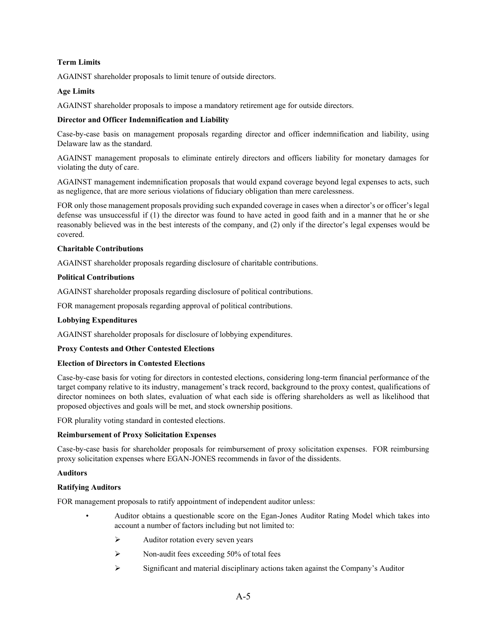## **Term Limits**

AGAINST shareholder proposals to limit tenure of outside directors.

## **Age Limits**

AGAINST shareholder proposals to impose a mandatory retirement age for outside directors.

## **Director and Officer Indemnification and Liability**

Case-by-case basis on management proposals regarding director and officer indemnification and liability, using Delaware law as the standard.

AGAINST management proposals to eliminate entirely directors and officers liability for monetary damages for violating the duty of care.

AGAINST management indemnification proposals that would expand coverage beyond legal expenses to acts, such as negligence, that are more serious violations of fiduciary obligation than mere carelessness.

FOR only those management proposals providing such expanded coverage in cases when a director's or officer's legal defense was unsuccessful if (1) the director was found to have acted in good faith and in a manner that he or she reasonably believed was in the best interests of the company, and (2) only if the director's legal expenses would be covered.

## **Charitable Contributions**

AGAINST shareholder proposals regarding disclosure of charitable contributions.

## **Political Contributions**

AGAINST shareholder proposals regarding disclosure of political contributions.

FOR management proposals regarding approval of political contributions.

## **Lobbying Expenditures**

AGAINST shareholder proposals for disclosure of lobbying expenditures.

## **Proxy Contests and Other Contested Elections**

## **Election of Directors in Contested Elections**

Case-by-case basis for voting for directors in contested elections, considering long-term financial performance of the target company relative to its industry, management's track record, background to the proxy contest, qualifications of director nominees on both slates, evaluation of what each side is offering shareholders as well as likelihood that proposed objectives and goals will be met, and stock ownership positions.

FOR plurality voting standard in contested elections.

## **Reimbursement of Proxy Solicitation Expenses**

Case-by-case basis for shareholder proposals for reimbursement of proxy solicitation expenses. FOR reimbursing proxy solicitation expenses where EGAN-JONES recommends in favor of the dissidents.

## **Auditors**

## **Ratifying Auditors**

FOR management proposals to ratify appointment of independent auditor unless:

- Auditor obtains a questionable score on the Egan-Jones Auditor Rating Model which takes into account a number of factors including but not limited to:
	- ➢ Auditor rotation every seven years
	- $\triangleright$  Non-audit fees exceeding 50% of total fees
	- ➢ Significant and material disciplinary actions taken against the Company's Auditor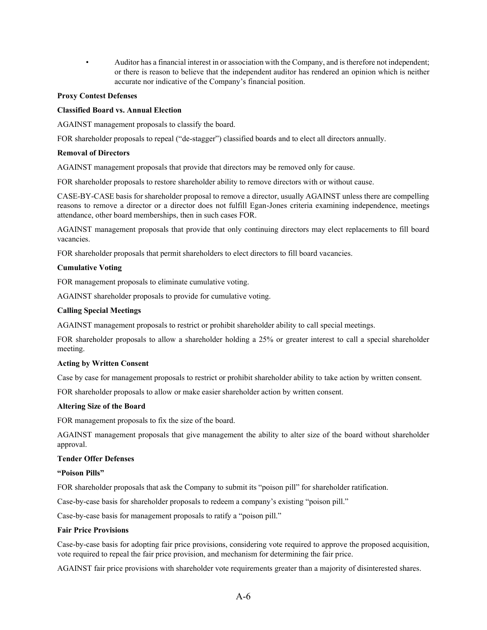• Auditor has a financial interest in or association with the Company, and is therefore not independent; or there is reason to believe that the independent auditor has rendered an opinion which is neither accurate nor indicative of the Company's financial position.

### **Proxy Contest Defenses**

### **Classified Board vs. Annual Election**

AGAINST management proposals to classify the board.

FOR shareholder proposals to repeal ("de-stagger") classified boards and to elect all directors annually.

### **Removal of Directors**

AGAINST management proposals that provide that directors may be removed only for cause.

FOR shareholder proposals to restore shareholder ability to remove directors with or without cause.

CASE-BY-CASE basis for shareholder proposal to remove a director, usually AGAINST unless there are compelling reasons to remove a director or a director does not fulfill Egan-Jones criteria examining independence, meetings attendance, other board memberships, then in such cases FOR.

AGAINST management proposals that provide that only continuing directors may elect replacements to fill board vacancies.

FOR shareholder proposals that permit shareholders to elect directors to fill board vacancies.

#### **Cumulative Voting**

FOR management proposals to eliminate cumulative voting.

AGAINST shareholder proposals to provide for cumulative voting.

## **Calling Special Meetings**

AGAINST management proposals to restrict or prohibit shareholder ability to call special meetings.

FOR shareholder proposals to allow a shareholder holding a 25% or greater interest to call a special shareholder meeting.

#### **Acting by Written Consent**

Case by case for management proposals to restrict or prohibit shareholder ability to take action by written consent.

FOR shareholder proposals to allow or make easier shareholder action by written consent.

## **Altering Size of the Board**

FOR management proposals to fix the size of the board.

AGAINST management proposals that give management the ability to alter size of the board without shareholder approval.

## **Tender Offer Defenses**

#### **"Poison Pills"**

FOR shareholder proposals that ask the Company to submit its "poison pill" for shareholder ratification.

Case-by-case basis for shareholder proposals to redeem a company's existing "poison pill."

Case-by-case basis for management proposals to ratify a "poison pill."

#### **Fair Price Provisions**

Case-by-case basis for adopting fair price provisions, considering vote required to approve the proposed acquisition, vote required to repeal the fair price provision, and mechanism for determining the fair price.

AGAINST fair price provisions with shareholder vote requirements greater than a majority of disinterested shares.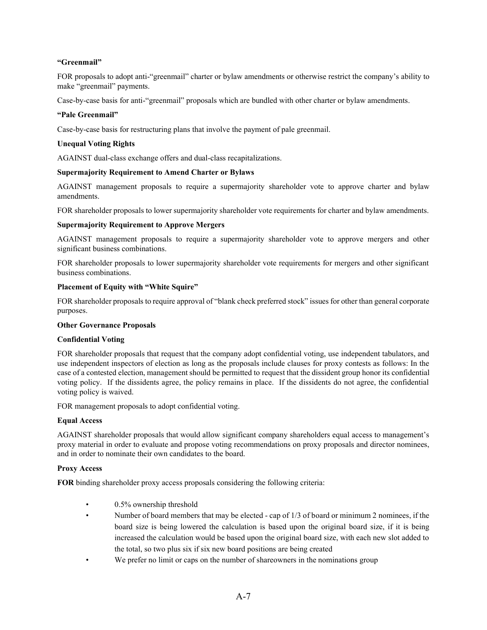## **"Greenmail"**

FOR proposals to adopt anti-"greenmail" charter or bylaw amendments or otherwise restrict the company's ability to make "greenmail" payments.

Case-by-case basis for anti-"greenmail" proposals which are bundled with other charter or bylaw amendments.

## **"Pale Greenmail"**

Case-by-case basis for restructuring plans that involve the payment of pale greenmail.

## **Unequal Voting Rights**

AGAINST dual-class exchange offers and dual-class recapitalizations.

## **Supermajority Requirement to Amend Charter or Bylaws**

AGAINST management proposals to require a supermajority shareholder vote to approve charter and bylaw amendments.

FOR shareholder proposals to lower supermajority shareholder vote requirements for charter and bylaw amendments.

## **Supermajority Requirement to Approve Mergers**

AGAINST management proposals to require a supermajority shareholder vote to approve mergers and other significant business combinations.

FOR shareholder proposals to lower supermajority shareholder vote requirements for mergers and other significant business combinations.

## **Placement of Equity with "White Squire"**

FOR shareholder proposals to require approval of "blank check preferred stock" issues for other than general corporate purposes.

#### **Other Governance Proposals**

#### **Confidential Voting**

FOR shareholder proposals that request that the company adopt confidential voting, use independent tabulators, and use independent inspectors of election as long as the proposals include clauses for proxy contests as follows: In the case of a contested election, management should be permitted to request that the dissident group honor its confidential voting policy. If the dissidents agree, the policy remains in place. If the dissidents do not agree, the confidential voting policy is waived.

FOR management proposals to adopt confidential voting.

#### **Equal Access**

AGAINST shareholder proposals that would allow significant company shareholders equal access to management's proxy material in order to evaluate and propose voting recommendations on proxy proposals and director nominees, and in order to nominate their own candidates to the board.

#### **Proxy Access**

**FOR** binding shareholder proxy access proposals considering the following criteria:

- 0.5% ownership threshold
- Number of board members that may be elected cap of 1/3 of board or minimum 2 nominees, if the board size is being lowered the calculation is based upon the original board size, if it is being increased the calculation would be based upon the original board size, with each new slot added to the total, so two plus six if six new board positions are being created
- We prefer no limit or caps on the number of shareowners in the nominations group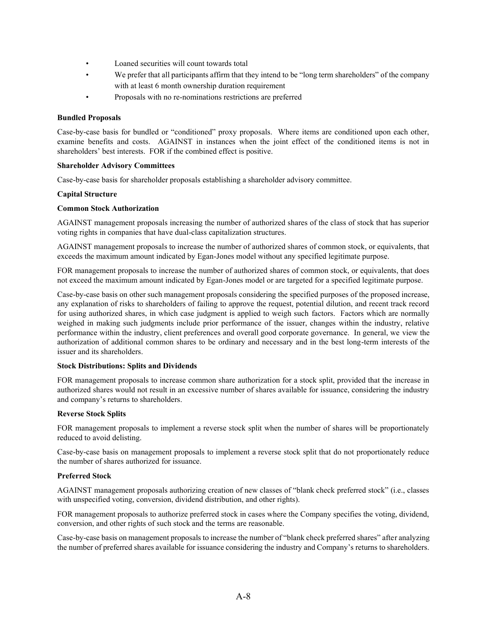- Loaned securities will count towards total
- We prefer that all participants affirm that they intend to be "long term shareholders" of the company with at least 6 month ownership duration requirement
- Proposals with no re-nominations restrictions are preferred

## **Bundled Proposals**

Case-by-case basis for bundled or "conditioned" proxy proposals. Where items are conditioned upon each other, examine benefits and costs. AGAINST in instances when the joint effect of the conditioned items is not in shareholders' best interests. FOR if the combined effect is positive.

## **Shareholder Advisory Committees**

Case-by-case basis for shareholder proposals establishing a shareholder advisory committee.

## **Capital Structure**

## **Common Stock Authorization**

AGAINST management proposals increasing the number of authorized shares of the class of stock that has superior voting rights in companies that have dual-class capitalization structures.

AGAINST management proposals to increase the number of authorized shares of common stock, or equivalents, that exceeds the maximum amount indicated by Egan-Jones model without any specified legitimate purpose.

FOR management proposals to increase the number of authorized shares of common stock, or equivalents, that does not exceed the maximum amount indicated by Egan-Jones model or are targeted for a specified legitimate purpose.

Case-by-case basis on other such management proposals considering the specified purposes of the proposed increase, any explanation of risks to shareholders of failing to approve the request, potential dilution, and recent track record for using authorized shares, in which case judgment is applied to weigh such factors. Factors which are normally weighed in making such judgments include prior performance of the issuer, changes within the industry, relative performance within the industry, client preferences and overall good corporate governance. In general, we view the authorization of additional common shares to be ordinary and necessary and in the best long-term interests of the issuer and its shareholders.

#### **Stock Distributions: Splits and Dividends**

FOR management proposals to increase common share authorization for a stock split, provided that the increase in authorized shares would not result in an excessive number of shares available for issuance, considering the industry and company's returns to shareholders.

## **Reverse Stock Splits**

FOR management proposals to implement a reverse stock split when the number of shares will be proportionately reduced to avoid delisting.

Case-by-case basis on management proposals to implement a reverse stock split that do not proportionately reduce the number of shares authorized for issuance.

## **Preferred Stock**

AGAINST management proposals authorizing creation of new classes of "blank check preferred stock" (i.e., classes with unspecified voting, conversion, dividend distribution, and other rights).

FOR management proposals to authorize preferred stock in cases where the Company specifies the voting, dividend, conversion, and other rights of such stock and the terms are reasonable.

Case-by-case basis on management proposals to increase the number of "blank check preferred shares" after analyzing the number of preferred shares available for issuance considering the industry and Company's returns to shareholders.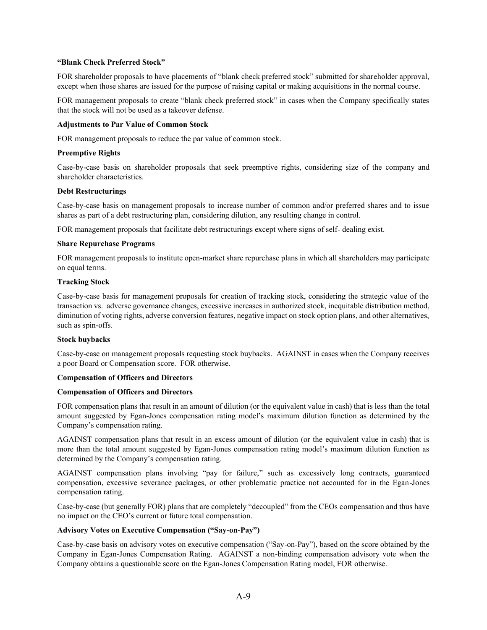#### **"Blank Check Preferred Stock"**

FOR shareholder proposals to have placements of "blank check preferred stock" submitted for shareholder approval, except when those shares are issued for the purpose of raising capital or making acquisitions in the normal course.

FOR management proposals to create "blank check preferred stock" in cases when the Company specifically states that the stock will not be used as a takeover defense.

### **Adjustments to Par Value of Common Stock**

FOR management proposals to reduce the par value of common stock.

## **Preemptive Rights**

Case-by-case basis on shareholder proposals that seek preemptive rights, considering size of the company and shareholder characteristics.

#### **Debt Restructurings**

Case-by-case basis on management proposals to increase number of common and/or preferred shares and to issue shares as part of a debt restructuring plan, considering dilution, any resulting change in control.

FOR management proposals that facilitate debt restructurings except where signs of self- dealing exist.

## **Share Repurchase Programs**

FOR management proposals to institute open-market share repurchase plans in which all shareholders may participate on equal terms.

## **Tracking Stock**

Case-by-case basis for management proposals for creation of tracking stock, considering the strategic value of the transaction vs. adverse governance changes, excessive increases in authorized stock, inequitable distribution method, diminution of voting rights, adverse conversion features, negative impact on stock option plans, and other alternatives, such as spin-offs.

#### **Stock buybacks**

Case-by-case on management proposals requesting stock buybacks. AGAINST in cases when the Company receives a poor Board or Compensation score. FOR otherwise.

#### **Compensation of Officers and Directors**

#### **Compensation of Officers and Directors**

FOR compensation plans that result in an amount of dilution (or the equivalent value in cash) that is less than the total amount suggested by Egan-Jones compensation rating model's maximum dilution function as determined by the Company's compensation rating.

AGAINST compensation plans that result in an excess amount of dilution (or the equivalent value in cash) that is more than the total amount suggested by Egan-Jones compensation rating model's maximum dilution function as determined by the Company's compensation rating.

AGAINST compensation plans involving "pay for failure," such as excessively long contracts, guaranteed compensation, excessive severance packages, or other problematic practice not accounted for in the Egan-Jones compensation rating.

Case-by-case (but generally FOR) plans that are completely "decoupled" from the CEOs compensation and thus have no impact on the CEO's current or future total compensation.

## **Advisory Votes on Executive Compensation ("Say-on-Pay")**

Case-by-case basis on advisory votes on executive compensation ("Say-on-Pay"), based on the score obtained by the Company in Egan-Jones Compensation Rating. AGAINST a non-binding compensation advisory vote when the Company obtains a questionable score on the Egan-Jones Compensation Rating model, FOR otherwise.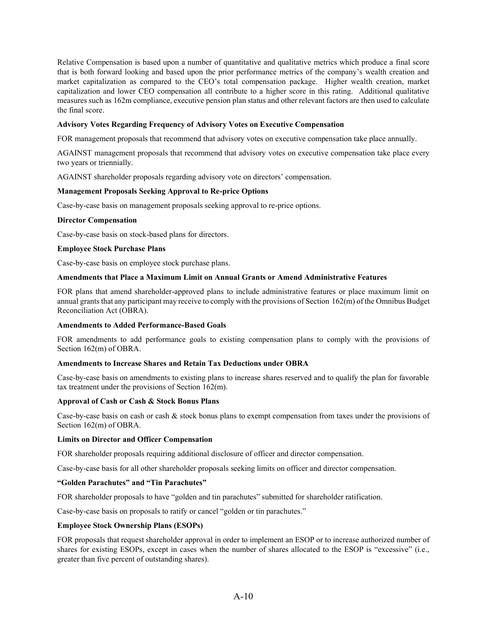Relative Compensation is based upon a number of quantitative and qualitative metrics which produce a final score that is both forward looking and based upon the prior performance metrics of the company's wealth creation and market capitalization as compared to the CEO's total compensation package. Higher wealth creation, market capitalization and lower CEO compensation all contribute to a higher score in this rating. Additional qualitative measures such as 162m compliance, executive pension plan status and other relevant factors are then used to calculate the final score.

## **Advisory Votes Regarding Frequency of Advisory Votes on Executive Compensation**

FOR management proposals that recommend that advisory votes on executive compensation take place annually.

AGAINST management proposals that recommend that advisory votes on executive compensation take place every two years or triennially.

AGAINST shareholder proposals regarding advisory vote on directors' compensation.

#### **Management Proposals Seeking Approval to Re-price Options**

Case-by-case basis on management proposals seeking approval to re-price options.

#### **Director Compensation**

Case-by-case basis on stock-based plans for directors.

#### **Employee Stock Purchase Plans**

Case-by-case basis on employee stock purchase plans.

#### **Amendments that Place a Maximum Limit on Annual Grants or Amend Administrative Features**

FOR plans that amend shareholder-approved plans to include administrative features or place maximum limit on annual grants that any participant may receive to comply with the provisions of Section 162(m) of the Omnibus Budget Reconciliation Act (OBRA).

### **Amendments to Added Performance-Based Goals**

FOR amendments to add performance goals to existing compensation plans to comply with the provisions of Section 162(m) of OBRA.

#### **Amendments to Increase Shares and Retain Tax Deductions under OBRA**

Case-by-case basis on amendments to existing plans to increase shares reserved and to qualify the plan for favorable tax treatment under the provisions of Section 162(m).

## **Approval of Cash or Cash & Stock Bonus Plans**

Case-by-case basis on cash or cash  $\&$  stock bonus plans to exempt compensation from taxes under the provisions of Section 162(m) of OBRA.

#### **Limits on Director and Officer Compensation**

FOR shareholder proposals requiring additional disclosure of officer and director compensation.

Case-by-case basis for all other shareholder proposals seeking limits on officer and director compensation.

#### **"Golden Parachutes" and "Tin Parachutes"**

FOR shareholder proposals to have "golden and tin parachutes" submitted for shareholder ratification.

Case-by-case basis on proposals to ratify or cancel "golden or tin parachutes."

## **Employee Stock Ownership Plans (ESOPs)**

FOR proposals that request shareholder approval in order to implement an ESOP or to increase authorized number of shares for existing ESOPs, except in cases when the number of shares allocated to the ESOP is "excessive" (i.e., greater than five percent of outstanding shares).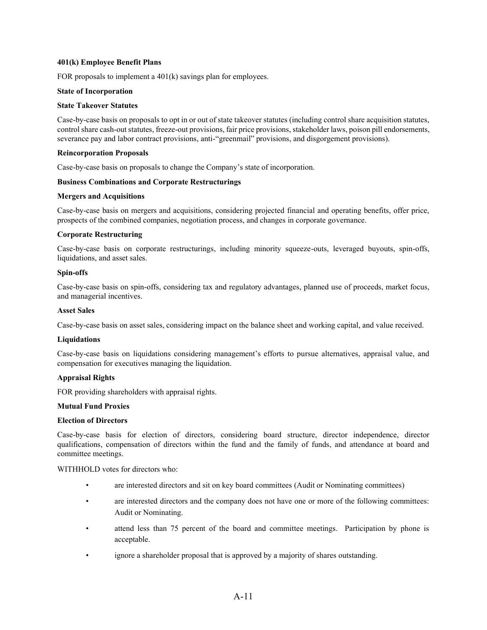## **401(k) Employee Benefit Plans**

FOR proposals to implement a  $401(k)$  savings plan for employees.

### **State of Incorporation**

## **State Takeover Statutes**

Case-by-case basis on proposals to opt in or out of state takeover statutes (including control share acquisition statutes, control share cash-out statutes, freeze-out provisions, fair price provisions, stakeholder laws, poison pill endorsements, severance pay and labor contract provisions, anti-"greenmail" provisions, and disgorgement provisions).

### **Reincorporation Proposals**

Case-by-case basis on proposals to change the Company's state of incorporation.

## **Business Combinations and Corporate Restructurings**

#### **Mergers and Acquisitions**

Case-by-case basis on mergers and acquisitions, considering projected financial and operating benefits, offer price, prospects of the combined companies, negotiation process, and changes in corporate governance.

## **Corporate Restructuring**

Case-by-case basis on corporate restructurings, including minority squeeze-outs, leveraged buyouts, spin-offs, liquidations, and asset sales.

## **Spin-offs**

Case-by-case basis on spin-offs, considering tax and regulatory advantages, planned use of proceeds, market focus, and managerial incentives.

#### **Asset Sales**

Case-by-case basis on asset sales, considering impact on the balance sheet and working capital, and value received.

#### **Liquidations**

Case-by-case basis on liquidations considering management's efforts to pursue alternatives, appraisal value, and compensation for executives managing the liquidation.

## **Appraisal Rights**

FOR providing shareholders with appraisal rights.

## **Mutual Fund Proxies**

## **Election of Directors**

Case-by-case basis for election of directors, considering board structure, director independence, director qualifications, compensation of directors within the fund and the family of funds, and attendance at board and committee meetings.

WITHHOLD votes for directors who:

- are interested directors and sit on key board committees (Audit or Nominating committees)
- are interested directors and the company does not have one or more of the following committees: Audit or Nominating.
- attend less than 75 percent of the board and committee meetings. Participation by phone is acceptable.
- ignore a shareholder proposal that is approved by a majority of shares outstanding.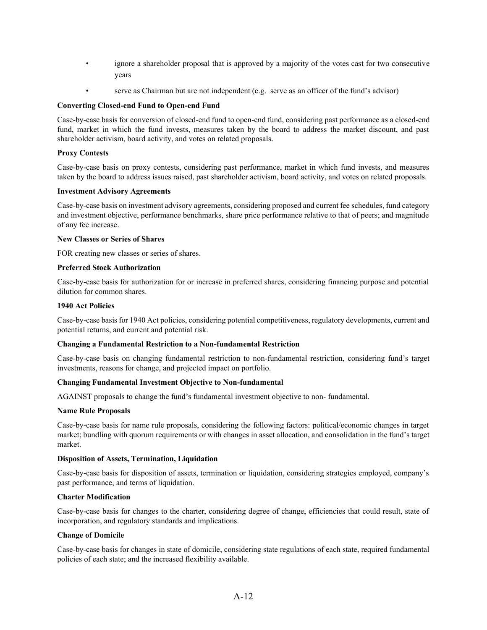- ignore a shareholder proposal that is approved by a majority of the votes cast for two consecutive years
- serve as Chairman but are not independent (e.g. serve as an officer of the fund's advisor)

## **Converting Closed-end Fund to Open-end Fund**

Case-by-case basis for conversion of closed-end fund to open-end fund, considering past performance as a closed-end fund, market in which the fund invests, measures taken by the board to address the market discount, and past shareholder activism, board activity, and votes on related proposals.

## **Proxy Contests**

Case-by-case basis on proxy contests, considering past performance, market in which fund invests, and measures taken by the board to address issues raised, past shareholder activism, board activity, and votes on related proposals.

#### **Investment Advisory Agreements**

Case-by-case basis on investment advisory agreements, considering proposed and current fee schedules, fund category and investment objective, performance benchmarks, share price performance relative to that of peers; and magnitude of any fee increase.

#### **New Classes or Series of Shares**

FOR creating new classes or series of shares.

## **Preferred Stock Authorization**

Case-by-case basis for authorization for or increase in preferred shares, considering financing purpose and potential dilution for common shares.

## **1940 Act Policies**

Case-by-case basis for 1940 Act policies, considering potential competitiveness, regulatory developments, current and potential returns, and current and potential risk.

#### **Changing a Fundamental Restriction to a Non-fundamental Restriction**

Case-by-case basis on changing fundamental restriction to non-fundamental restriction, considering fund's target investments, reasons for change, and projected impact on portfolio.

#### **Changing Fundamental Investment Objective to Non-fundamental**

AGAINST proposals to change the fund's fundamental investment objective to non- fundamental.

#### **Name Rule Proposals**

Case-by-case basis for name rule proposals, considering the following factors: political/economic changes in target market; bundling with quorum requirements or with changes in asset allocation, and consolidation in the fund's target market.

#### **Disposition of Assets, Termination, Liquidation**

Case-by-case basis for disposition of assets, termination or liquidation, considering strategies employed, company's past performance, and terms of liquidation.

#### **Charter Modification**

Case-by-case basis for changes to the charter, considering degree of change, efficiencies that could result, state of incorporation, and regulatory standards and implications.

#### **Change of Domicile**

Case-by-case basis for changes in state of domicile, considering state regulations of each state, required fundamental policies of each state; and the increased flexibility available.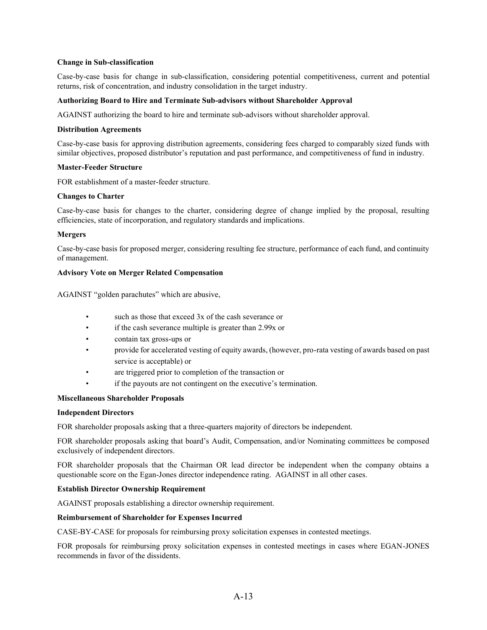## **Change in Sub-classification**

Case-by-case basis for change in sub-classification, considering potential competitiveness, current and potential returns, risk of concentration, and industry consolidation in the target industry.

## **Authorizing Board to Hire and Terminate Sub-advisors without Shareholder Approval**

AGAINST authorizing the board to hire and terminate sub-advisors without shareholder approval.

### **Distribution Agreements**

Case-by-case basis for approving distribution agreements, considering fees charged to comparably sized funds with similar objectives, proposed distributor's reputation and past performance, and competitiveness of fund in industry.

#### **Master-Feeder Structure**

FOR establishment of a master-feeder structure.

### **Changes to Charter**

Case-by-case basis for changes to the charter, considering degree of change implied by the proposal, resulting efficiencies, state of incorporation, and regulatory standards and implications.

## **Mergers**

Case-by-case basis for proposed merger, considering resulting fee structure, performance of each fund, and continuity of management.

## **Advisory Vote on Merger Related Compensation**

AGAINST "golden parachutes" which are abusive,

- such as those that exceed 3x of the cash severance or
- if the cash severance multiple is greater than 2.99x or
- contain tax gross-ups or
- provide for accelerated vesting of equity awards, (however, pro-rata vesting of awards based on past service is acceptable) or
- are triggered prior to completion of the transaction or
- if the payouts are not contingent on the executive's termination.

## **Miscellaneous Shareholder Proposals**

#### **Independent Directors**

FOR shareholder proposals asking that a three-quarters majority of directors be independent.

FOR shareholder proposals asking that board's Audit, Compensation, and/or Nominating committees be composed exclusively of independent directors.

FOR shareholder proposals that the Chairman OR lead director be independent when the company obtains a questionable score on the Egan-Jones director independence rating. AGAINST in all other cases.

## **Establish Director Ownership Requirement**

AGAINST proposals establishing a director ownership requirement.

#### **Reimbursement of Shareholder for Expenses Incurred**

CASE-BY-CASE for proposals for reimbursing proxy solicitation expenses in contested meetings.

FOR proposals for reimbursing proxy solicitation expenses in contested meetings in cases where EGAN-JONES recommends in favor of the dissidents.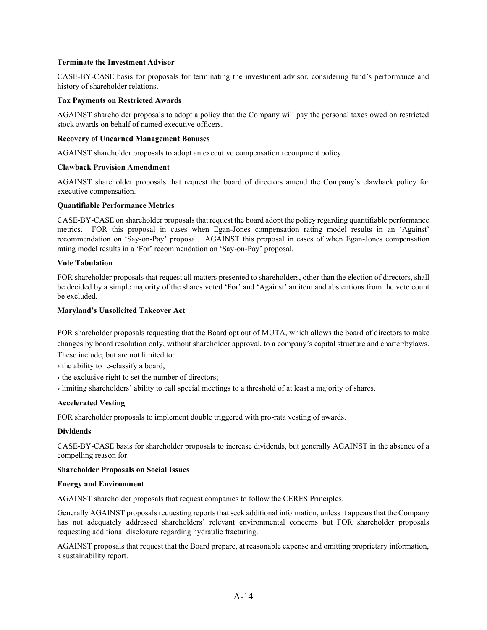## **Terminate the Investment Advisor**

CASE-BY-CASE basis for proposals for terminating the investment advisor, considering fund's performance and history of shareholder relations.

## **Tax Payments on Restricted Awards**

AGAINST shareholder proposals to adopt a policy that the Company will pay the personal taxes owed on restricted stock awards on behalf of named executive officers.

## **Recovery of Unearned Management Bonuses**

AGAINST shareholder proposals to adopt an executive compensation recoupment policy.

## **Clawback Provision Amendment**

AGAINST shareholder proposals that request the board of directors amend the Company's clawback policy for executive compensation.

## **Quantifiable Performance Metrics**

CASE-BY-CASE on shareholder proposals that request the board adopt the policy regarding quantifiable performance metrics. FOR this proposal in cases when Egan-Jones compensation rating model results in an 'Against' recommendation on 'Say-on-Pay' proposal. AGAINST this proposal in cases of when Egan-Jones compensation rating model results in a 'For' recommendation on 'Say-on-Pay' proposal.

#### **Vote Tabulation**

FOR shareholder proposals that request all matters presented to shareholders, other than the election of directors, shall be decided by a simple majority of the shares voted 'For' and 'Against' an item and abstentions from the vote count be excluded.

## **Maryland's Unsolicited Takeover Act**

FOR shareholder proposals requesting that the Board opt out of MUTA, which allows the board of directors to make changes by board resolution only, without shareholder approval, to a company's capital structure and charter/bylaws. These include, but are not limited to:

- › the ability to re-classify a board;
- › the exclusive right to set the number of directors;
- › limiting shareholders' ability to call special meetings to a threshold of at least a majority of shares.

#### **Accelerated Vesting**

FOR shareholder proposals to implement double triggered with pro-rata vesting of awards.

#### **Dividends**

CASE-BY-CASE basis for shareholder proposals to increase dividends, but generally AGAINST in the absence of a compelling reason for.

#### **Shareholder Proposals on Social Issues**

#### **Energy and Environment**

AGAINST shareholder proposals that request companies to follow the CERES Principles.

Generally AGAINST proposals requesting reports that seek additional information, unless it appears that the Company has not adequately addressed shareholders' relevant environmental concerns but FOR shareholder proposals requesting additional disclosure regarding hydraulic fracturing.

AGAINST proposals that request that the Board prepare, at reasonable expense and omitting proprietary information, a sustainability report.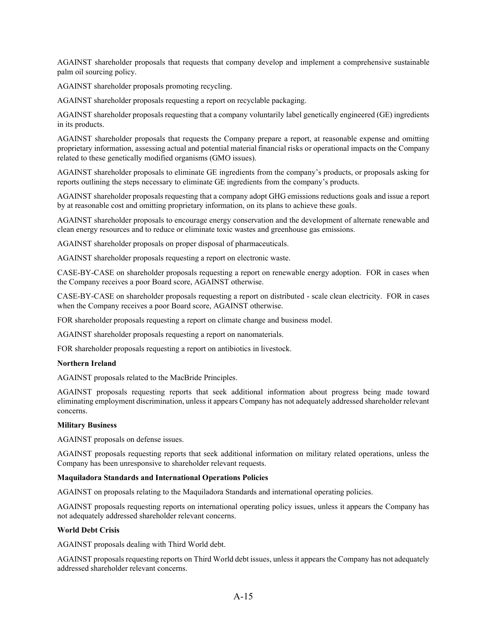AGAINST shareholder proposals that requests that company develop and implement a comprehensive sustainable palm oil sourcing policy.

AGAINST shareholder proposals promoting recycling.

AGAINST shareholder proposals requesting a report on recyclable packaging.

AGAINST shareholder proposals requesting that a company voluntarily label genetically engineered (GE) ingredients in its products.

AGAINST shareholder proposals that requests the Company prepare a report, at reasonable expense and omitting proprietary information, assessing actual and potential material financial risks or operational impacts on the Company related to these genetically modified organisms (GMO issues).

AGAINST shareholder proposals to eliminate GE ingredients from the company's products, or proposals asking for reports outlining the steps necessary to eliminate GE ingredients from the company's products.

AGAINST shareholder proposals requesting that a company adopt GHG emissions reductions goals and issue a report by at reasonable cost and omitting proprietary information, on its plans to achieve these goals.

AGAINST shareholder proposals to encourage energy conservation and the development of alternate renewable and clean energy resources and to reduce or eliminate toxic wastes and greenhouse gas emissions.

AGAINST shareholder proposals on proper disposal of pharmaceuticals.

AGAINST shareholder proposals requesting a report on electronic waste.

CASE-BY-CASE on shareholder proposals requesting a report on renewable energy adoption. FOR in cases when the Company receives a poor Board score, AGAINST otherwise.

CASE-BY-CASE on shareholder proposals requesting a report on distributed - scale clean electricity. FOR in cases when the Company receives a poor Board score, AGAINST otherwise.

FOR shareholder proposals requesting a report on climate change and business model.

AGAINST shareholder proposals requesting a report on nanomaterials.

FOR shareholder proposals requesting a report on antibiotics in livestock.

## **Northern Ireland**

AGAINST proposals related to the MacBride Principles.

AGAINST proposals requesting reports that seek additional information about progress being made toward eliminating employment discrimination, unless it appears Company has not adequately addressed shareholder relevant concerns.

#### **Military Business**

AGAINST proposals on defense issues.

AGAINST proposals requesting reports that seek additional information on military related operations, unless the Company has been unresponsive to shareholder relevant requests.

## **Maquiladora Standards and International Operations Policies**

AGAINST on proposals relating to the Maquiladora Standards and international operating policies.

AGAINST proposals requesting reports on international operating policy issues, unless it appears the Company has not adequately addressed shareholder relevant concerns.

#### **World Debt Crisis**

AGAINST proposals dealing with Third World debt.

AGAINST proposals requesting reports on Third World debt issues, unless it appears the Company has not adequately addressed shareholder relevant concerns.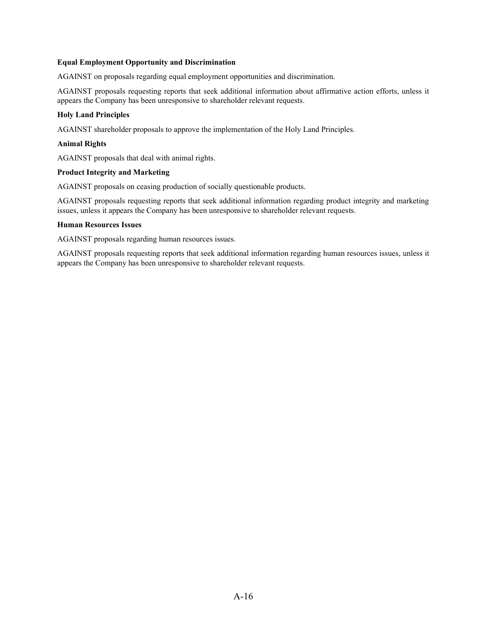### **Equal Employment Opportunity and Discrimination**

AGAINST on proposals regarding equal employment opportunities and discrimination.

AGAINST proposals requesting reports that seek additional information about affirmative action efforts, unless it appears the Company has been unresponsive to shareholder relevant requests.

## **Holy Land Principles**

AGAINST shareholder proposals to approve the implementation of the Holy Land Principles.

#### **Animal Rights**

AGAINST proposals that deal with animal rights.

## **Product Integrity and Marketing**

AGAINST proposals on ceasing production of socially questionable products.

AGAINST proposals requesting reports that seek additional information regarding product integrity and marketing issues, unless it appears the Company has been unresponsive to shareholder relevant requests.

### **Human Resources Issues**

AGAINST proposals regarding human resources issues.

AGAINST proposals requesting reports that seek additional information regarding human resources issues, unless it appears the Company has been unresponsive to shareholder relevant requests.